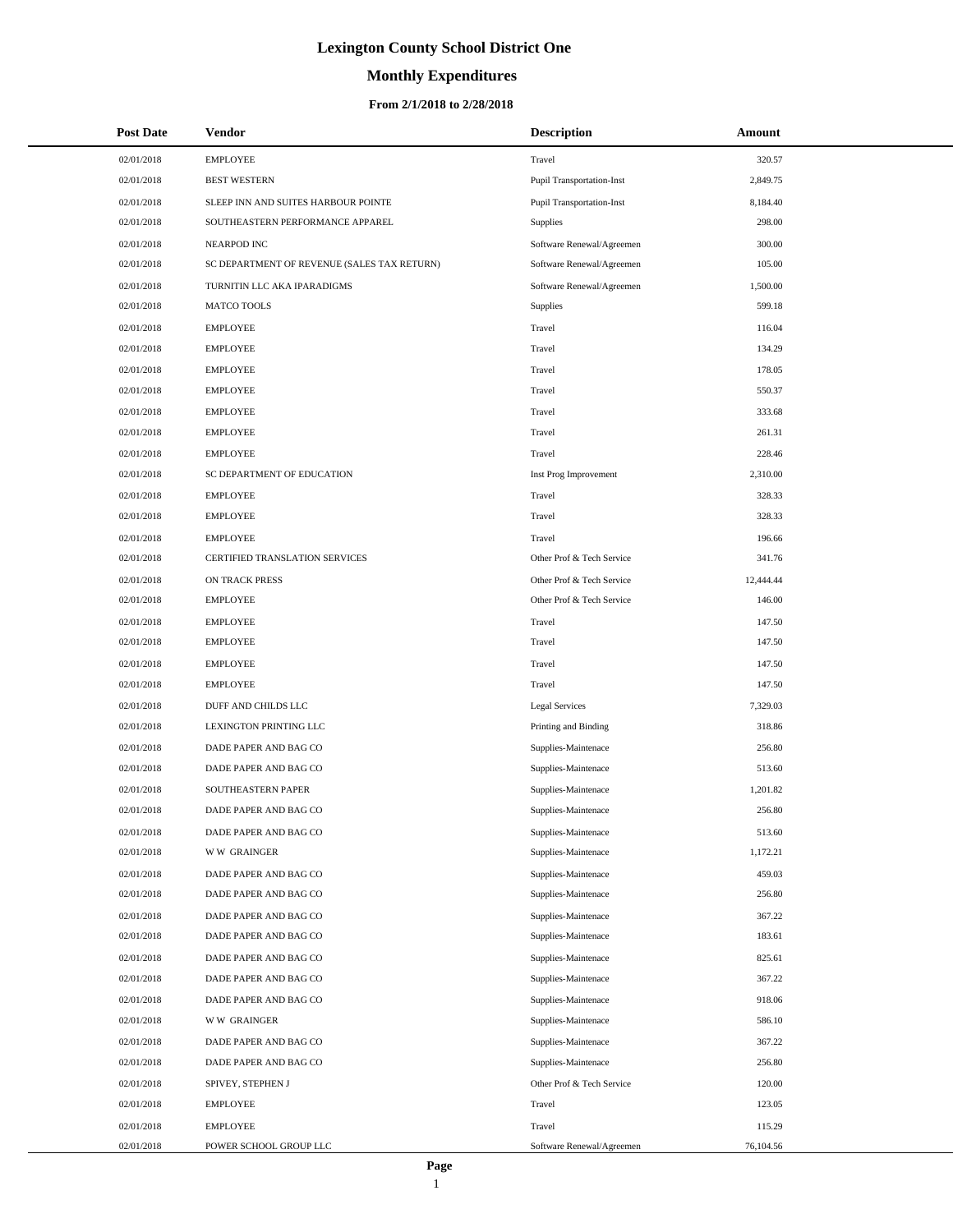# **Monthly Expenditures**

| <b>Post Date</b> | <b>Vendor</b>                               | <b>Description</b>               | Amount    |
|------------------|---------------------------------------------|----------------------------------|-----------|
| 02/01/2018       | <b>EMPLOYEE</b>                             | Travel                           | 320.57    |
| 02/01/2018       | <b>BEST WESTERN</b>                         | <b>Pupil Transportation-Inst</b> | 2,849.75  |
| 02/01/2018       | SLEEP INN AND SUITES HARBOUR POINTE         | Pupil Transportation-Inst        | 8,184.40  |
| 02/01/2018       | SOUTHEASTERN PERFORMANCE APPAREL            | Supplies                         | 298.00    |
| 02/01/2018       | NEARPOD INC                                 | Software Renewal/Agreemen        | 300.00    |
| 02/01/2018       | SC DEPARTMENT OF REVENUE (SALES TAX RETURN) | Software Renewal/Agreemen        | 105.00    |
| 02/01/2018       | TURNITIN LLC AKA IPARADIGMS                 | Software Renewal/Agreemen        | 1,500.00  |
| 02/01/2018       | <b>MATCO TOOLS</b>                          | Supplies                         | 599.18    |
| 02/01/2018       | <b>EMPLOYEE</b>                             | Travel                           | 116.04    |
| 02/01/2018       | <b>EMPLOYEE</b>                             | Travel                           | 134.29    |
| 02/01/2018       | <b>EMPLOYEE</b>                             | Travel                           | 178.05    |
| 02/01/2018       | <b>EMPLOYEE</b>                             | Travel                           | 550.37    |
| 02/01/2018       | <b>EMPLOYEE</b>                             | Travel                           | 333.68    |
| 02/01/2018       | <b>EMPLOYEE</b>                             | Travel                           | 261.31    |
| 02/01/2018       | <b>EMPLOYEE</b>                             | Travel                           | 228.46    |
| 02/01/2018       | SC DEPARTMENT OF EDUCATION                  | Inst Prog Improvement            | 2,310.00  |
| 02/01/2018       | <b>EMPLOYEE</b>                             | Travel                           | 328.33    |
| 02/01/2018       | <b>EMPLOYEE</b>                             | Travel                           | 328.33    |
| 02/01/2018       | <b>EMPLOYEE</b>                             | Travel                           | 196.66    |
| 02/01/2018       | CERTIFIED TRANSLATION SERVICES              | Other Prof & Tech Service        | 341.76    |
| 02/01/2018       | ON TRACK PRESS                              | Other Prof & Tech Service        | 12,444.44 |
| 02/01/2018       | <b>EMPLOYEE</b>                             | Other Prof & Tech Service        | 146.00    |
| 02/01/2018       | <b>EMPLOYEE</b>                             | Travel                           | 147.50    |
| 02/01/2018       | <b>EMPLOYEE</b>                             | Travel                           | 147.50    |
| 02/01/2018       | <b>EMPLOYEE</b>                             | Travel                           | 147.50    |
| 02/01/2018       | <b>EMPLOYEE</b>                             | Travel                           | 147.50    |
| 02/01/2018       | DUFF AND CHILDS LLC                         | <b>Legal Services</b>            | 7,329.03  |
| 02/01/2018       | LEXINGTON PRINTING LLC                      | Printing and Binding             | 318.86    |
| 02/01/2018       | DADE PAPER AND BAG CO                       | Supplies-Maintenace              | 256.80    |
| 02/01/2018       | DADE PAPER AND BAG CO                       | Supplies-Maintenace              | 513.60    |
| 02/01/2018       | SOUTHEASTERN PAPER                          | Supplies-Maintenace              | 1,201.82  |
| 02/01/2018       | DADE PAPER AND BAG CO                       | Supplies-Maintenace              | 256.80    |
| 02/01/2018       | DADE PAPER AND BAG CO                       | Supplies-Maintenace              | 513.60    |
| 02/01/2018       | <b>WW GRAINGER</b>                          | Supplies-Maintenace              | 1,172.21  |
| 02/01/2018       | DADE PAPER AND BAG CO                       | Supplies-Maintenace              | 459.03    |
| 02/01/2018       | DADE PAPER AND BAG CO                       | Supplies-Maintenace              | 256.80    |
| 02/01/2018       | DADE PAPER AND BAG CO                       | Supplies-Maintenace              | 367.22    |
| 02/01/2018       | DADE PAPER AND BAG CO                       | Supplies-Maintenace              | 183.61    |
| 02/01/2018       | DADE PAPER AND BAG CO                       | Supplies-Maintenace              | 825.61    |
| 02/01/2018       | DADE PAPER AND BAG CO                       | Supplies-Maintenace              | 367.22    |
| 02/01/2018       | DADE PAPER AND BAG CO                       | Supplies-Maintenace              | 918.06    |
| 02/01/2018       | <b>WW GRAINGER</b>                          | Supplies-Maintenace              | 586.10    |
| 02/01/2018       | DADE PAPER AND BAG CO                       | Supplies-Maintenace              | 367.22    |
| 02/01/2018       | DADE PAPER AND BAG CO                       | Supplies-Maintenace              | 256.80    |
| 02/01/2018       | SPIVEY, STEPHEN J                           | Other Prof & Tech Service        | 120.00    |
| 02/01/2018       | <b>EMPLOYEE</b>                             | Travel                           | 123.05    |
| 02/01/2018       | <b>EMPLOYEE</b>                             | Travel                           | 115.29    |
| 02/01/2018       | POWER SCHOOL GROUP LLC                      | Software Renewal/Agreemen        | 76,104.56 |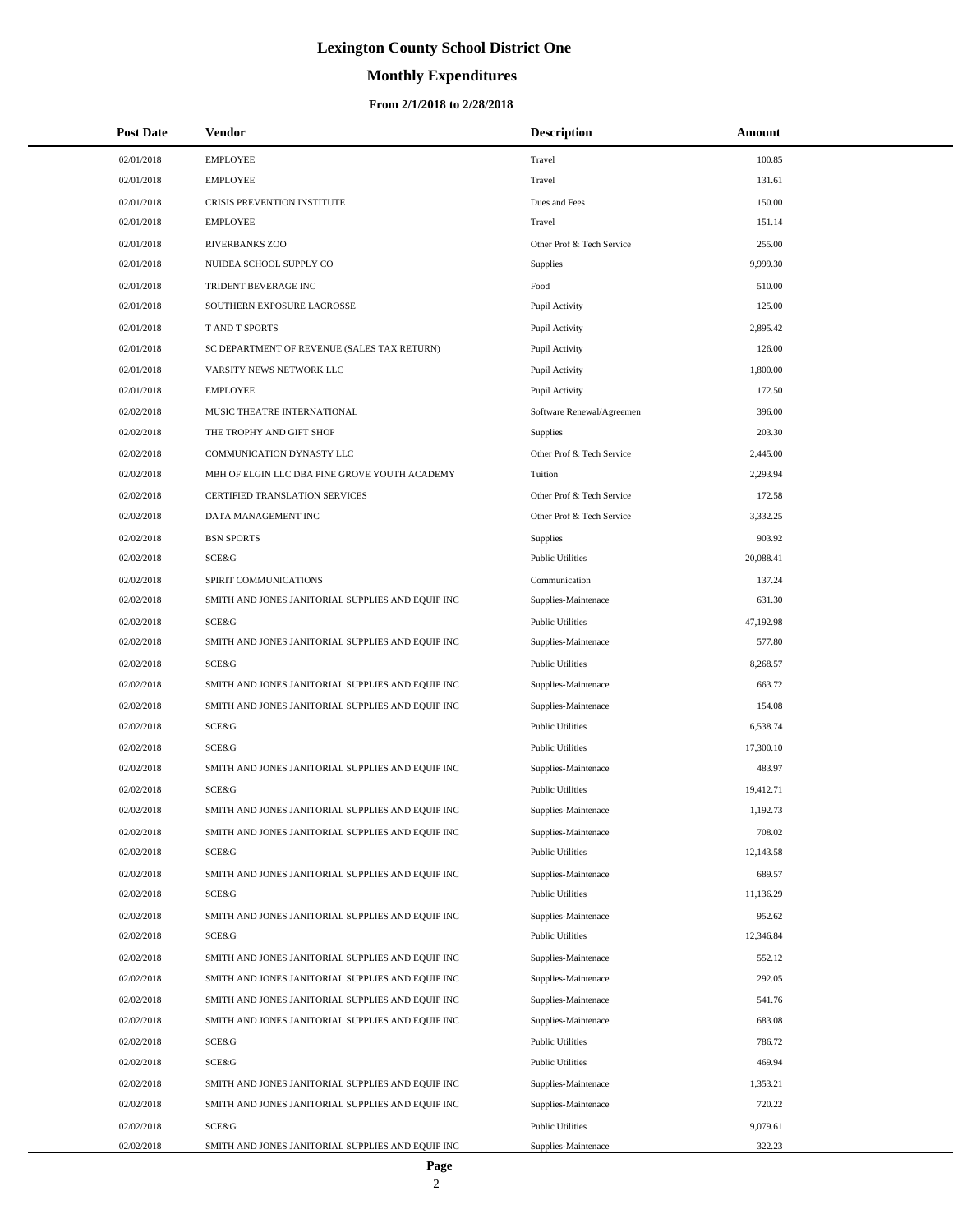# **Monthly Expenditures**

| <b>Post Date</b> | Vendor                                            | <b>Description</b>        | Amount    |
|------------------|---------------------------------------------------|---------------------------|-----------|
| 02/01/2018       | <b>EMPLOYEE</b>                                   | Travel                    | 100.85    |
| 02/01/2018       | <b>EMPLOYEE</b>                                   | Travel                    | 131.61    |
| 02/01/2018       | CRISIS PREVENTION INSTITUTE                       | Dues and Fees             | 150.00    |
| 02/01/2018       | <b>EMPLOYEE</b>                                   | Travel                    | 151.14    |
| 02/01/2018       | <b>RIVERBANKS ZOO</b>                             | Other Prof & Tech Service | 255.00    |
| 02/01/2018       | NUIDEA SCHOOL SUPPLY CO                           | Supplies                  | 9,999.30  |
| 02/01/2018       | TRIDENT BEVERAGE INC                              | Food                      | 510.00    |
| 02/01/2018       | SOUTHERN EXPOSURE LACROSSE                        | Pupil Activity            | 125.00    |
| 02/01/2018       | T AND T SPORTS                                    | Pupil Activity            | 2,895.42  |
| 02/01/2018       | SC DEPARTMENT OF REVENUE (SALES TAX RETURN)       | Pupil Activity            | 126.00    |
| 02/01/2018       | VARSITY NEWS NETWORK LLC                          | Pupil Activity            | 1,800.00  |
| 02/01/2018       | <b>EMPLOYEE</b>                                   | Pupil Activity            | 172.50    |
| 02/02/2018       | MUSIC THEATRE INTERNATIONAL                       | Software Renewal/Agreemen | 396.00    |
| 02/02/2018       | THE TROPHY AND GIFT SHOP                          | Supplies                  | 203.30    |
| 02/02/2018       | COMMUNICATION DYNASTY LLC                         | Other Prof & Tech Service | 2,445.00  |
| 02/02/2018       | MBH OF ELGIN LLC DBA PINE GROVE YOUTH ACADEMY     | Tuition                   | 2,293.94  |
| 02/02/2018       | CERTIFIED TRANSLATION SERVICES                    | Other Prof & Tech Service | 172.58    |
| 02/02/2018       | DATA MANAGEMENT INC                               | Other Prof & Tech Service | 3,332.25  |
| 02/02/2018       | <b>BSN SPORTS</b>                                 | <b>Supplies</b>           | 903.92    |
| 02/02/2018       | SCE&G                                             | <b>Public Utilities</b>   | 20,088.41 |
| 02/02/2018       | SPIRIT COMMUNICATIONS                             | Communication             | 137.24    |
| 02/02/2018       | SMITH AND JONES JANITORIAL SUPPLIES AND EQUIP INC | Supplies-Maintenace       | 631.30    |
| 02/02/2018       | SCE&G                                             | <b>Public Utilities</b>   | 47,192.98 |
| 02/02/2018       | SMITH AND JONES JANITORIAL SUPPLIES AND EQUIP INC | Supplies-Maintenace       | 577.80    |
| 02/02/2018       | SCE&G                                             | <b>Public Utilities</b>   | 8,268.57  |
| 02/02/2018       | SMITH AND JONES JANITORIAL SUPPLIES AND EQUIP INC | Supplies-Maintenace       | 663.72    |
| 02/02/2018       | SMITH AND JONES JANITORIAL SUPPLIES AND EQUIP INC | Supplies-Maintenace       | 154.08    |
| 02/02/2018       | SCE&G                                             | <b>Public Utilities</b>   | 6,538.74  |
| 02/02/2018       | SCE&G                                             | <b>Public Utilities</b>   | 17,300.10 |
| 02/02/2018       | SMITH AND JONES JANITORIAL SUPPLIES AND EQUIP INC | Supplies-Maintenace       | 483.97    |
| 02/02/2018       | SCE&G                                             | <b>Public Utilities</b>   | 19,412.71 |
| 02/02/2018       | SMITH AND JONES JANITORIAL SUPPLIES AND EQUIP INC | Supplies-Maintenace       | 1,192.73  |
| 02/02/2018       | SMITH AND JONES JANITORIAL SUPPLIES AND EQUIP INC | Supplies-Maintenace       | 708.02    |
| 02/02/2018       | SCE&G                                             | <b>Public Utilities</b>   | 12,143.58 |
| 02/02/2018       | SMITH AND JONES JANITORIAL SUPPLIES AND EQUIP INC | Supplies-Maintenace       | 689.57    |
| 02/02/2018       | SCE&G                                             | <b>Public Utilities</b>   | 11,136.29 |
| 02/02/2018       | SMITH AND JONES JANITORIAL SUPPLIES AND EQUIP INC | Supplies-Maintenace       | 952.62    |
| 02/02/2018       | SCE&G                                             | <b>Public Utilities</b>   | 12,346.84 |
| 02/02/2018       | SMITH AND JONES JANITORIAL SUPPLIES AND EQUIP INC | Supplies-Maintenace       | 552.12    |
| 02/02/2018       | SMITH AND JONES JANITORIAL SUPPLIES AND EQUIP INC | Supplies-Maintenace       | 292.05    |
| 02/02/2018       | SMITH AND JONES JANITORIAL SUPPLIES AND EQUIP INC | Supplies-Maintenace       | 541.76    |
| 02/02/2018       | SMITH AND JONES JANITORIAL SUPPLIES AND EQUIP INC | Supplies-Maintenace       | 683.08    |
| 02/02/2018       | SCE&G                                             | <b>Public Utilities</b>   | 786.72    |
| 02/02/2018       | SCE&G                                             | <b>Public Utilities</b>   | 469.94    |
| 02/02/2018       | SMITH AND JONES JANITORIAL SUPPLIES AND EQUIP INC | Supplies-Maintenace       | 1,353.21  |
| 02/02/2018       | SMITH AND JONES JANITORIAL SUPPLIES AND EQUIP INC | Supplies-Maintenace       | 720.22    |
| 02/02/2018       | SCE&G                                             | <b>Public Utilities</b>   | 9,079.61  |
| 02/02/2018       | SMITH AND JONES JANITORIAL SUPPLIES AND EQUIP INC | Supplies-Maintenace       | 322.23    |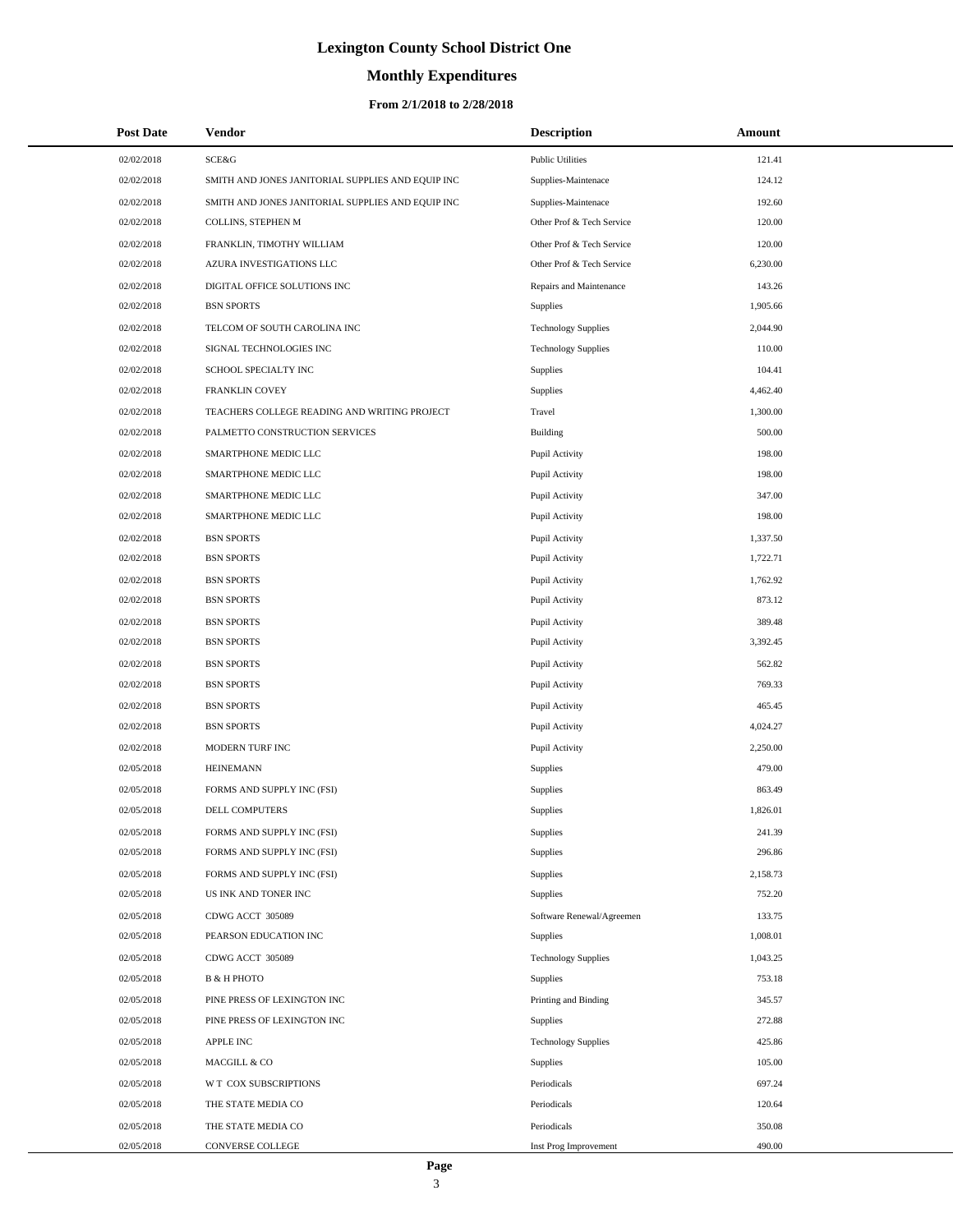# **Monthly Expenditures**

#### **From 2/1/2018 to 2/28/2018**

| <b>Post Date</b> | Vendor                                            | <b>Description</b>         | Amount   |
|------------------|---------------------------------------------------|----------------------------|----------|
| 02/02/2018       | SCE&G                                             | <b>Public Utilities</b>    | 121.41   |
| 02/02/2018       | SMITH AND JONES JANITORIAL SUPPLIES AND EQUIP INC | Supplies-Maintenace        | 124.12   |
| 02/02/2018       | SMITH AND JONES JANITORIAL SUPPLIES AND EQUIP INC | Supplies-Maintenace        | 192.60   |
| 02/02/2018       | COLLINS, STEPHEN M                                | Other Prof & Tech Service  | 120.00   |
| 02/02/2018       | FRANKLIN, TIMOTHY WILLIAM                         | Other Prof & Tech Service  | 120.00   |
| 02/02/2018       | AZURA INVESTIGATIONS LLC                          | Other Prof & Tech Service  | 6,230.00 |
| 02/02/2018       | DIGITAL OFFICE SOLUTIONS INC                      | Repairs and Maintenance    | 143.26   |
| 02/02/2018       | <b>BSN SPORTS</b>                                 | Supplies                   | 1,905.66 |
| 02/02/2018       | TELCOM OF SOUTH CAROLINA INC                      | <b>Technology Supplies</b> | 2,044.90 |
| 02/02/2018       | SIGNAL TECHNOLOGIES INC                           | <b>Technology Supplies</b> | 110.00   |
| 02/02/2018       | SCHOOL SPECIALTY INC                              | Supplies                   | 104.41   |
| 02/02/2018       | FRANKLIN COVEY                                    | Supplies                   | 4,462.40 |
| 02/02/2018       | TEACHERS COLLEGE READING AND WRITING PROJECT      | Travel                     | 1,300.00 |
| 02/02/2018       | PALMETTO CONSTRUCTION SERVICES                    | Building                   | 500.00   |
| 02/02/2018       | SMARTPHONE MEDIC LLC                              | Pupil Activity             | 198.00   |
| 02/02/2018       | SMARTPHONE MEDIC LLC                              | Pupil Activity             | 198.00   |
| 02/02/2018       | SMARTPHONE MEDIC LLC                              | Pupil Activity             | 347.00   |
| 02/02/2018       | SMARTPHONE MEDIC LLC                              | Pupil Activity             | 198.00   |
| 02/02/2018       | <b>BSN SPORTS</b>                                 | Pupil Activity             | 1,337.50 |
| 02/02/2018       | <b>BSN SPORTS</b>                                 | Pupil Activity             | 1,722.71 |
| 02/02/2018       | <b>BSN SPORTS</b>                                 | Pupil Activity             | 1,762.92 |
| 02/02/2018       | <b>BSN SPORTS</b>                                 | Pupil Activity             | 873.12   |
| 02/02/2018       | <b>BSN SPORTS</b>                                 | Pupil Activity             | 389.48   |
| 02/02/2018       | <b>BSN SPORTS</b>                                 | Pupil Activity             | 3,392.45 |
| 02/02/2018       | <b>BSN SPORTS</b>                                 | Pupil Activity             | 562.82   |
| 02/02/2018       | <b>BSN SPORTS</b>                                 | Pupil Activity             | 769.33   |
| 02/02/2018       | <b>BSN SPORTS</b>                                 | Pupil Activity             | 465.45   |
| 02/02/2018       | <b>BSN SPORTS</b>                                 | Pupil Activity             | 4,024.27 |
| 02/02/2018       | MODERN TURF INC                                   | Pupil Activity             | 2,250.00 |
| 02/05/2018       | <b>HEINEMANN</b>                                  | Supplies                   | 479.00   |
| 02/05/2018       | FORMS AND SUPPLY INC (FSI)                        | Supplies                   | 863.49   |
| 02/05/2018       | <b>DELL COMPUTERS</b>                             | Supplies                   | 1,826.01 |
| 02/05/2018       | FORMS AND SUPPLY INC (FSI)                        | Supplies                   | 241.39   |
| 02/05/2018       | FORMS AND SUPPLY INC (FSI)                        | Supplies                   | 296.86   |
| 02/05/2018       | FORMS AND SUPPLY INC (FSI)                        | Supplies                   | 2,158.73 |
| 02/05/2018       | US INK AND TONER INC                              | Supplies                   | 752.20   |
| 02/05/2018       | CDWG ACCT 305089                                  | Software Renewal/Agreemen  | 133.75   |
| 02/05/2018       | PEARSON EDUCATION INC                             | Supplies                   | 1,008.01 |
| 02/05/2018       | CDWG ACCT 305089                                  | <b>Technology Supplies</b> | 1,043.25 |
| 02/05/2018       | <b>B &amp; H PHOTO</b>                            | Supplies                   | 753.18   |
| 02/05/2018       | PINE PRESS OF LEXINGTON INC                       | Printing and Binding       | 345.57   |
| 02/05/2018       | PINE PRESS OF LEXINGTON INC                       | Supplies                   | 272.88   |
| 02/05/2018       | <b>APPLE INC</b>                                  | <b>Technology Supplies</b> | 425.86   |
| 02/05/2018       | MACGILL & CO                                      | Supplies                   | 105.00   |
| 02/05/2018       | W T COX SUBSCRIPTIONS                             | Periodicals                | 697.24   |
| 02/05/2018       | THE STATE MEDIA CO                                | Periodicals                | 120.64   |
| 02/05/2018       | THE STATE MEDIA CO                                | Periodicals                | 350.08   |
| 02/05/2018       | CONVERSE COLLEGE                                  | Inst Prog Improvement      | 490.00   |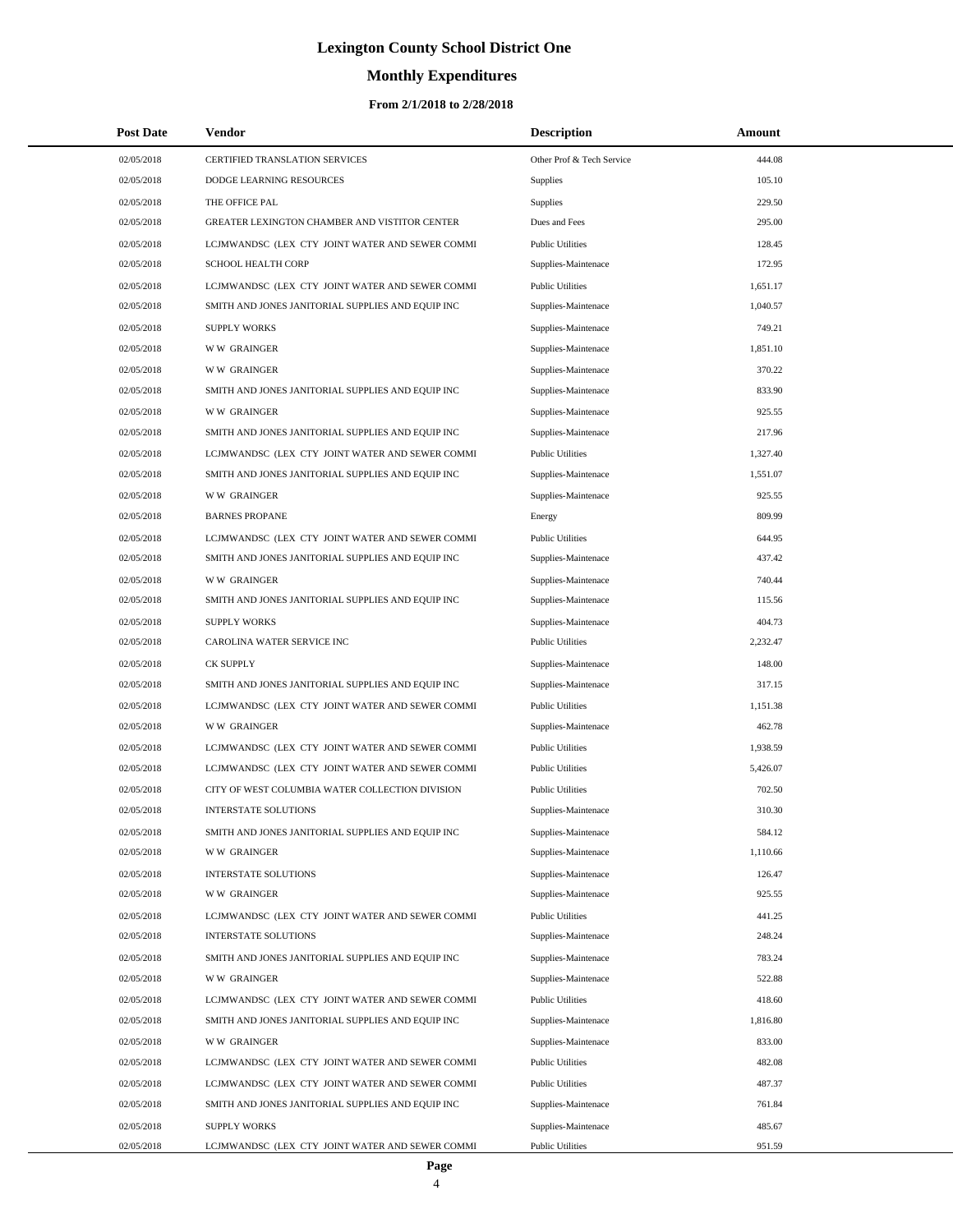# **Monthly Expenditures**

| <b>Post Date</b> | Vendor                                            | <b>Description</b>        | Amount   |
|------------------|---------------------------------------------------|---------------------------|----------|
| 02/05/2018       | CERTIFIED TRANSLATION SERVICES                    | Other Prof & Tech Service | 444.08   |
| 02/05/2018       | DODGE LEARNING RESOURCES                          | Supplies                  | 105.10   |
| 02/05/2018       | THE OFFICE PAL                                    | Supplies                  | 229.50   |
| 02/05/2018       | GREATER LEXINGTON CHAMBER AND VISTITOR CENTER     | Dues and Fees             | 295.00   |
| 02/05/2018       | LCJMWANDSC (LEX CTY JOINT WATER AND SEWER COMMI   | <b>Public Utilities</b>   | 128.45   |
| 02/05/2018       | <b>SCHOOL HEALTH CORP</b>                         | Supplies-Maintenace       | 172.95   |
| 02/05/2018       | LCJMWANDSC (LEX CTY JOINT WATER AND SEWER COMMI   | <b>Public Utilities</b>   | 1,651.17 |
| 02/05/2018       | SMITH AND JONES JANITORIAL SUPPLIES AND EQUIP INC | Supplies-Maintenace       | 1,040.57 |
| 02/05/2018       | <b>SUPPLY WORKS</b>                               | Supplies-Maintenace       | 749.21   |
| 02/05/2018       | <b>WW GRAINGER</b>                                | Supplies-Maintenace       | 1,851.10 |
| 02/05/2018       | <b>WW GRAINGER</b>                                | Supplies-Maintenace       | 370.22   |
| 02/05/2018       | SMITH AND JONES JANITORIAL SUPPLIES AND EQUIP INC | Supplies-Maintenace       | 833.90   |
| 02/05/2018       | <b>WW GRAINGER</b>                                | Supplies-Maintenace       | 925.55   |
| 02/05/2018       | SMITH AND JONES JANITORIAL SUPPLIES AND EQUIP INC | Supplies-Maintenace       | 217.96   |
| 02/05/2018       | LCJMWANDSC (LEX CTY JOINT WATER AND SEWER COMMI   | <b>Public Utilities</b>   | 1,327.40 |
| 02/05/2018       | SMITH AND JONES JANITORIAL SUPPLIES AND EQUIP INC | Supplies-Maintenace       | 1,551.07 |
| 02/05/2018       | <b>WW GRAINGER</b>                                | Supplies-Maintenace       | 925.55   |
| 02/05/2018       | <b>BARNES PROPANE</b>                             | Energy                    | 809.99   |
| 02/05/2018       | LCJMWANDSC (LEX CTY JOINT WATER AND SEWER COMMI   | <b>Public Utilities</b>   | 644.95   |
| 02/05/2018       | SMITH AND JONES JANITORIAL SUPPLIES AND EQUIP INC | Supplies-Maintenace       | 437.42   |
| 02/05/2018       | <b>WW GRAINGER</b>                                | Supplies-Maintenace       | 740.44   |
| 02/05/2018       | SMITH AND JONES JANITORIAL SUPPLIES AND EQUIP INC | Supplies-Maintenace       | 115.56   |
| 02/05/2018       | <b>SUPPLY WORKS</b>                               | Supplies-Maintenace       | 404.73   |
| 02/05/2018       | CAROLINA WATER SERVICE INC                        | <b>Public Utilities</b>   | 2,232.47 |
| 02/05/2018       | CK SUPPLY                                         | Supplies-Maintenace       | 148.00   |
| 02/05/2018       | SMITH AND JONES JANITORIAL SUPPLIES AND EQUIP INC | Supplies-Maintenace       | 317.15   |
| 02/05/2018       | LCJMWANDSC (LEX CTY JOINT WATER AND SEWER COMMI   | <b>Public Utilities</b>   | 1,151.38 |
| 02/05/2018       | <b>WW GRAINGER</b>                                | Supplies-Maintenace       | 462.78   |
| 02/05/2018       | LCJMWANDSC (LEX CTY JOINT WATER AND SEWER COMMI   | <b>Public Utilities</b>   | 1,938.59 |
| 02/05/2018       | LCJMWANDSC (LEX CTY JOINT WATER AND SEWER COMMI   | <b>Public Utilities</b>   | 5,426.07 |
| 02/05/2018       | CITY OF WEST COLUMBIA WATER COLLECTION DIVISION   | <b>Public Utilities</b>   | 702.50   |
| 02/05/2018       | <b>INTERSTATE SOLUTIONS</b>                       | Supplies-Maintenace       | 310.30   |
| 02/05/2018       | SMITH AND JONES JANITORIAL SUPPLIES AND EQUIP INC | Supplies-Maintenace       | 584.12   |
| 02/05/2018       | <b>WW GRAINGER</b>                                | Supplies-Maintenace       | 1,110.66 |
| 02/05/2018       | INTERSTATE SOLUTIONS                              | Supplies-Maintenace       | 126.47   |
| 02/05/2018       | <b>WW GRAINGER</b>                                | Supplies-Maintenace       | 925.55   |
| 02/05/2018       | LCJMWANDSC (LEX CTY JOINT WATER AND SEWER COMMI   | <b>Public Utilities</b>   | 441.25   |
| 02/05/2018       | INTERSTATE SOLUTIONS                              | Supplies-Maintenace       | 248.24   |
| 02/05/2018       | SMITH AND JONES JANITORIAL SUPPLIES AND EQUIP INC | Supplies-Maintenace       | 783.24   |
| 02/05/2018       | <b>WW GRAINGER</b>                                | Supplies-Maintenace       | 522.88   |
| 02/05/2018       | LCJMWANDSC (LEX CTY JOINT WATER AND SEWER COMMI   | <b>Public Utilities</b>   | 418.60   |
| 02/05/2018       | SMITH AND JONES JANITORIAL SUPPLIES AND EQUIP INC | Supplies-Maintenace       | 1,816.80 |
| 02/05/2018       | <b>WW GRAINGER</b>                                | Supplies-Maintenace       | 833.00   |
| 02/05/2018       | LCJMWANDSC (LEX CTY JOINT WATER AND SEWER COMMI   | <b>Public Utilities</b>   | 482.08   |
| 02/05/2018       | LCJMWANDSC (LEX CTY JOINT WATER AND SEWER COMMI   | <b>Public Utilities</b>   | 487.37   |
| 02/05/2018       | SMITH AND JONES JANITORIAL SUPPLIES AND EQUIP INC | Supplies-Maintenace       | 761.84   |
| 02/05/2018       | <b>SUPPLY WORKS</b>                               | Supplies-Maintenace       | 485.67   |
| 02/05/2018       | LCJMWANDSC (LEX CTY JOINT WATER AND SEWER COMMI   | <b>Public Utilities</b>   | 951.59   |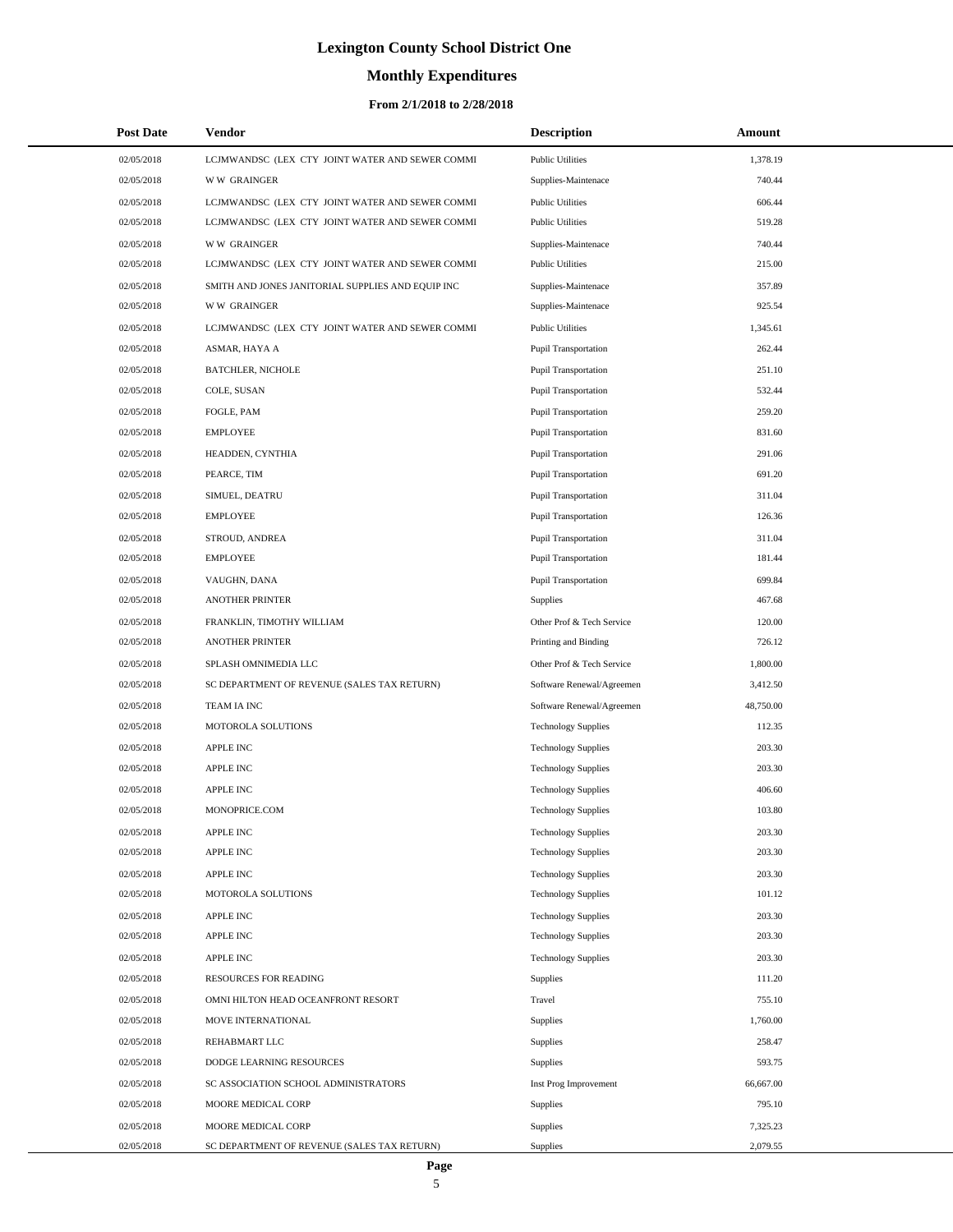# **Monthly Expenditures**

#### **From 2/1/2018 to 2/28/2018**

| <b>Post Date</b> | Vendor                                            | <b>Description</b>          | Amount    |
|------------------|---------------------------------------------------|-----------------------------|-----------|
| 02/05/2018       | LCJMWANDSC (LEX CTY JOINT WATER AND SEWER COMMI   | <b>Public Utilities</b>     | 1,378.19  |
| 02/05/2018       | <b>WW GRAINGER</b>                                | Supplies-Maintenace         | 740.44    |
| 02/05/2018       | LCJMWANDSC (LEX CTY JOINT WATER AND SEWER COMMI   | <b>Public Utilities</b>     | 606.44    |
| 02/05/2018       | LCJMWANDSC (LEX CTY JOINT WATER AND SEWER COMMI   | <b>Public Utilities</b>     | 519.28    |
| 02/05/2018       | <b>WW GRAINGER</b>                                | Supplies-Maintenace         | 740.44    |
| 02/05/2018       | LCJMWANDSC (LEX CTY JOINT WATER AND SEWER COMMI   | <b>Public Utilities</b>     | 215.00    |
| 02/05/2018       | SMITH AND JONES JANITORIAL SUPPLIES AND EQUIP INC | Supplies-Maintenace         | 357.89    |
| 02/05/2018       | <b>WW GRAINGER</b>                                | Supplies-Maintenace         | 925.54    |
| 02/05/2018       | LCJMWANDSC (LEX CTY JOINT WATER AND SEWER COMMI   | <b>Public Utilities</b>     | 1,345.61  |
| 02/05/2018       | ASMAR, HAYA A                                     | Pupil Transportation        | 262.44    |
| 02/05/2018       | <b>BATCHLER, NICHOLE</b>                          | Pupil Transportation        | 251.10    |
| 02/05/2018       | COLE, SUSAN                                       | <b>Pupil Transportation</b> | 532.44    |
| 02/05/2018       | FOGLE, PAM                                        | Pupil Transportation        | 259.20    |
| 02/05/2018       | <b>EMPLOYEE</b>                                   | Pupil Transportation        | 831.60    |
| 02/05/2018       | HEADDEN, CYNTHIA                                  | Pupil Transportation        | 291.06    |
| 02/05/2018       | PEARCE, TIM                                       | <b>Pupil Transportation</b> | 691.20    |
| 02/05/2018       | SIMUEL, DEATRU                                    | Pupil Transportation        | 311.04    |
| 02/05/2018       | <b>EMPLOYEE</b>                                   | Pupil Transportation        | 126.36    |
| 02/05/2018       | STROUD, ANDREA                                    | Pupil Transportation        | 311.04    |
| 02/05/2018       | <b>EMPLOYEE</b>                                   | <b>Pupil Transportation</b> | 181.44    |
| 02/05/2018       | VAUGHN, DANA                                      | Pupil Transportation        | 699.84    |
| 02/05/2018       | <b>ANOTHER PRINTER</b>                            | Supplies                    | 467.68    |
| 02/05/2018       | FRANKLIN, TIMOTHY WILLIAM                         | Other Prof & Tech Service   | 120.00    |
| 02/05/2018       | <b>ANOTHER PRINTER</b>                            | Printing and Binding        | 726.12    |
| 02/05/2018       | SPLASH OMNIMEDIA LLC                              | Other Prof & Tech Service   | 1,800.00  |
| 02/05/2018       | SC DEPARTMENT OF REVENUE (SALES TAX RETURN)       | Software Renewal/Agreemen   | 3,412.50  |
| 02/05/2018       | TEAM IA INC                                       | Software Renewal/Agreemen   | 48,750.00 |
| 02/05/2018       | MOTOROLA SOLUTIONS                                | <b>Technology Supplies</b>  | 112.35    |
| 02/05/2018       | <b>APPLE INC</b>                                  | <b>Technology Supplies</b>  | 203.30    |
| 02/05/2018       | <b>APPLE INC</b>                                  | <b>Technology Supplies</b>  | 203.30    |
| 02/05/2018       | <b>APPLE INC</b>                                  | <b>Technology Supplies</b>  | 406.60    |
| 02/05/2018       | MONOPRICE.COM                                     | <b>Technology Supplies</b>  | 103.80    |
| 02/05/2018       | APPLE INC                                         | <b>Technology Supplies</b>  | 203.30    |
| 02/05/2018       | <b>APPLE INC</b>                                  | <b>Technology Supplies</b>  | 203.30    |
| 02/05/2018       | APPLE INC                                         | <b>Technology Supplies</b>  | 203.30    |
| 02/05/2018       | MOTOROLA SOLUTIONS                                | <b>Technology Supplies</b>  | 101.12    |
| 02/05/2018       | <b>APPLE INC</b>                                  | <b>Technology Supplies</b>  | 203.30    |
| 02/05/2018       | APPLE INC                                         | <b>Technology Supplies</b>  | 203.30    |
| 02/05/2018       | <b>APPLE INC</b>                                  | <b>Technology Supplies</b>  | 203.30    |
| 02/05/2018       | RESOURCES FOR READING                             | Supplies                    | 111.20    |
| 02/05/2018       | OMNI HILTON HEAD OCEANFRONT RESORT                | Travel                      | 755.10    |
| 02/05/2018       | MOVE INTERNATIONAL                                | Supplies                    | 1,760.00  |
| 02/05/2018       | REHABMART LLC                                     | Supplies                    | 258.47    |
| 02/05/2018       | DODGE LEARNING RESOURCES                          | Supplies                    | 593.75    |
| 02/05/2018       | SC ASSOCIATION SCHOOL ADMINISTRATORS              | Inst Prog Improvement       | 66,667.00 |
| 02/05/2018       | MOORE MEDICAL CORP                                | Supplies                    | 795.10    |
| 02/05/2018       | MOORE MEDICAL CORP                                | Supplies                    | 7,325.23  |
| 02/05/2018       | SC DEPARTMENT OF REVENUE (SALES TAX RETURN)       | Supplies                    | 2,079.55  |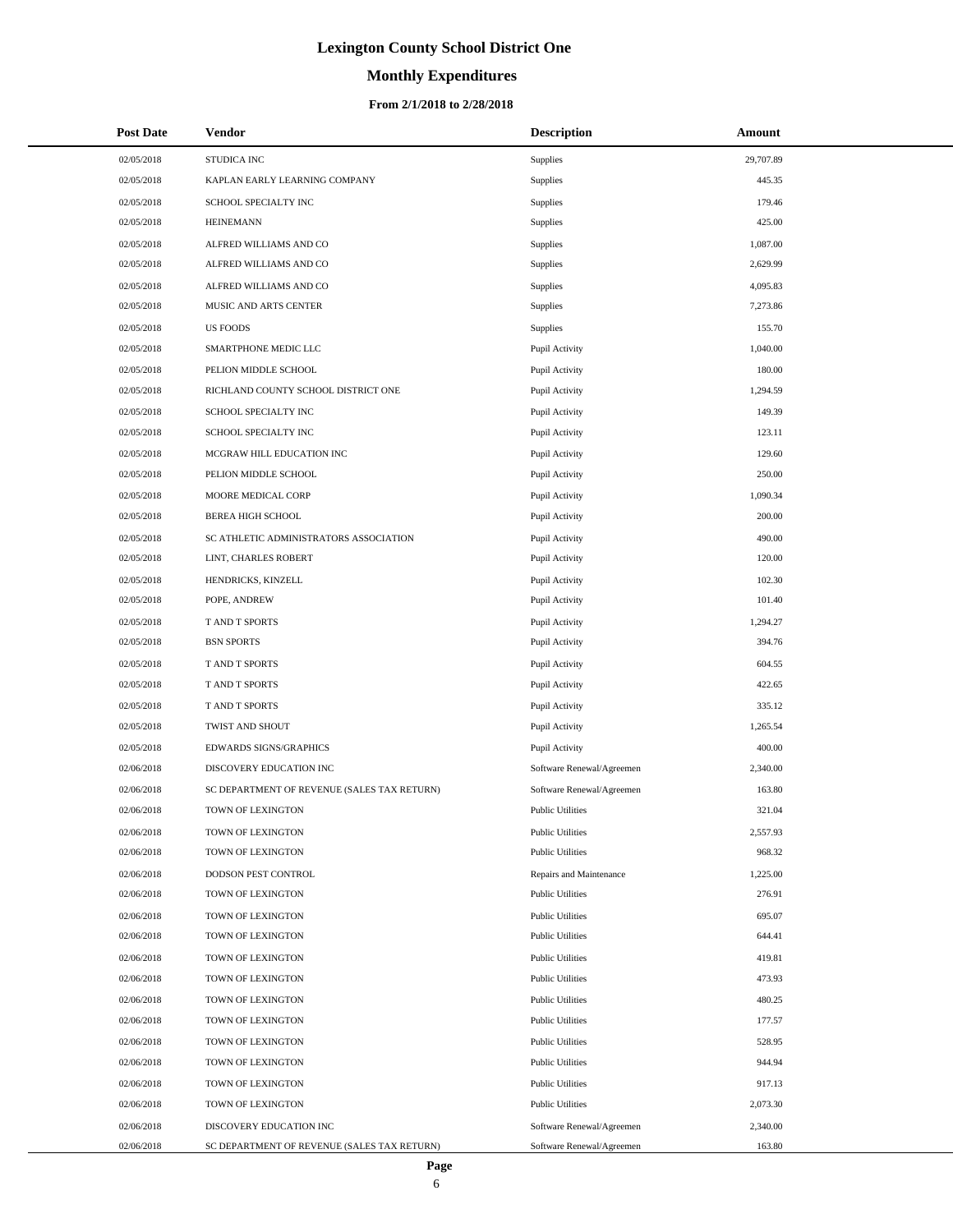# **Monthly Expenditures**

#### **From 2/1/2018 to 2/28/2018**

| <b>Post Date</b> | Vendor                                      | <b>Description</b>        | Amount    |
|------------------|---------------------------------------------|---------------------------|-----------|
| 02/05/2018       | STUDICA INC                                 | Supplies                  | 29,707.89 |
| 02/05/2018       | KAPLAN EARLY LEARNING COMPANY               | Supplies                  | 445.35    |
| 02/05/2018       | SCHOOL SPECIALTY INC                        | Supplies                  | 179.46    |
| 02/05/2018       | <b>HEINEMANN</b>                            | Supplies                  | 425.00    |
| 02/05/2018       | ALFRED WILLIAMS AND CO                      | Supplies                  | 1,087.00  |
| 02/05/2018       | ALFRED WILLIAMS AND CO                      | Supplies                  | 2,629.99  |
| 02/05/2018       | ALFRED WILLIAMS AND CO                      | Supplies                  | 4,095.83  |
| 02/05/2018       | MUSIC AND ARTS CENTER                       | Supplies                  | 7,273.86  |
| 02/05/2018       | <b>US FOODS</b>                             | Supplies                  | 155.70    |
| 02/05/2018       | SMARTPHONE MEDIC LLC                        | Pupil Activity            | 1,040.00  |
| 02/05/2018       | PELION MIDDLE SCHOOL                        | Pupil Activity            | 180.00    |
| 02/05/2018       | RICHLAND COUNTY SCHOOL DISTRICT ONE         | Pupil Activity            | 1,294.59  |
| 02/05/2018       | SCHOOL SPECIALTY INC                        | Pupil Activity            | 149.39    |
| 02/05/2018       | SCHOOL SPECIALTY INC                        | Pupil Activity            | 123.11    |
| 02/05/2018       | MCGRAW HILL EDUCATION INC                   | Pupil Activity            | 129.60    |
| 02/05/2018       | PELION MIDDLE SCHOOL                        | Pupil Activity            | 250.00    |
| 02/05/2018       | MOORE MEDICAL CORP                          | Pupil Activity            | 1,090.34  |
| 02/05/2018       | <b>BEREA HIGH SCHOOL</b>                    | Pupil Activity            | 200.00    |
| 02/05/2018       | SC ATHLETIC ADMINISTRATORS ASSOCIATION      | Pupil Activity            | 490.00    |
| 02/05/2018       | LINT, CHARLES ROBERT                        | Pupil Activity            | 120.00    |
| 02/05/2018       | HENDRICKS, KINZELL                          | Pupil Activity            | 102.30    |
| 02/05/2018       | POPE, ANDREW                                | Pupil Activity            | 101.40    |
| 02/05/2018       | T AND T SPORTS                              | Pupil Activity            | 1,294.27  |
| 02/05/2018       | <b>BSN SPORTS</b>                           | Pupil Activity            | 394.76    |
| 02/05/2018       | T AND T SPORTS                              | Pupil Activity            | 604.55    |
| 02/05/2018       | T AND T SPORTS                              | Pupil Activity            | 422.65    |
| 02/05/2018       | T AND T SPORTS                              | Pupil Activity            | 335.12    |
| 02/05/2018       | TWIST AND SHOUT                             | Pupil Activity            | 1,265.54  |
| 02/05/2018       | <b>EDWARDS SIGNS/GRAPHICS</b>               | Pupil Activity            | 400.00    |
| 02/06/2018       | DISCOVERY EDUCATION INC                     | Software Renewal/Agreemen | 2,340.00  |
| 02/06/2018       | SC DEPARTMENT OF REVENUE (SALES TAX RETURN) | Software Renewal/Agreemen | 163.80    |
| 02/06/2018       | TOWN OF LEXINGTON                           | <b>Public Utilities</b>   | 321.04    |
| 02/06/2018       | TOWN OF LEXINGTON                           | <b>Public Utilities</b>   | 2,557.93  |
| 02/06/2018       | TOWN OF LEXINGTON                           | <b>Public Utilities</b>   | 968.32    |
| 02/06/2018       | DODSON PEST CONTROL                         | Repairs and Maintenance   | 1,225.00  |
| 02/06/2018       | TOWN OF LEXINGTON                           | <b>Public Utilities</b>   | 276.91    |
| 02/06/2018       | TOWN OF LEXINGTON                           | <b>Public Utilities</b>   | 695.07    |
| 02/06/2018       | TOWN OF LEXINGTON                           | <b>Public Utilities</b>   | 644.41    |
| 02/06/2018       | TOWN OF LEXINGTON                           | <b>Public Utilities</b>   | 419.81    |
| 02/06/2018       | TOWN OF LEXINGTON                           | <b>Public Utilities</b>   | 473.93    |
| 02/06/2018       | TOWN OF LEXINGTON                           | <b>Public Utilities</b>   | 480.25    |
| 02/06/2018       | TOWN OF LEXINGTON                           | <b>Public Utilities</b>   | 177.57    |
| 02/06/2018       | TOWN OF LEXINGTON                           | <b>Public Utilities</b>   | 528.95    |
| 02/06/2018       | TOWN OF LEXINGTON                           | <b>Public Utilities</b>   | 944.94    |
| 02/06/2018       | TOWN OF LEXINGTON                           | <b>Public Utilities</b>   | 917.13    |
| 02/06/2018       | TOWN OF LEXINGTON                           | <b>Public Utilities</b>   | 2,073.30  |
| 02/06/2018       | DISCOVERY EDUCATION INC                     | Software Renewal/Agreemen | 2,340.00  |
| 02/06/2018       | SC DEPARTMENT OF REVENUE (SALES TAX RETURN) | Software Renewal/Agreemen | 163.80    |

 $\overline{a}$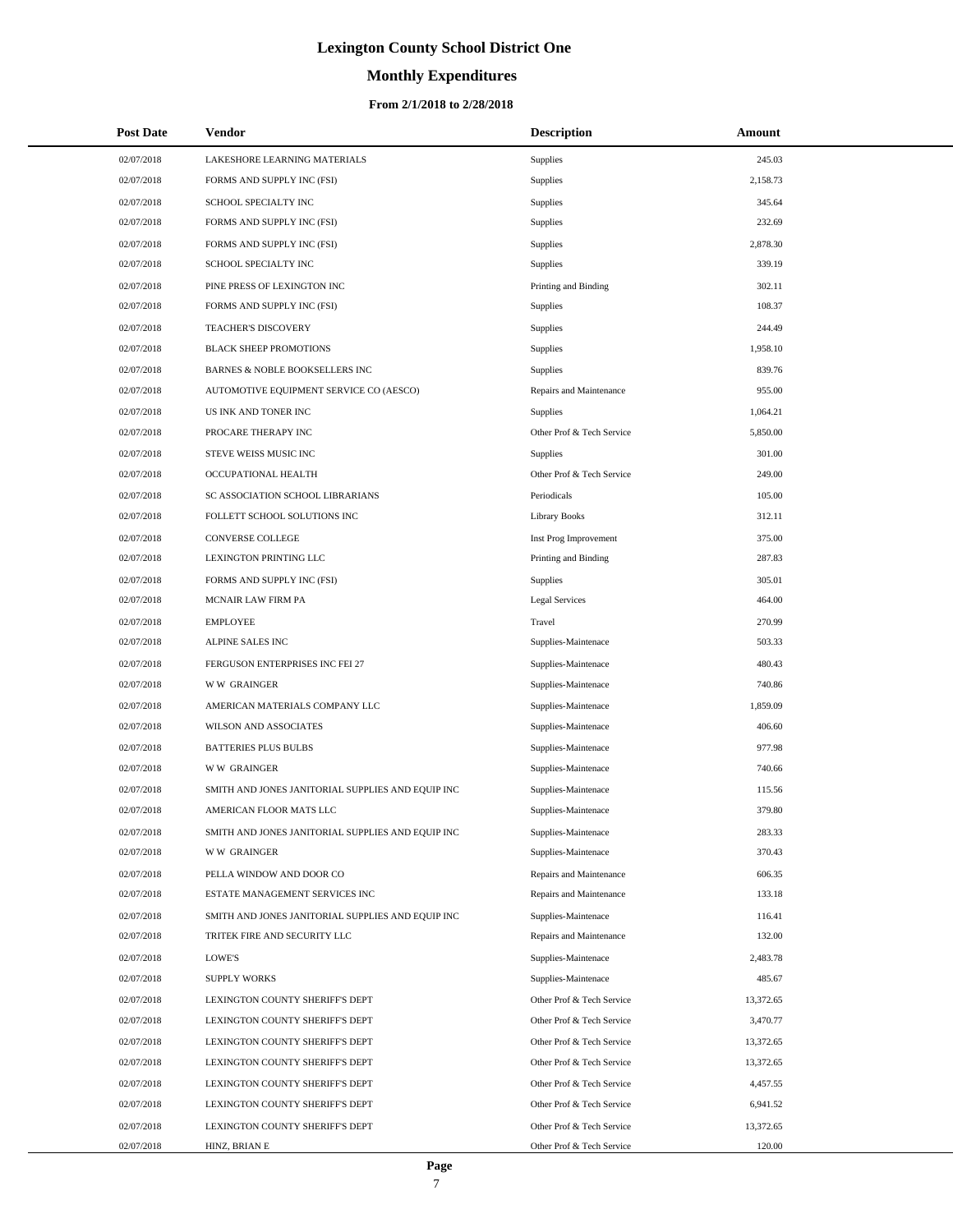# **Monthly Expenditures**

| <b>Post Date</b> | Vendor                                            | <b>Description</b>        | Amount    |  |
|------------------|---------------------------------------------------|---------------------------|-----------|--|
| 02/07/2018       | LAKESHORE LEARNING MATERIALS                      | Supplies                  | 245.03    |  |
| 02/07/2018       | FORMS AND SUPPLY INC (FSI)                        | Supplies                  | 2,158.73  |  |
| 02/07/2018       | SCHOOL SPECIALTY INC                              | Supplies                  | 345.64    |  |
| 02/07/2018       | FORMS AND SUPPLY INC (FSI)                        | <b>Supplies</b>           | 232.69    |  |
| 02/07/2018       | FORMS AND SUPPLY INC (FSI)                        | Supplies                  | 2,878.30  |  |
| 02/07/2018       | SCHOOL SPECIALTY INC                              | Supplies                  | 339.19    |  |
| 02/07/2018       | PINE PRESS OF LEXINGTON INC                       | Printing and Binding      | 302.11    |  |
| 02/07/2018       | FORMS AND SUPPLY INC (FSI)                        | Supplies                  | 108.37    |  |
| 02/07/2018       | <b>TEACHER'S DISCOVERY</b>                        | Supplies                  | 244.49    |  |
| 02/07/2018       | <b>BLACK SHEEP PROMOTIONS</b>                     | Supplies                  | 1,958.10  |  |
| 02/07/2018       | BARNES & NOBLE BOOKSELLERS INC                    | Supplies                  | 839.76    |  |
| 02/07/2018       | AUTOMOTIVE EQUIPMENT SERVICE CO (AESCO)           | Repairs and Maintenance   | 955.00    |  |
| 02/07/2018       | US INK AND TONER INC                              | <b>Supplies</b>           | 1,064.21  |  |
| 02/07/2018       | PROCARE THERAPY INC                               | Other Prof & Tech Service | 5,850.00  |  |
| 02/07/2018       | STEVE WEISS MUSIC INC                             | Supplies                  | 301.00    |  |
| 02/07/2018       | OCCUPATIONAL HEALTH                               | Other Prof & Tech Service | 249.00    |  |
| 02/07/2018       | SC ASSOCIATION SCHOOL LIBRARIANS                  | Periodicals               | 105.00    |  |
| 02/07/2018       | FOLLETT SCHOOL SOLUTIONS INC                      | <b>Library Books</b>      | 312.11    |  |
| 02/07/2018       | CONVERSE COLLEGE                                  | Inst Prog Improvement     | 375.00    |  |
| 02/07/2018       | LEXINGTON PRINTING LLC                            | Printing and Binding      | 287.83    |  |
| 02/07/2018       | FORMS AND SUPPLY INC (FSI)                        | Supplies                  | 305.01    |  |
| 02/07/2018       | <b>MCNAIR LAW FIRM PA</b>                         | <b>Legal Services</b>     | 464.00    |  |
| 02/07/2018       | <b>EMPLOYEE</b>                                   | Travel                    | 270.99    |  |
| 02/07/2018       | ALPINE SALES INC                                  | Supplies-Maintenace       | 503.33    |  |
| 02/07/2018       | FERGUSON ENTERPRISES INC FEI 27                   | Supplies-Maintenace       | 480.43    |  |
| 02/07/2018       | <b>WW GRAINGER</b>                                | Supplies-Maintenace       | 740.86    |  |
| 02/07/2018       | AMERICAN MATERIALS COMPANY LLC                    | Supplies-Maintenace       | 1,859.09  |  |
| 02/07/2018       | WILSON AND ASSOCIATES                             | Supplies-Maintenace       | 406.60    |  |
| 02/07/2018       | <b>BATTERIES PLUS BULBS</b>                       | Supplies-Maintenace       | 977.98    |  |
| 02/07/2018       | <b>WW GRAINGER</b>                                | Supplies-Maintenace       | 740.66    |  |
| 02/07/2018       | SMITH AND JONES JANITORIAL SUPPLIES AND EQUIP INC | Supplies-Maintenace       | 115.56    |  |
| 02/07/2018       | AMERICAN FLOOR MATS LLC                           | Supplies-Maintenace       | 379.80    |  |
| 02/07/2018       | SMITH AND JONES JANITORIAL SUPPLIES AND EQUIP INC | Supplies-Maintenace       | 283.33    |  |
| 02/07/2018       | <b>WW GRAINGER</b>                                | Supplies-Maintenace       | 370.43    |  |
| 02/07/2018       | PELLA WINDOW AND DOOR CO                          | Repairs and Maintenance   | 606.35    |  |
| 02/07/2018       | ESTATE MANAGEMENT SERVICES INC                    | Repairs and Maintenance   | 133.18    |  |
| 02/07/2018       | SMITH AND JONES JANITORIAL SUPPLIES AND EQUIP INC | Supplies-Maintenace       | 116.41    |  |
| 02/07/2018       | TRITEK FIRE AND SECURITY LLC                      | Repairs and Maintenance   | 132.00    |  |
| 02/07/2018       | LOWE'S                                            | Supplies-Maintenace       | 2,483.78  |  |
| 02/07/2018       | <b>SUPPLY WORKS</b>                               | Supplies-Maintenace       | 485.67    |  |
| 02/07/2018       | LEXINGTON COUNTY SHERIFF'S DEPT                   | Other Prof & Tech Service | 13,372.65 |  |
| 02/07/2018       | LEXINGTON COUNTY SHERIFF'S DEPT                   | Other Prof & Tech Service | 3,470.77  |  |
| 02/07/2018       | LEXINGTON COUNTY SHERIFF'S DEPT                   | Other Prof & Tech Service | 13,372.65 |  |
| 02/07/2018       | LEXINGTON COUNTY SHERIFF'S DEPT                   | Other Prof & Tech Service | 13,372.65 |  |
| 02/07/2018       | LEXINGTON COUNTY SHERIFF'S DEPT                   | Other Prof & Tech Service | 4,457.55  |  |
| 02/07/2018       | LEXINGTON COUNTY SHERIFF'S DEPT                   | Other Prof & Tech Service | 6,941.52  |  |
| 02/07/2018       | LEXINGTON COUNTY SHERIFF'S DEPT                   | Other Prof & Tech Service | 13,372.65 |  |
| 02/07/2018       | HINZ, BRIAN E                                     | Other Prof & Tech Service | 120.00    |  |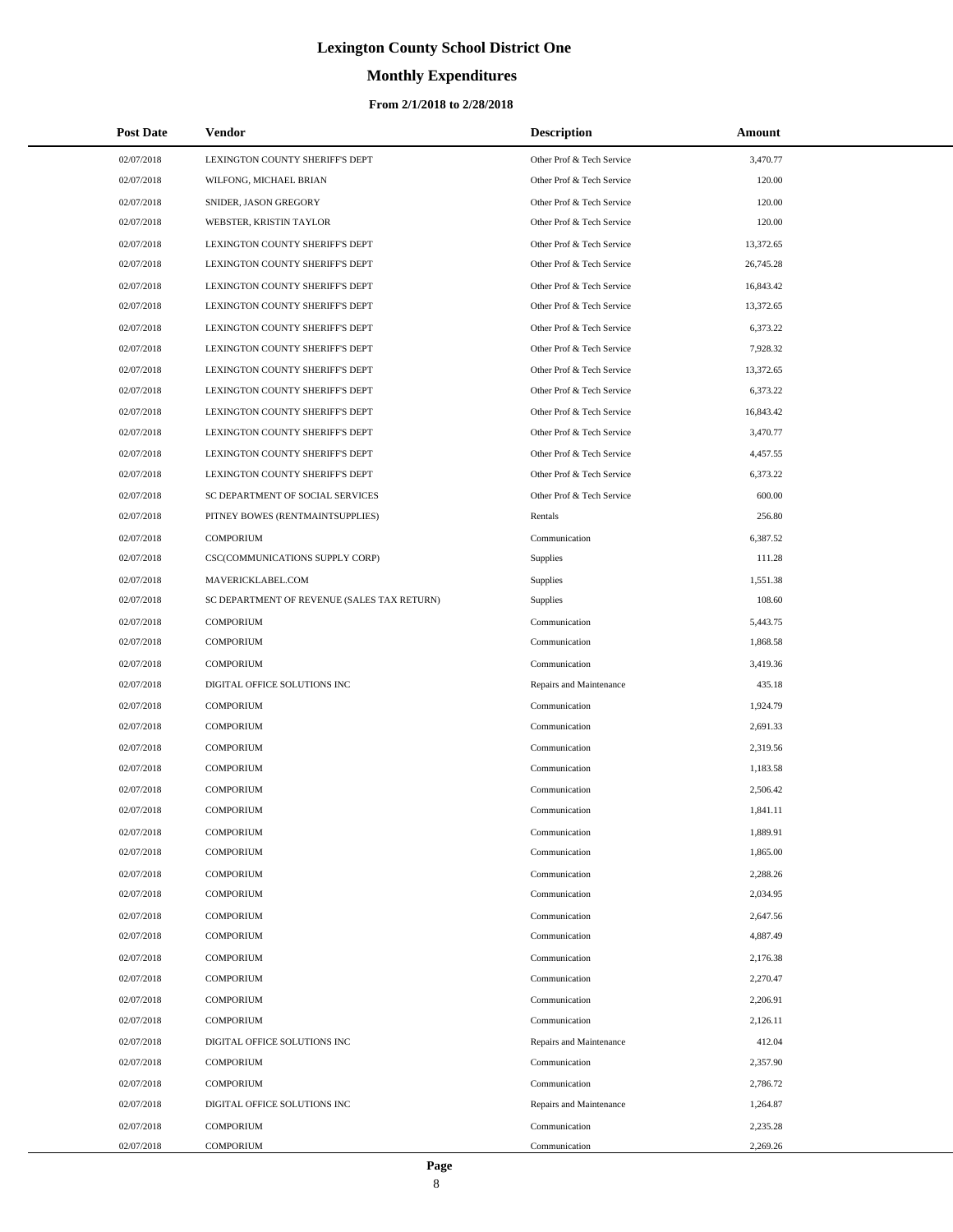# **Monthly Expenditures**

#### **From 2/1/2018 to 2/28/2018**

| <b>Post Date</b> | Vendor                                      | <b>Description</b>        | Amount    |
|------------------|---------------------------------------------|---------------------------|-----------|
| 02/07/2018       | LEXINGTON COUNTY SHERIFF'S DEPT             | Other Prof & Tech Service | 3,470.77  |
| 02/07/2018       | WILFONG, MICHAEL BRIAN                      | Other Prof & Tech Service | 120.00    |
| 02/07/2018       | SNIDER, JASON GREGORY                       | Other Prof & Tech Service | 120.00    |
| 02/07/2018       | WEBSTER, KRISTIN TAYLOR                     | Other Prof & Tech Service | 120.00    |
| 02/07/2018       | LEXINGTON COUNTY SHERIFF'S DEPT             | Other Prof & Tech Service | 13,372.65 |
| 02/07/2018       | LEXINGTON COUNTY SHERIFF'S DEPT             | Other Prof & Tech Service | 26,745.28 |
| 02/07/2018       | LEXINGTON COUNTY SHERIFF'S DEPT             | Other Prof & Tech Service | 16,843.42 |
| 02/07/2018       | LEXINGTON COUNTY SHERIFF'S DEPT             | Other Prof & Tech Service | 13,372.65 |
| 02/07/2018       | LEXINGTON COUNTY SHERIFF'S DEPT             | Other Prof & Tech Service | 6,373.22  |
| 02/07/2018       | LEXINGTON COUNTY SHERIFF'S DEPT             | Other Prof & Tech Service | 7,928.32  |
| 02/07/2018       | LEXINGTON COUNTY SHERIFF'S DEPT             | Other Prof & Tech Service | 13,372.65 |
| 02/07/2018       | LEXINGTON COUNTY SHERIFF'S DEPT             | Other Prof & Tech Service | 6,373.22  |
| 02/07/2018       | LEXINGTON COUNTY SHERIFF'S DEPT             | Other Prof & Tech Service | 16,843.42 |
| 02/07/2018       | LEXINGTON COUNTY SHERIFF'S DEPT             | Other Prof & Tech Service | 3,470.77  |
| 02/07/2018       | LEXINGTON COUNTY SHERIFF'S DEPT             | Other Prof & Tech Service | 4,457.55  |
| 02/07/2018       | LEXINGTON COUNTY SHERIFF'S DEPT             | Other Prof & Tech Service | 6,373.22  |
| 02/07/2018       | SC DEPARTMENT OF SOCIAL SERVICES            | Other Prof & Tech Service | 600.00    |
| 02/07/2018       | PITNEY BOWES (RENTMAINTSUPPLIES)            | Rentals                   | 256.80    |
| 02/07/2018       | <b>COMPORIUM</b>                            | Communication             | 6,387.52  |
| 02/07/2018       | CSC(COMMUNICATIONS SUPPLY CORP)             | Supplies                  | 111.28    |
| 02/07/2018       | MAVERICKLABEL.COM                           | Supplies                  | 1,551.38  |
| 02/07/2018       | SC DEPARTMENT OF REVENUE (SALES TAX RETURN) | <b>Supplies</b>           | 108.60    |
| 02/07/2018       | <b>COMPORIUM</b>                            | Communication             | 5,443.75  |
| 02/07/2018       | COMPORIUM                                   | Communication             | 1,868.58  |
| 02/07/2018       | <b>COMPORIUM</b>                            | Communication             | 3,419.36  |
| 02/07/2018       | DIGITAL OFFICE SOLUTIONS INC                | Repairs and Maintenance   | 435.18    |
| 02/07/2018       | <b>COMPORIUM</b>                            | Communication             | 1,924.79  |
| 02/07/2018       | COMPORIUM                                   | Communication             | 2,691.33  |
| 02/07/2018       | <b>COMPORIUM</b>                            | Communication             | 2,319.56  |
| 02/07/2018       | <b>COMPORIUM</b>                            | Communication             | 1,183.58  |
| 02/07/2018       | COMPORIUM                                   | Communication             | 2,506.42  |
| 02/07/2018       | <b>COMPORIUM</b>                            | Communication             | 1,841.11  |
| 02/07/2018       | <b>COMPORIUM</b>                            | Communication             | 1,889.91  |
| 02/07/2018       | <b>COMPORIUM</b>                            | Communication             | 1,865.00  |
| 02/07/2018       | <b>COMPORIUM</b>                            | Communication             | 2,288.26  |
| 02/07/2018       | <b>COMPORIUM</b>                            | Communication             | 2,034.95  |
| 02/07/2018       | <b>COMPORIUM</b>                            | Communication             | 2,647.56  |
| 02/07/2018       | <b>COMPORIUM</b>                            | Communication             | 4,887.49  |
| 02/07/2018       | <b>COMPORIUM</b>                            | Communication             | 2,176.38  |
| 02/07/2018       | <b>COMPORIUM</b>                            | Communication             | 2,270.47  |
| 02/07/2018       | <b>COMPORIUM</b>                            | Communication             | 2,206.91  |
| 02/07/2018       | <b>COMPORIUM</b>                            | Communication             | 2,126.11  |
| 02/07/2018       | DIGITAL OFFICE SOLUTIONS INC                | Repairs and Maintenance   | 412.04    |
| 02/07/2018       | <b>COMPORIUM</b>                            | Communication             | 2,357.90  |
| 02/07/2018       | <b>COMPORIUM</b>                            | Communication             | 2,786.72  |
| 02/07/2018       | DIGITAL OFFICE SOLUTIONS INC                | Repairs and Maintenance   | 1,264.87  |
| 02/07/2018       | <b>COMPORIUM</b>                            | Communication             | 2,235.28  |
| 02/07/2018       | <b>COMPORIUM</b>                            | Communication             | 2,269.26  |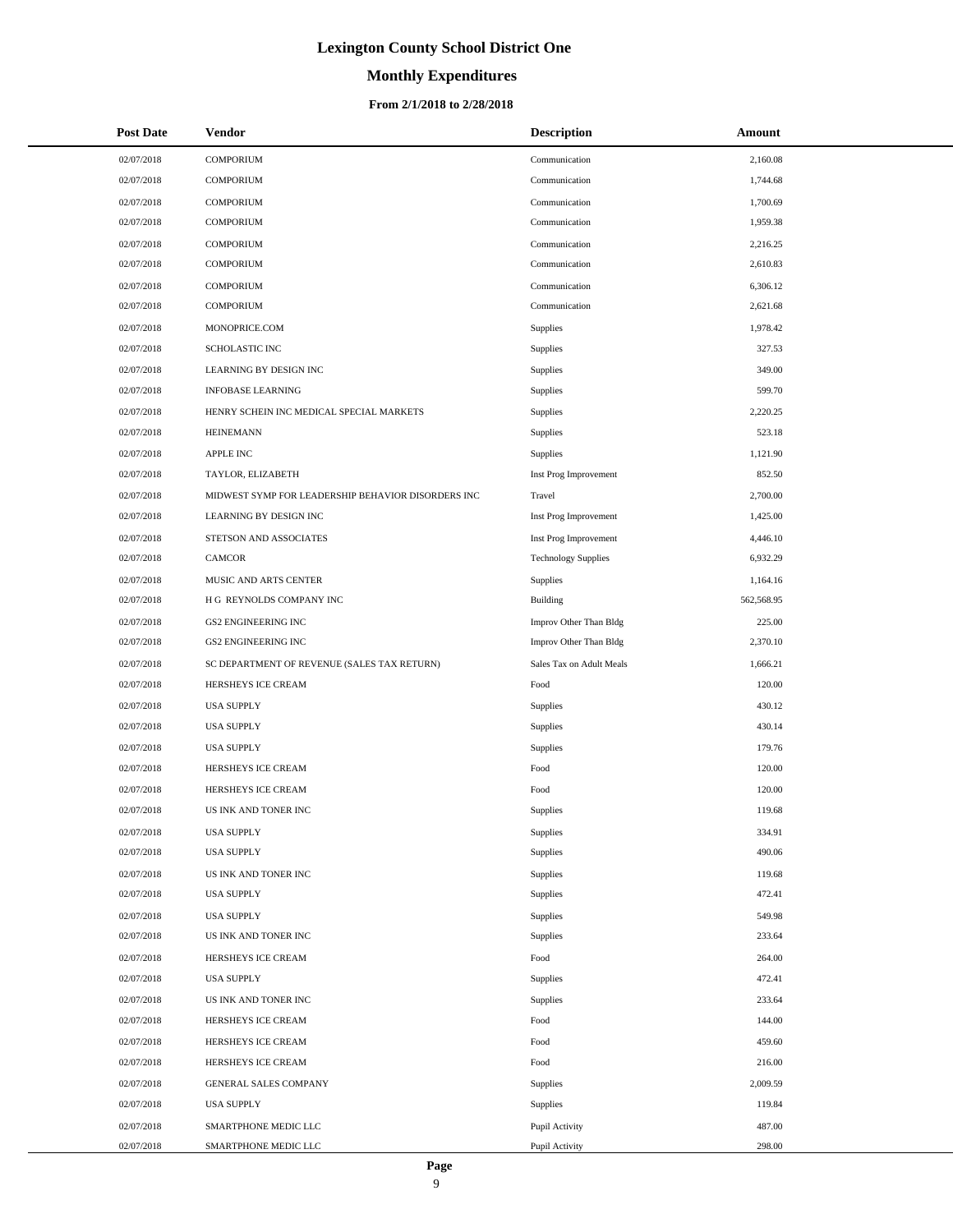#### **Monthly Expenditures**

#### **From 2/1/2018 to 2/28/2018**

| <b>Post Date</b> | Vendor                                             | <b>Description</b>         | Amount     |
|------------------|----------------------------------------------------|----------------------------|------------|
| 02/07/2018       | <b>COMPORIUM</b>                                   | Communication              | 2,160.08   |
| 02/07/2018       | <b>COMPORIUM</b>                                   | Communication              | 1,744.68   |
| 02/07/2018       | <b>COMPORIUM</b>                                   | Communication              | 1,700.69   |
| 02/07/2018       | <b>COMPORIUM</b>                                   | Communication              | 1,959.38   |
| 02/07/2018       | <b>COMPORIUM</b>                                   | Communication              | 2,216.25   |
| 02/07/2018       | <b>COMPORIUM</b>                                   | Communication              | 2,610.83   |
| 02/07/2018       | <b>COMPORIUM</b>                                   | Communication              | 6,306.12   |
| 02/07/2018       | <b>COMPORIUM</b>                                   | Communication              | 2,621.68   |
| 02/07/2018       | MONOPRICE.COM                                      | Supplies                   | 1.978.42   |
| 02/07/2018       | <b>SCHOLASTIC INC</b>                              | Supplies                   | 327.53     |
| 02/07/2018       | LEARNING BY DESIGN INC                             | Supplies                   | 349.00     |
| 02/07/2018       | <b>INFOBASE LEARNING</b>                           | Supplies                   | 599.70     |
| 02/07/2018       | HENRY SCHEIN INC MEDICAL SPECIAL MARKETS           | Supplies                   | 2,220.25   |
| 02/07/2018       | <b>HEINEMANN</b>                                   | Supplies                   | 523.18     |
| 02/07/2018       | <b>APPLE INC</b>                                   | Supplies                   | 1,121.90   |
| 02/07/2018       | TAYLOR, ELIZABETH                                  | Inst Prog Improvement      | 852.50     |
| 02/07/2018       | MIDWEST SYMP FOR LEADERSHIP BEHAVIOR DISORDERS INC | Travel                     | 2,700.00   |
| 02/07/2018       | <b>LEARNING BY DESIGN INC</b>                      | Inst Prog Improvement      | 1,425.00   |
| 02/07/2018       | STETSON AND ASSOCIATES                             | Inst Prog Improvement      | 4,446.10   |
| 02/07/2018       | <b>CAMCOR</b>                                      | <b>Technology Supplies</b> | 6,932.29   |
| 02/07/2018       | MUSIC AND ARTS CENTER                              | Supplies                   | 1,164.16   |
| 02/07/2018       | H G REYNOLDS COMPANY INC                           | Building                   | 562,568.95 |
| 02/07/2018       | <b>GS2 ENGINEERING INC</b>                         | Improv Other Than Bldg     | 225.00     |
| 02/07/2018       | <b>GS2 ENGINEERING INC</b>                         | Improv Other Than Bldg     | 2,370.10   |
| 02/07/2018       | SC DEPARTMENT OF REVENUE (SALES TAX RETURN)        | Sales Tax on Adult Meals   | 1,666.21   |
| 02/07/2018       | HERSHEYS ICE CREAM                                 | Food                       | 120.00     |
| 02/07/2018       | <b>USA SUPPLY</b>                                  | Supplies                   | 430.12     |
| 02/07/2018       | <b>USA SUPPLY</b>                                  | Supplies                   | 430.14     |
| 02/07/2018       | <b>USA SUPPLY</b>                                  | Supplies                   | 179.76     |
| 02/07/2018       | HERSHEYS ICE CREAM                                 | Food                       | 120.00     |
| 02/07/2018       | HERSHEYS ICE CREAM                                 | Food                       | 120.00     |
| 02/07/2018       | US INK AND TONER INC                               | Supplies                   | 119.68     |
| 02/07/2018       | <b>USA SUPPLY</b>                                  | Supplies                   | 334.91     |
| 02/07/2018       | <b>USA SUPPLY</b>                                  | Supplies                   | 490.06     |
| 02/07/2018       | US INK AND TONER INC                               | Supplies                   | 119.68     |
| 02/07/2018       | <b>USA SUPPLY</b>                                  | Supplies                   | 472.41     |
| 02/07/2018       | <b>USA SUPPLY</b>                                  | Supplies                   | 549.98     |
| 02/07/2018       | US INK AND TONER INC                               | Supplies                   | 233.64     |
| 02/07/2018       | HERSHEYS ICE CREAM                                 | Food                       | 264.00     |
| 02/07/2018       | <b>USA SUPPLY</b>                                  | Supplies                   | 472.41     |
| 02/07/2018       | US INK AND TONER INC                               | Supplies                   | 233.64     |
| 02/07/2018       | HERSHEYS ICE CREAM                                 | Food                       | 144.00     |
| 02/07/2018       | HERSHEYS ICE CREAM                                 | Food                       | 459.60     |
| 02/07/2018       | HERSHEYS ICE CREAM                                 | Food                       | 216.00     |
| 02/07/2018       | GENERAL SALES COMPANY                              | Supplies                   | 2,009.59   |
| 02/07/2018       | <b>USA SUPPLY</b>                                  | Supplies                   | 119.84     |
| 02/07/2018       | SMARTPHONE MEDIC LLC                               | Pupil Activity             | 487.00     |
| 02/07/2018       | SMARTPHONE MEDIC LLC                               | Pupil Activity             | 298.00     |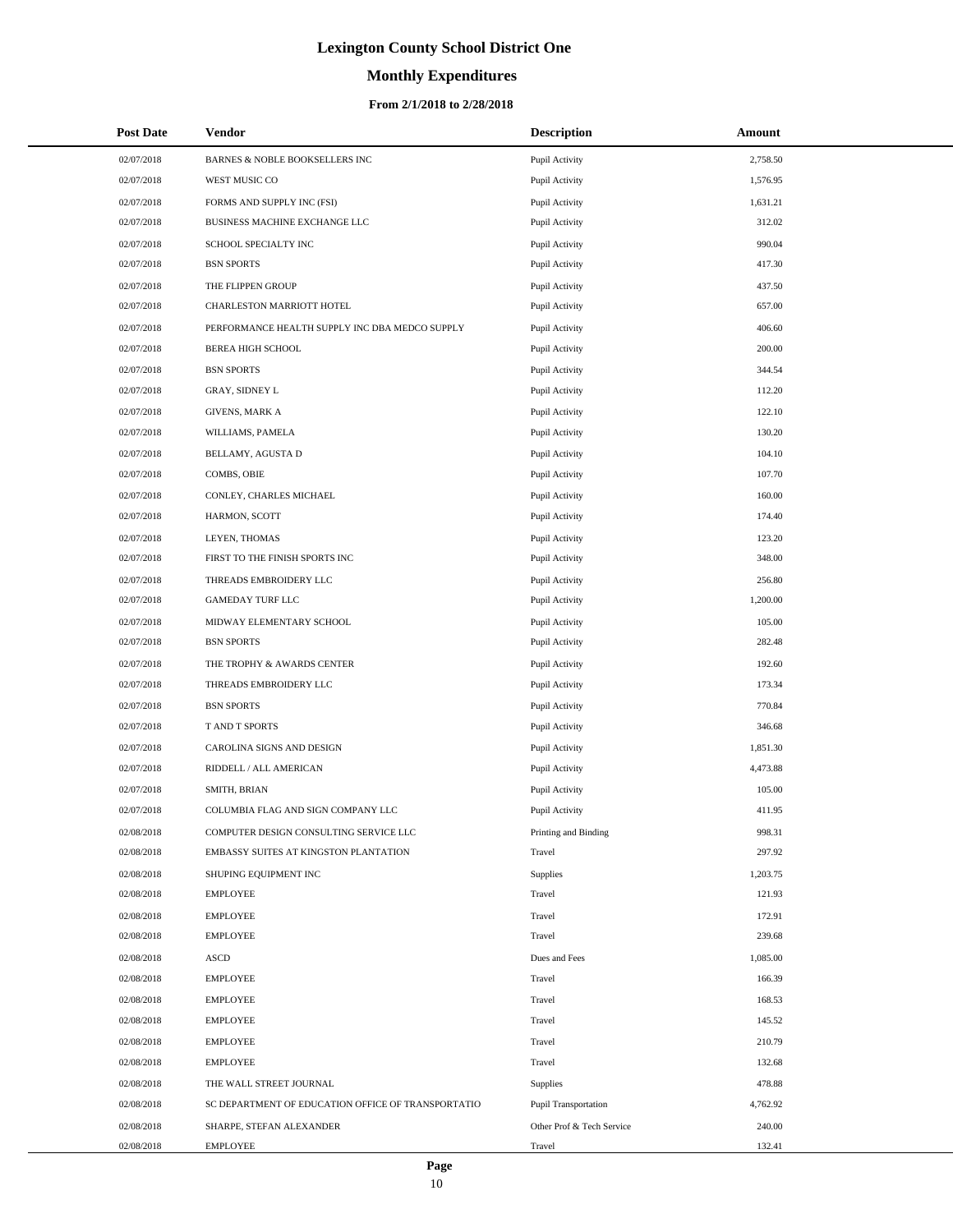# **Monthly Expenditures**

| <b>Post Date</b> | Vendor                                             | <b>Description</b>        | Amount   |
|------------------|----------------------------------------------------|---------------------------|----------|
| 02/07/2018       | BARNES & NOBLE BOOKSELLERS INC                     | Pupil Activity            | 2,758.50 |
| 02/07/2018       | WEST MUSIC CO                                      | Pupil Activity            | 1,576.95 |
| 02/07/2018       | FORMS AND SUPPLY INC (FSI)                         | Pupil Activity            | 1,631.21 |
| 02/07/2018       | BUSINESS MACHINE EXCHANGE LLC                      | Pupil Activity            | 312.02   |
| 02/07/2018       | SCHOOL SPECIALTY INC                               | Pupil Activity            | 990.04   |
| 02/07/2018       | <b>BSN SPORTS</b>                                  | Pupil Activity            | 417.30   |
| 02/07/2018       | THE FLIPPEN GROUP                                  | Pupil Activity            | 437.50   |
| 02/07/2018       | CHARLESTON MARRIOTT HOTEL                          | Pupil Activity            | 657.00   |
| 02/07/2018       | PERFORMANCE HEALTH SUPPLY INC DBA MEDCO SUPPLY     | Pupil Activity            | 406.60   |
| 02/07/2018       | <b>BEREA HIGH SCHOOL</b>                           | Pupil Activity            | 200.00   |
| 02/07/2018       | <b>BSN SPORTS</b>                                  | Pupil Activity            | 344.54   |
| 02/07/2018       | GRAY, SIDNEY L                                     | Pupil Activity            | 112.20   |
| 02/07/2018       | <b>GIVENS, MARK A</b>                              | Pupil Activity            | 122.10   |
| 02/07/2018       | WILLIAMS, PAMELA                                   | Pupil Activity            | 130.20   |
| 02/07/2018       | BELLAMY, AGUSTA D                                  | Pupil Activity            | 104.10   |
| 02/07/2018       | COMBS, OBIE                                        | Pupil Activity            | 107.70   |
| 02/07/2018       | CONLEY, CHARLES MICHAEL                            | Pupil Activity            | 160.00   |
| 02/07/2018       | HARMON, SCOTT                                      | Pupil Activity            | 174.40   |
| 02/07/2018       | LEYEN, THOMAS                                      | Pupil Activity            | 123.20   |
| 02/07/2018       | FIRST TO THE FINISH SPORTS INC                     | Pupil Activity            | 348.00   |
| 02/07/2018       | THREADS EMBROIDERY LLC                             | Pupil Activity            | 256.80   |
| 02/07/2018       | <b>GAMEDAY TURF LLC</b>                            | Pupil Activity            | 1,200.00 |
| 02/07/2018       | MIDWAY ELEMENTARY SCHOOL                           | Pupil Activity            | 105.00   |
| 02/07/2018       | <b>BSN SPORTS</b>                                  | Pupil Activity            | 282.48   |
| 02/07/2018       | THE TROPHY & AWARDS CENTER                         | Pupil Activity            | 192.60   |
| 02/07/2018       | THREADS EMBROIDERY LLC                             | Pupil Activity            | 173.34   |
| 02/07/2018       | <b>BSN SPORTS</b>                                  | Pupil Activity            | 770.84   |
| 02/07/2018       | T AND T SPORTS                                     | Pupil Activity            | 346.68   |
| 02/07/2018       | CAROLINA SIGNS AND DESIGN                          | Pupil Activity            | 1,851.30 |
| 02/07/2018       | RIDDELL / ALL AMERICAN                             | Pupil Activity            | 4,473.88 |
| 02/07/2018       | SMITH, BRIAN                                       | Pupil Activity            | 105.00   |
| 02/07/2018       | COLUMBIA FLAG AND SIGN COMPANY LLC                 | Pupil Activity            | 411.95   |
| 02/08/2018       | COMPUTER DESIGN CONSULTING SERVICE LLC             | Printing and Binding      | 998.31   |
| 02/08/2018       | EMBASSY SUITES AT KINGSTON PLANTATION              | Travel                    | 297.92   |
| 02/08/2018       | SHUPING EQUIPMENT INC                              | Supplies                  | 1,203.75 |
| 02/08/2018       | <b>EMPLOYEE</b>                                    | Travel                    | 121.93   |
| 02/08/2018       | <b>EMPLOYEE</b>                                    | Travel                    | 172.91   |
| 02/08/2018       | <b>EMPLOYEE</b>                                    | Travel                    | 239.68   |
| 02/08/2018       | ASCD                                               | Dues and Fees             | 1,085.00 |
| 02/08/2018       | <b>EMPLOYEE</b>                                    | Travel                    | 166.39   |
| 02/08/2018       | <b>EMPLOYEE</b>                                    | Travel                    | 168.53   |
| 02/08/2018       | <b>EMPLOYEE</b>                                    | Travel                    | 145.52   |
| 02/08/2018       | <b>EMPLOYEE</b>                                    | Travel                    | 210.79   |
| 02/08/2018       | <b>EMPLOYEE</b>                                    | Travel                    | 132.68   |
| 02/08/2018       | THE WALL STREET JOURNAL                            | Supplies                  | 478.88   |
| 02/08/2018       | SC DEPARTMENT OF EDUCATION OFFICE OF TRANSPORTATIO | Pupil Transportation      | 4,762.92 |
| 02/08/2018       | SHARPE, STEFAN ALEXANDER                           | Other Prof & Tech Service | 240.00   |
| 02/08/2018       | EMPLOYEE                                           | Travel                    | 132.41   |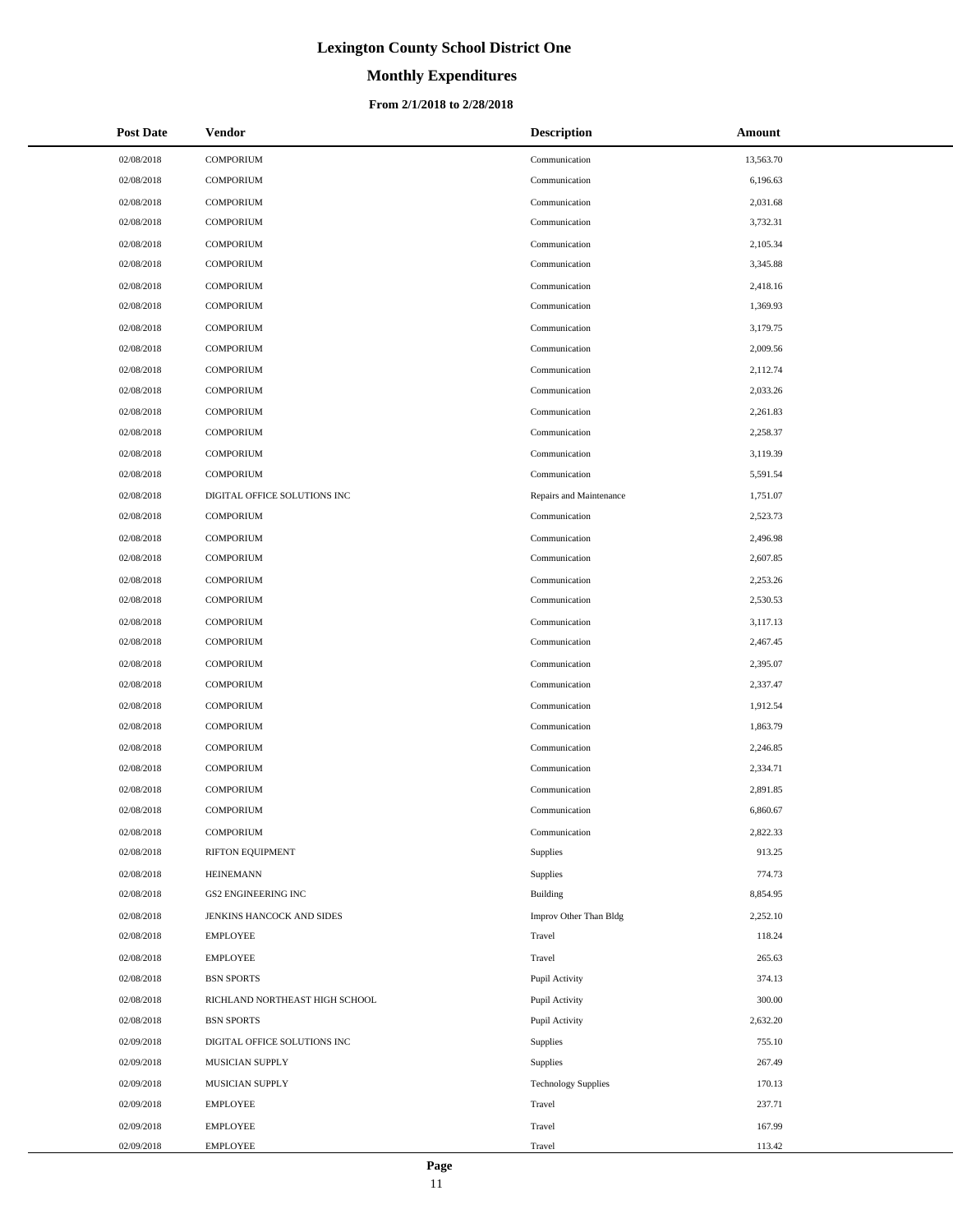# **Monthly Expenditures**

#### **From 2/1/2018 to 2/28/2018**

| <b>Post Date</b> | Vendor                         | <b>Description</b>         | Amount    |
|------------------|--------------------------------|----------------------------|-----------|
| 02/08/2018       | COMPORIUM                      | Communication              | 13,563.70 |
| 02/08/2018       | <b>COMPORIUM</b>               | Communication              | 6,196.63  |
| 02/08/2018       | <b>COMPORIUM</b>               | Communication              | 2,031.68  |
| 02/08/2018       | <b>COMPORIUM</b>               | Communication              | 3,732.31  |
| 02/08/2018       | <b>COMPORIUM</b>               | Communication              | 2,105.34  |
| 02/08/2018       | <b>COMPORIUM</b>               | Communication              | 3,345.88  |
| 02/08/2018       | <b>COMPORIUM</b>               | Communication              | 2,418.16  |
| 02/08/2018       | <b>COMPORIUM</b>               | Communication              | 1,369.93  |
| 02/08/2018       | <b>COMPORIUM</b>               | Communication              | 3,179.75  |
| 02/08/2018       | <b>COMPORIUM</b>               | Communication              | 2,009.56  |
| 02/08/2018       | <b>COMPORIUM</b>               | Communication              | 2,112.74  |
| 02/08/2018       | <b>COMPORIUM</b>               | Communication              | 2,033.26  |
| 02/08/2018       | <b>COMPORIUM</b>               | Communication              | 2,261.83  |
| 02/08/2018       | <b>COMPORIUM</b>               | Communication              | 2,258.37  |
| 02/08/2018       | <b>COMPORIUM</b>               | Communication              | 3,119.39  |
| 02/08/2018       | <b>COMPORIUM</b>               | Communication              | 5,591.54  |
| 02/08/2018       | DIGITAL OFFICE SOLUTIONS INC   | Repairs and Maintenance    | 1,751.07  |
| 02/08/2018       | <b>COMPORIUM</b>               | Communication              | 2,523.73  |
| 02/08/2018       | <b>COMPORIUM</b>               | Communication              | 2,496.98  |
| 02/08/2018       | <b>COMPORIUM</b>               | Communication              | 2,607.85  |
| 02/08/2018       | <b>COMPORIUM</b>               | Communication              | 2,253.26  |
| 02/08/2018       | <b>COMPORIUM</b>               | Communication              | 2,530.53  |
| 02/08/2018       | <b>COMPORIUM</b>               | Communication              | 3,117.13  |
| 02/08/2018       | <b>COMPORIUM</b>               | Communication              | 2,467.45  |
| 02/08/2018       | <b>COMPORIUM</b>               | Communication              | 2,395.07  |
| 02/08/2018       | <b>COMPORIUM</b>               | Communication              | 2,337.47  |
| 02/08/2018       | <b>COMPORIUM</b>               | Communication              | 1,912.54  |
| 02/08/2018       | <b>COMPORIUM</b>               | Communication              | 1,863.79  |
| 02/08/2018       | <b>COMPORIUM</b>               | Communication              | 2,246.85  |
| 02/08/2018       | <b>COMPORIUM</b>               | Communication              | 2,334.71  |
| 02/08/2018       | <b>COMPORIUM</b>               | Communication              | 2,891.85  |
| 02/08/2018       | <b>COMPORIUM</b>               | Communication              | 6,860.67  |
| 02/08/2018       | COMPORIUM                      | Communication              | 2,822.33  |
| 02/08/2018       | RIFTON EQUIPMENT               | Supplies                   | 913.25    |
| 02/08/2018       | HEINEMANN                      | Supplies                   | 774.73    |
| 02/08/2018       | <b>GS2 ENGINEERING INC</b>     | <b>Building</b>            | 8,854.95  |
| 02/08/2018       | JENKINS HANCOCK AND SIDES      | Improv Other Than Bldg     | 2,252.10  |
| 02/08/2018       | <b>EMPLOYEE</b>                | Travel                     | 118.24    |
| 02/08/2018       | <b>EMPLOYEE</b>                | Travel                     | 265.63    |
| 02/08/2018       | <b>BSN SPORTS</b>              | Pupil Activity             | 374.13    |
| 02/08/2018       | RICHLAND NORTHEAST HIGH SCHOOL | Pupil Activity             | 300.00    |
| 02/08/2018       | <b>BSN SPORTS</b>              | Pupil Activity             | 2,632.20  |
| 02/09/2018       | DIGITAL OFFICE SOLUTIONS INC   | <b>Supplies</b>            | 755.10    |
| 02/09/2018       | MUSICIAN SUPPLY                | Supplies                   | 267.49    |
| 02/09/2018       | MUSICIAN SUPPLY                | <b>Technology Supplies</b> | 170.13    |
| 02/09/2018       | EMPLOYEE                       | Travel                     | 237.71    |
| 02/09/2018       | <b>EMPLOYEE</b>                | Travel                     | 167.99    |
| 02/09/2018       | <b>EMPLOYEE</b>                | Travel                     | 113.42    |

 $\overline{a}$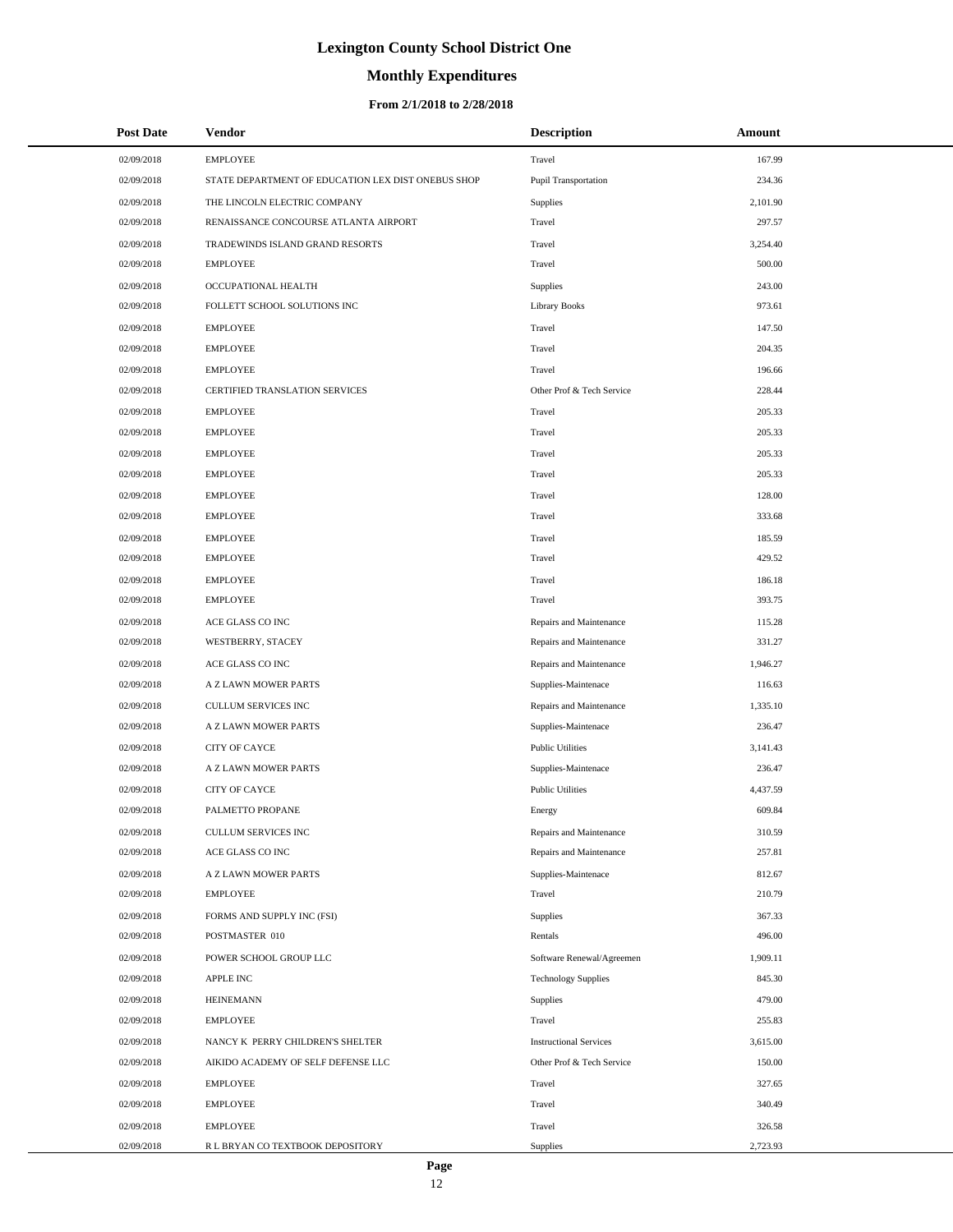# **Monthly Expenditures**

| <b>Post Date</b> | Vendor                                             | <b>Description</b>            | Amount   |
|------------------|----------------------------------------------------|-------------------------------|----------|
| 02/09/2018       | <b>EMPLOYEE</b>                                    | Travel                        | 167.99   |
| 02/09/2018       | STATE DEPARTMENT OF EDUCATION LEX DIST ONEBUS SHOP | Pupil Transportation          | 234.36   |
| 02/09/2018       | THE LINCOLN ELECTRIC COMPANY                       | Supplies                      | 2,101.90 |
| 02/09/2018       | RENAISSANCE CONCOURSE ATLANTA AIRPORT              | Travel                        | 297.57   |
| 02/09/2018       | TRADEWINDS ISLAND GRAND RESORTS                    | Travel                        | 3,254.40 |
| 02/09/2018       | <b>EMPLOYEE</b>                                    | Travel                        | 500.00   |
| 02/09/2018       | OCCUPATIONAL HEALTH                                | <b>Supplies</b>               | 243.00   |
| 02/09/2018       | FOLLETT SCHOOL SOLUTIONS INC                       | <b>Library Books</b>          | 973.61   |
| 02/09/2018       | <b>EMPLOYEE</b>                                    | Travel                        | 147.50   |
| 02/09/2018       | <b>EMPLOYEE</b>                                    | Travel                        | 204.35   |
| 02/09/2018       | <b>EMPLOYEE</b>                                    | Travel                        | 196.66   |
| 02/09/2018       | CERTIFIED TRANSLATION SERVICES                     | Other Prof & Tech Service     | 228.44   |
| 02/09/2018       | <b>EMPLOYEE</b>                                    | Travel                        | 205.33   |
| 02/09/2018       | <b>EMPLOYEE</b>                                    | Travel                        | 205.33   |
| 02/09/2018       | <b>EMPLOYEE</b>                                    | Travel                        | 205.33   |
| 02/09/2018       | <b>EMPLOYEE</b>                                    | Travel                        | 205.33   |
| 02/09/2018       | <b>EMPLOYEE</b>                                    | Travel                        | 128.00   |
| 02/09/2018       | <b>EMPLOYEE</b>                                    | Travel                        | 333.68   |
| 02/09/2018       | <b>EMPLOYEE</b>                                    | Travel                        | 185.59   |
| 02/09/2018       | <b>EMPLOYEE</b>                                    | Travel                        | 429.52   |
| 02/09/2018       | <b>EMPLOYEE</b>                                    | Travel                        | 186.18   |
| 02/09/2018       | <b>EMPLOYEE</b>                                    | Travel                        | 393.75   |
| 02/09/2018       | ACE GLASS CO INC                                   | Repairs and Maintenance       | 115.28   |
| 02/09/2018       | WESTBERRY, STACEY                                  | Repairs and Maintenance       | 331.27   |
| 02/09/2018       | ACE GLASS CO INC                                   | Repairs and Maintenance       | 1,946.27 |
| 02/09/2018       | A Z LAWN MOWER PARTS                               | Supplies-Maintenace           | 116.63   |
| 02/09/2018       | CULLUM SERVICES INC                                | Repairs and Maintenance       | 1,335.10 |
| 02/09/2018       | A Z LAWN MOWER PARTS                               | Supplies-Maintenace           | 236.47   |
| 02/09/2018       | <b>CITY OF CAYCE</b>                               | <b>Public Utilities</b>       | 3,141.43 |
| 02/09/2018       | A Z LAWN MOWER PARTS                               | Supplies-Maintenace           | 236.47   |
| 02/09/2018       | CITY OF CAYCE                                      | <b>Public Utilities</b>       | 4,437.59 |
| 02/09/2018       | PALMETTO PROPANE                                   | Energy                        | 609.84   |
| 02/09/2018       | CULLUM SERVICES INC                                | Repairs and Maintenance       | 310.59   |
| 02/09/2018       | ACE GLASS CO INC                                   | Repairs and Maintenance       | 257.81   |
| 02/09/2018       | A Z LAWN MOWER PARTS                               | Supplies-Maintenace           | 812.67   |
| 02/09/2018       | <b>EMPLOYEE</b>                                    | Travel                        | 210.79   |
| 02/09/2018       | FORMS AND SUPPLY INC (FSI)                         | <b>Supplies</b>               | 367.33   |
| 02/09/2018       | POSTMASTER 010                                     | Rentals                       | 496.00   |
| 02/09/2018       | POWER SCHOOL GROUP LLC                             | Software Renewal/Agreemen     | 1,909.11 |
| 02/09/2018       | <b>APPLE INC</b>                                   | <b>Technology Supplies</b>    | 845.30   |
| 02/09/2018       | <b>HEINEMANN</b>                                   | <b>Supplies</b>               | 479.00   |
| 02/09/2018       | <b>EMPLOYEE</b>                                    | Travel                        | 255.83   |
| 02/09/2018       | NANCY K PERRY CHILDREN'S SHELTER                   | <b>Instructional Services</b> | 3,615.00 |
| 02/09/2018       | AIKIDO ACADEMY OF SELF DEFENSE LLC                 | Other Prof & Tech Service     | 150.00   |
| 02/09/2018       | <b>EMPLOYEE</b>                                    | Travel                        | 327.65   |
| 02/09/2018       | <b>EMPLOYEE</b>                                    | Travel                        | 340.49   |
| 02/09/2018       | <b>EMPLOYEE</b>                                    | Travel                        | 326.58   |
| 02/09/2018       | R L BRYAN CO TEXTBOOK DEPOSITORY                   | Supplies                      | 2,723.93 |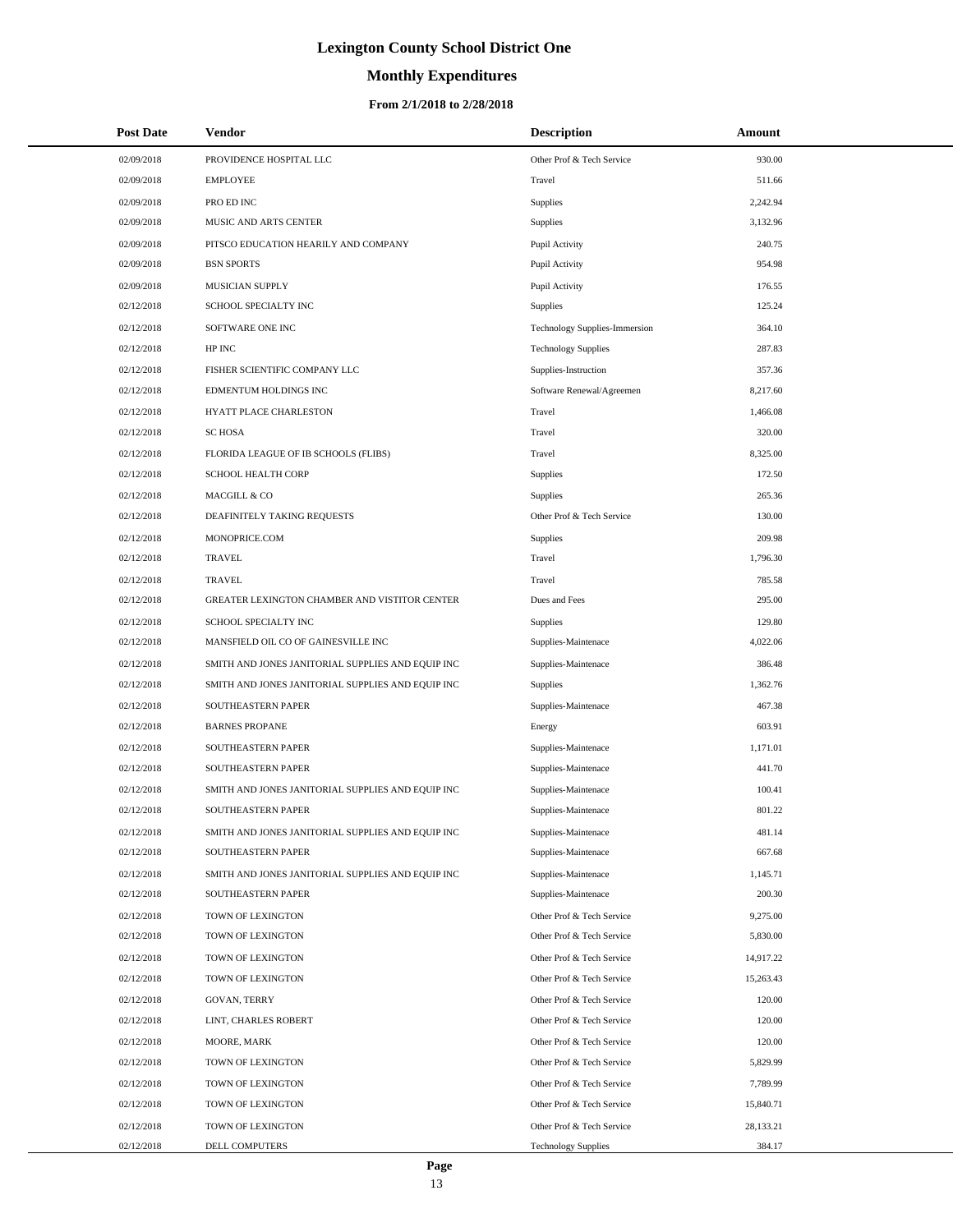# **Monthly Expenditures**

| <b>Post Date</b> | <b>Vendor</b>                                     | <b>Description</b>                   | Amount    |
|------------------|---------------------------------------------------|--------------------------------------|-----------|
| 02/09/2018       | PROVIDENCE HOSPITAL LLC                           | Other Prof & Tech Service            | 930.00    |
| 02/09/2018       | <b>EMPLOYEE</b>                                   | Travel                               | 511.66    |
| 02/09/2018       | PRO ED INC                                        | Supplies                             | 2,242.94  |
| 02/09/2018       | MUSIC AND ARTS CENTER                             | Supplies                             | 3,132.96  |
| 02/09/2018       | PITSCO EDUCATION HEARILY AND COMPANY              | Pupil Activity                       | 240.75    |
| 02/09/2018       | <b>BSN SPORTS</b>                                 | Pupil Activity                       | 954.98    |
| 02/09/2018       | <b>MUSICIAN SUPPLY</b>                            | Pupil Activity                       | 176.55    |
| 02/12/2018       | SCHOOL SPECIALTY INC                              | Supplies                             | 125.24    |
| 02/12/2018       | SOFTWARE ONE INC                                  | <b>Technology Supplies-Immersion</b> | 364.10    |
| 02/12/2018       | HP INC                                            | <b>Technology Supplies</b>           | 287.83    |
| 02/12/2018       | FISHER SCIENTIFIC COMPANY LLC                     | Supplies-Instruction                 | 357.36    |
| 02/12/2018       | EDMENTUM HOLDINGS INC                             | Software Renewal/Agreemen            | 8,217.60  |
| 02/12/2018       | HYATT PLACE CHARLESTON                            | Travel                               | 1,466.08  |
| 02/12/2018       | <b>SC HOSA</b>                                    | Travel                               | 320.00    |
| 02/12/2018       | FLORIDA LEAGUE OF IB SCHOOLS (FLIBS)              | Travel                               | 8,325.00  |
| 02/12/2018       | <b>SCHOOL HEALTH CORP</b>                         | Supplies                             | 172.50    |
| 02/12/2018       | MACGILL & CO                                      | Supplies                             | 265.36    |
| 02/12/2018       | DEAFINITELY TAKING REQUESTS                       | Other Prof & Tech Service            | 130.00    |
| 02/12/2018       | MONOPRICE.COM                                     | Supplies                             | 209.98    |
| 02/12/2018       | <b>TRAVEL</b>                                     | Travel                               | 1,796.30  |
| 02/12/2018       | <b>TRAVEL</b>                                     | Travel                               | 785.58    |
| 02/12/2018       | GREATER LEXINGTON CHAMBER AND VISTITOR CENTER     | Dues and Fees                        | 295.00    |
| 02/12/2018       | SCHOOL SPECIALTY INC                              | Supplies                             | 129.80    |
| 02/12/2018       | MANSFIELD OIL CO OF GAINESVILLE INC               | Supplies-Maintenace                  | 4,022.06  |
| 02/12/2018       | SMITH AND JONES JANITORIAL SUPPLIES AND EQUIP INC | Supplies-Maintenace                  | 386.48    |
| 02/12/2018       | SMITH AND JONES JANITORIAL SUPPLIES AND EQUIP INC | <b>Supplies</b>                      | 1,362.76  |
| 02/12/2018       | SOUTHEASTERN PAPER                                | Supplies-Maintenace                  | 467.38    |
| 02/12/2018       | <b>BARNES PROPANE</b>                             | Energy                               | 603.91    |
| 02/12/2018       | SOUTHEASTERN PAPER                                | Supplies-Maintenace                  | 1,171.01  |
| 02/12/2018       | SOUTHEASTERN PAPER                                | Supplies-Maintenace                  | 441.70    |
| 02/12/2018       | SMITH AND JONES JANITORIAL SUPPLIES AND EQUIP INC | Supplies-Maintenace                  | 100.41    |
| 02/12/2018       | SOUTHEASTERN PAPER                                | Supplies-Maintenace                  | 801.22    |
| 02/12/2018       | SMITH AND JONES JANITORIAL SUPPLIES AND EQUIP INC | Supplies-Maintenace                  | 481.14    |
| 02/12/2018       | SOUTHEASTERN PAPER                                | Supplies-Maintenace                  | 667.68    |
| 02/12/2018       | SMITH AND JONES JANITORIAL SUPPLIES AND EQUIP INC | Supplies-Maintenace                  | 1,145.71  |
| 02/12/2018       | SOUTHEASTERN PAPER                                | Supplies-Maintenace                  | 200.30    |
| 02/12/2018       | TOWN OF LEXINGTON                                 | Other Prof & Tech Service            | 9,275.00  |
| 02/12/2018       | TOWN OF LEXINGTON                                 | Other Prof & Tech Service            | 5,830.00  |
| 02/12/2018       | TOWN OF LEXINGTON                                 | Other Prof & Tech Service            | 14,917.22 |
| 02/12/2018       | TOWN OF LEXINGTON                                 | Other Prof & Tech Service            | 15,263.43 |
| 02/12/2018       | GOVAN, TERRY                                      | Other Prof & Tech Service            | 120.00    |
| 02/12/2018       | LINT, CHARLES ROBERT                              | Other Prof & Tech Service            | 120.00    |
| 02/12/2018       | MOORE, MARK                                       | Other Prof & Tech Service            | 120.00    |
| 02/12/2018       | TOWN OF LEXINGTON                                 | Other Prof & Tech Service            | 5,829.99  |
| 02/12/2018       | TOWN OF LEXINGTON                                 | Other Prof & Tech Service            | 7,789.99  |
| 02/12/2018       | TOWN OF LEXINGTON                                 | Other Prof & Tech Service            | 15,840.71 |
| 02/12/2018       | TOWN OF LEXINGTON                                 | Other Prof & Tech Service            | 28,133.21 |
| 02/12/2018       | DELL COMPUTERS                                    | <b>Technology Supplies</b>           | 384.17    |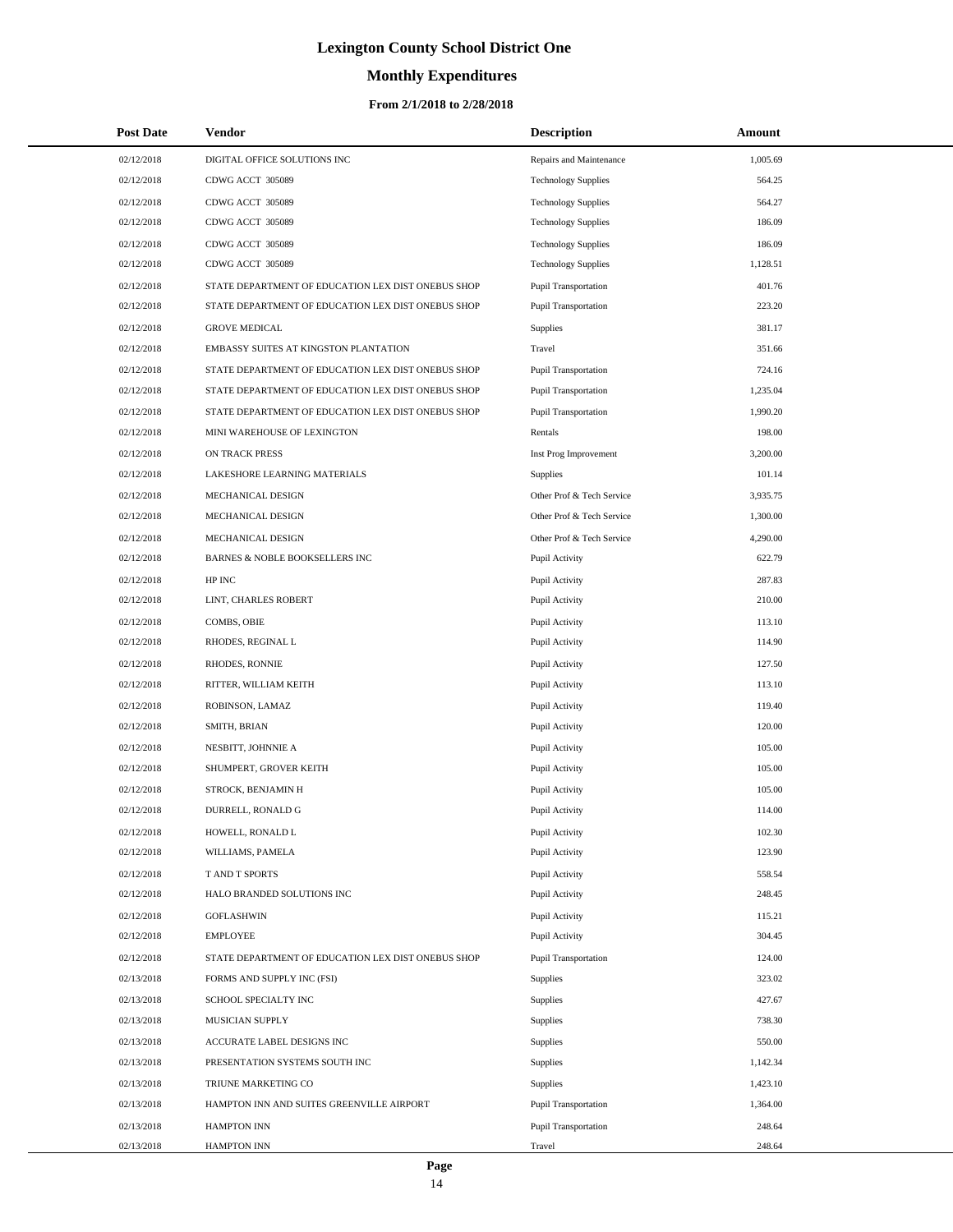# **Monthly Expenditures**

#### **From 2/1/2018 to 2/28/2018**

| <b>Post Date</b> | Vendor                                             | <b>Description</b>         | Amount   |  |
|------------------|----------------------------------------------------|----------------------------|----------|--|
| 02/12/2018       | DIGITAL OFFICE SOLUTIONS INC                       | Repairs and Maintenance    | 1,005.69 |  |
| 02/12/2018       | CDWG ACCT 305089                                   | <b>Technology Supplies</b> | 564.25   |  |
| 02/12/2018       | CDWG ACCT 305089                                   | <b>Technology Supplies</b> | 564.27   |  |
| 02/12/2018       | CDWG ACCT 305089                                   | <b>Technology Supplies</b> | 186.09   |  |
| 02/12/2018       | CDWG ACCT 305089                                   | <b>Technology Supplies</b> | 186.09   |  |
| 02/12/2018       | CDWG ACCT 305089                                   | <b>Technology Supplies</b> | 1,128.51 |  |
| 02/12/2018       | STATE DEPARTMENT OF EDUCATION LEX DIST ONEBUS SHOP | Pupil Transportation       | 401.76   |  |
| 02/12/2018       | STATE DEPARTMENT OF EDUCATION LEX DIST ONEBUS SHOP | Pupil Transportation       | 223.20   |  |
| 02/12/2018       | <b>GROVE MEDICAL</b>                               | <b>Supplies</b>            | 381.17   |  |
| 02/12/2018       | EMBASSY SUITES AT KINGSTON PLANTATION              | Travel                     | 351.66   |  |
| 02/12/2018       | STATE DEPARTMENT OF EDUCATION LEX DIST ONEBUS SHOP | Pupil Transportation       | 724.16   |  |
| 02/12/2018       | STATE DEPARTMENT OF EDUCATION LEX DIST ONEBUS SHOP | Pupil Transportation       | 1,235.04 |  |
| 02/12/2018       | STATE DEPARTMENT OF EDUCATION LEX DIST ONEBUS SHOP | Pupil Transportation       | 1,990.20 |  |
| 02/12/2018       | MINI WAREHOUSE OF LEXINGTON                        | Rentals                    | 198.00   |  |
| 02/12/2018       | ON TRACK PRESS                                     | Inst Prog Improvement      | 3,200.00 |  |
| 02/12/2018       | LAKESHORE LEARNING MATERIALS                       | Supplies                   | 101.14   |  |
| 02/12/2018       | MECHANICAL DESIGN                                  | Other Prof & Tech Service  | 3,935.75 |  |
| 02/12/2018       | MECHANICAL DESIGN                                  | Other Prof & Tech Service  | 1,300.00 |  |
| 02/12/2018       | <b>MECHANICAL DESIGN</b>                           | Other Prof & Tech Service  | 4,290.00 |  |
| 02/12/2018       | BARNES & NOBLE BOOKSELLERS INC                     | Pupil Activity             | 622.79   |  |
| 02/12/2018       | HP INC                                             | Pupil Activity             | 287.83   |  |
| 02/12/2018       | LINT, CHARLES ROBERT                               | Pupil Activity             | 210.00   |  |
| 02/12/2018       | COMBS, OBIE                                        | Pupil Activity             | 113.10   |  |
| 02/12/2018       | RHODES, REGINAL L                                  | Pupil Activity             | 114.90   |  |
| 02/12/2018       | RHODES, RONNIE                                     | Pupil Activity             | 127.50   |  |
| 02/12/2018       | RITTER, WILLIAM KEITH                              | Pupil Activity             | 113.10   |  |
| 02/12/2018       | ROBINSON, LAMAZ                                    | Pupil Activity             | 119.40   |  |
| 02/12/2018       | SMITH, BRIAN                                       | Pupil Activity             | 120.00   |  |
| 02/12/2018       | NESBITT, JOHNNIE A                                 | Pupil Activity             | 105.00   |  |
| 02/12/2018       | SHUMPERT, GROVER KEITH                             | Pupil Activity             | 105.00   |  |
| 02/12/2018       | STROCK, BENJAMIN H                                 | Pupil Activity             | 105.00   |  |
| 02/12/2018       | DURRELL, RONALD G                                  | Pupil Activity             | 114.00   |  |
| 02/12/2018       | HOWELL, RONALD L                                   | Pupil Activity             | 102.30   |  |
| 02/12/2018       | WILLIAMS, PAMELA                                   | Pupil Activity             | 123.90   |  |
| 02/12/2018       | T AND T SPORTS                                     | Pupil Activity             | 558.54   |  |
| 02/12/2018       | HALO BRANDED SOLUTIONS INC                         | Pupil Activity             | 248.45   |  |
| 02/12/2018       | <b>GOFLASHWIN</b>                                  | Pupil Activity             | 115.21   |  |
| 02/12/2018       | <b>EMPLOYEE</b>                                    | Pupil Activity             | 304.45   |  |
| 02/12/2018       | STATE DEPARTMENT OF EDUCATION LEX DIST ONEBUS SHOP | Pupil Transportation       | 124.00   |  |
| 02/13/2018       | FORMS AND SUPPLY INC (FSI)                         | <b>Supplies</b>            | 323.02   |  |
| 02/13/2018       | SCHOOL SPECIALTY INC                               | Supplies                   | 427.67   |  |
| 02/13/2018       | MUSICIAN SUPPLY                                    | Supplies                   | 738.30   |  |
| 02/13/2018       | ACCURATE LABEL DESIGNS INC                         | Supplies                   | 550.00   |  |
| 02/13/2018       | PRESENTATION SYSTEMS SOUTH INC                     | <b>Supplies</b>            | 1,142.34 |  |
| 02/13/2018       | TRIUNE MARKETING CO                                | Supplies                   | 1,423.10 |  |
| 02/13/2018       | HAMPTON INN AND SUITES GREENVILLE AIRPORT          | Pupil Transportation       | 1,364.00 |  |
| 02/13/2018       | <b>HAMPTON INN</b>                                 | Pupil Transportation       | 248.64   |  |
| 02/13/2018       | HAMPTON INN                                        | Travel                     | 248.64   |  |

 $\overline{a}$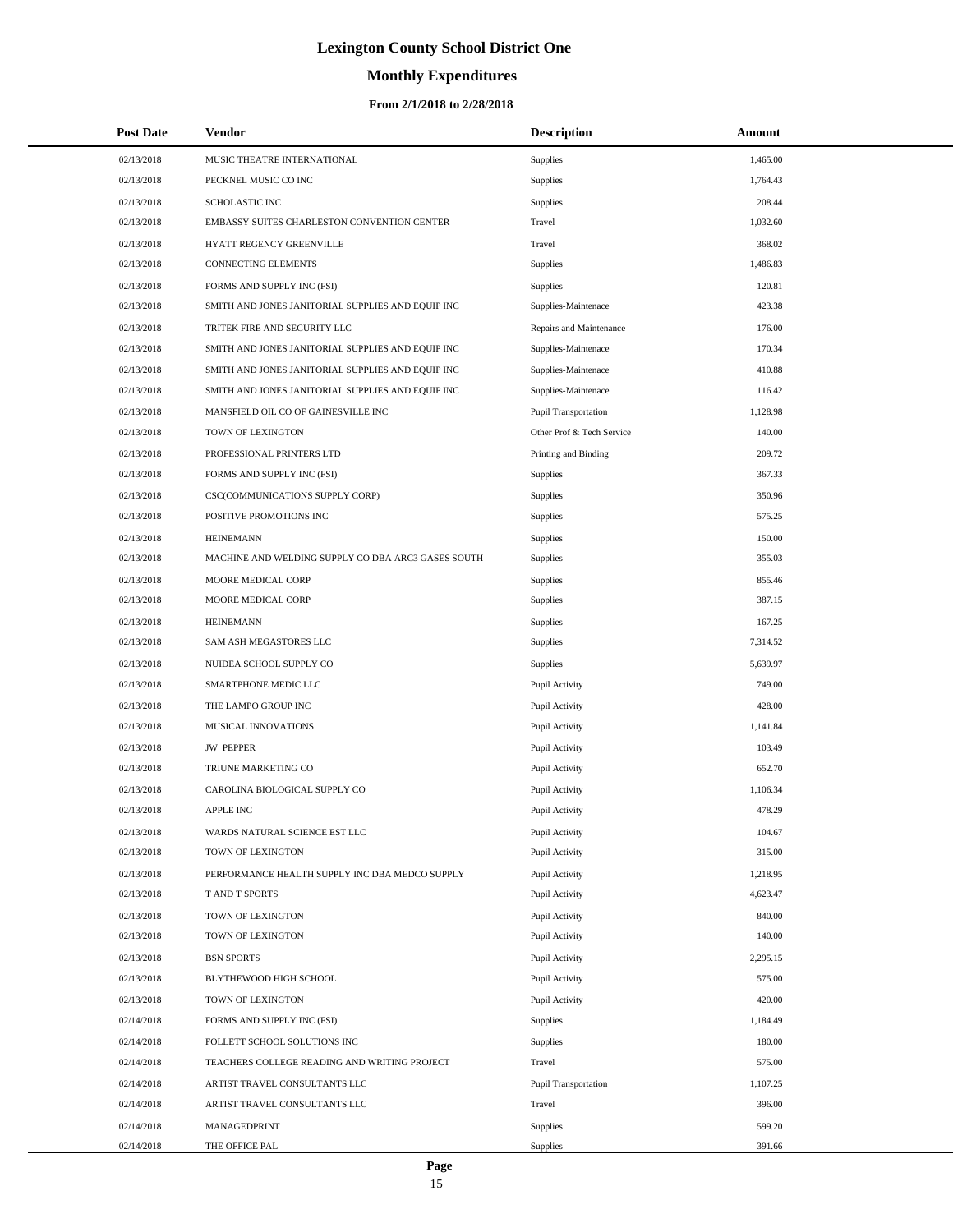# **Monthly Expenditures**

| <b>Post Date</b> | Vendor                                             | <b>Description</b>        | Amount   |  |
|------------------|----------------------------------------------------|---------------------------|----------|--|
| 02/13/2018       | MUSIC THEATRE INTERNATIONAL                        | Supplies                  | 1,465.00 |  |
| 02/13/2018       | PECKNEL MUSIC CO INC                               | Supplies                  | 1,764.43 |  |
| 02/13/2018       | <b>SCHOLASTIC INC</b>                              | Supplies                  | 208.44   |  |
| 02/13/2018       | EMBASSY SUITES CHARLESTON CONVENTION CENTER        | Travel                    | 1,032.60 |  |
| 02/13/2018       | HYATT REGENCY GREENVILLE                           | Travel                    | 368.02   |  |
| 02/13/2018       | CONNECTING ELEMENTS                                | Supplies                  | 1,486.83 |  |
| 02/13/2018       | FORMS AND SUPPLY INC (FSI)                         | Supplies                  | 120.81   |  |
| 02/13/2018       | SMITH AND JONES JANITORIAL SUPPLIES AND EQUIP INC  | Supplies-Maintenace       | 423.38   |  |
| 02/13/2018       | TRITEK FIRE AND SECURITY LLC                       | Repairs and Maintenance   | 176.00   |  |
| 02/13/2018       | SMITH AND JONES JANITORIAL SUPPLIES AND EQUIP INC  | Supplies-Maintenace       | 170.34   |  |
| 02/13/2018       | SMITH AND JONES JANITORIAL SUPPLIES AND EQUIP INC  | Supplies-Maintenace       | 410.88   |  |
| 02/13/2018       | SMITH AND JONES JANITORIAL SUPPLIES AND EQUIP INC  | Supplies-Maintenace       | 116.42   |  |
| 02/13/2018       | MANSFIELD OIL CO OF GAINESVILLE INC                | Pupil Transportation      | 1,128.98 |  |
| 02/13/2018       | TOWN OF LEXINGTON                                  | Other Prof & Tech Service | 140.00   |  |
| 02/13/2018       | PROFESSIONAL PRINTERS LTD                          | Printing and Binding      | 209.72   |  |
| 02/13/2018       | FORMS AND SUPPLY INC (FSI)                         | Supplies                  | 367.33   |  |
| 02/13/2018       | CSC(COMMUNICATIONS SUPPLY CORP)                    | Supplies                  | 350.96   |  |
| 02/13/2018       | POSITIVE PROMOTIONS INC                            | Supplies                  | 575.25   |  |
| 02/13/2018       | <b>HEINEMANN</b>                                   | Supplies                  | 150.00   |  |
| 02/13/2018       | MACHINE AND WELDING SUPPLY CO DBA ARC3 GASES SOUTH | Supplies                  | 355.03   |  |
| 02/13/2018       | MOORE MEDICAL CORP                                 | Supplies                  | 855.46   |  |
| 02/13/2018       | MOORE MEDICAL CORP                                 | Supplies                  | 387.15   |  |
| 02/13/2018       | <b>HEINEMANN</b>                                   | Supplies                  | 167.25   |  |
| 02/13/2018       | SAM ASH MEGASTORES LLC                             | Supplies                  | 7,314.52 |  |
| 02/13/2018       | NUIDEA SCHOOL SUPPLY CO                            | Supplies                  | 5,639.97 |  |
| 02/13/2018       | SMARTPHONE MEDIC LLC                               | Pupil Activity            | 749.00   |  |
| 02/13/2018       | THE LAMPO GROUP INC                                | Pupil Activity            | 428.00   |  |
| 02/13/2018       | MUSICAL INNOVATIONS                                | Pupil Activity            | 1,141.84 |  |
| 02/13/2018       | <b>JW PEPPER</b>                                   | Pupil Activity            | 103.49   |  |
| 02/13/2018       | TRIUNE MARKETING CO                                | Pupil Activity            | 652.70   |  |
| 02/13/2018       | CAROLINA BIOLOGICAL SUPPLY CO                      | Pupil Activity            | 1,106.34 |  |
| 02/13/2018       | <b>APPLE INC</b>                                   | Pupil Activity            | 478.29   |  |
| 02/13/2018       | WARDS NATURAL SCIENCE EST LLC                      | Pupil Activity            | 104.67   |  |
| 02/13/2018       | TOWN OF LEXINGTON                                  | Pupil Activity            | 315.00   |  |
| 02/13/2018       | PERFORMANCE HEALTH SUPPLY INC DBA MEDCO SUPPLY     | Pupil Activity            | 1,218.95 |  |
| 02/13/2018       | T AND T SPORTS                                     | Pupil Activity            | 4,623.47 |  |
| 02/13/2018       | TOWN OF LEXINGTON                                  | Pupil Activity            | 840.00   |  |
| 02/13/2018       | TOWN OF LEXINGTON                                  | Pupil Activity            | 140.00   |  |
| 02/13/2018       | <b>BSN SPORTS</b>                                  | Pupil Activity            | 2,295.15 |  |
| 02/13/2018       | BLYTHEWOOD HIGH SCHOOL                             | Pupil Activity            | 575.00   |  |
| 02/13/2018       | TOWN OF LEXINGTON                                  | Pupil Activity            | 420.00   |  |
| 02/14/2018       | FORMS AND SUPPLY INC (FSI)                         | Supplies                  | 1,184.49 |  |
| 02/14/2018       | FOLLETT SCHOOL SOLUTIONS INC                       | Supplies                  | 180.00   |  |
| 02/14/2018       | TEACHERS COLLEGE READING AND WRITING PROJECT       | Travel                    | 575.00   |  |
| 02/14/2018       | ARTIST TRAVEL CONSULTANTS LLC                      | Pupil Transportation      | 1,107.25 |  |
| 02/14/2018       | ARTIST TRAVEL CONSULTANTS LLC                      | Travel                    | 396.00   |  |
| 02/14/2018       | MANAGEDPRINT                                       | Supplies                  | 599.20   |  |
| 02/14/2018       | THE OFFICE PAL                                     | Supplies                  | 391.66   |  |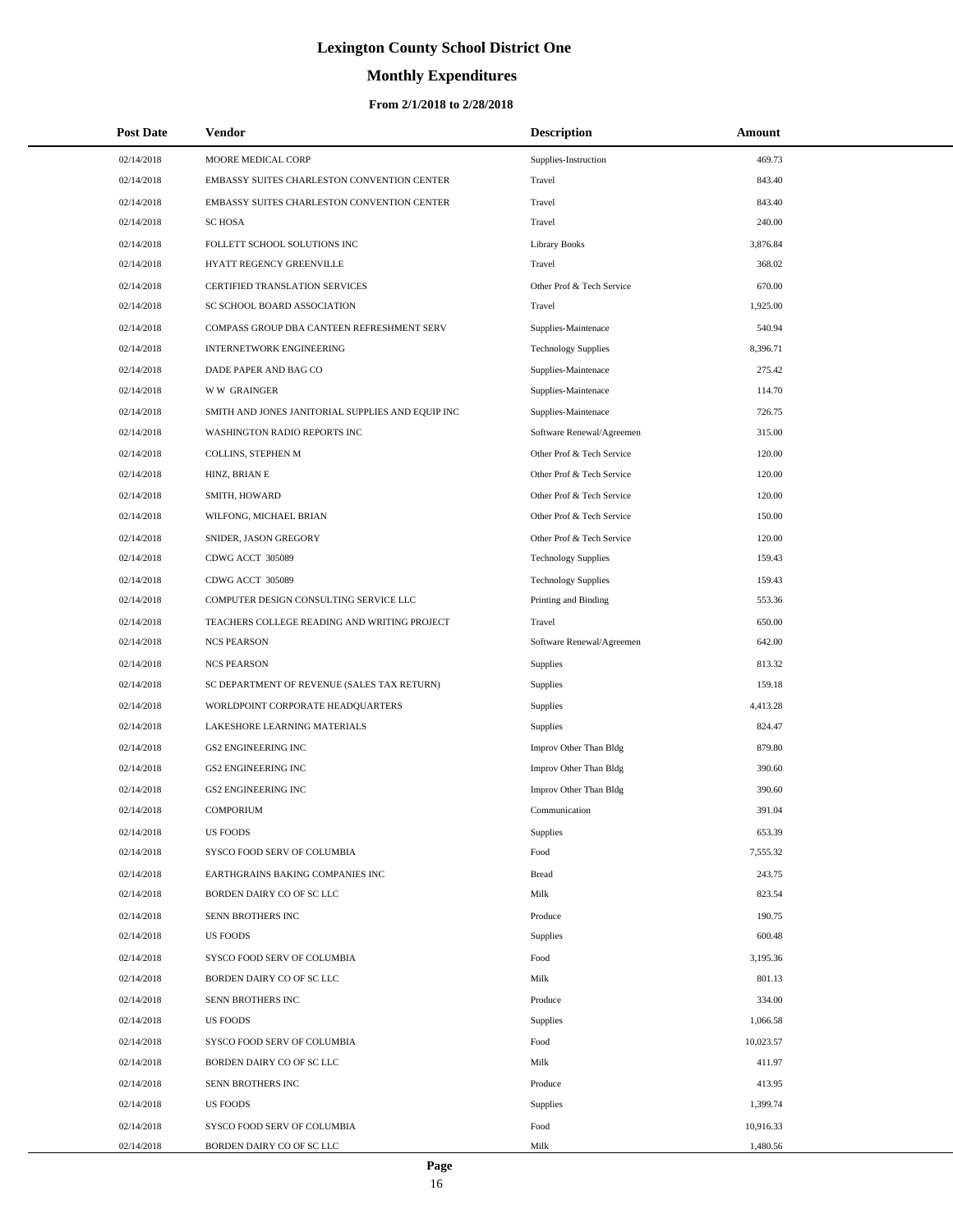# **Monthly Expenditures**

| <b>Post Date</b> | Vendor                                            | <b>Description</b>         | Amount    |  |
|------------------|---------------------------------------------------|----------------------------|-----------|--|
| 02/14/2018       | MOORE MEDICAL CORP                                | Supplies-Instruction       | 469.73    |  |
| 02/14/2018       | EMBASSY SUITES CHARLESTON CONVENTION CENTER       | Travel                     | 843.40    |  |
| 02/14/2018       | EMBASSY SUITES CHARLESTON CONVENTION CENTER       | Travel                     | 843.40    |  |
| 02/14/2018       | <b>SCHOSA</b>                                     | Travel                     | 240.00    |  |
| 02/14/2018       | FOLLETT SCHOOL SOLUTIONS INC                      | Library Books              | 3,876.84  |  |
| 02/14/2018       | HYATT REGENCY GREENVILLE                          | Travel                     | 368.02    |  |
| 02/14/2018       | CERTIFIED TRANSLATION SERVICES                    | Other Prof & Tech Service  | 670.00    |  |
| 02/14/2018       | SC SCHOOL BOARD ASSOCIATION                       | Travel                     | 1,925.00  |  |
| 02/14/2018       | COMPASS GROUP DBA CANTEEN REFRESHMENT SERV        | Supplies-Maintenace        | 540.94    |  |
| 02/14/2018       | INTERNETWORK ENGINEERING                          | <b>Technology Supplies</b> | 8,396.71  |  |
| 02/14/2018       | DADE PAPER AND BAG CO                             | Supplies-Maintenace        | 275.42    |  |
| 02/14/2018       | <b>WW GRAINGER</b>                                | Supplies-Maintenace        | 114.70    |  |
| 02/14/2018       | SMITH AND JONES JANITORIAL SUPPLIES AND EQUIP INC | Supplies-Maintenace        | 726.75    |  |
| 02/14/2018       | WASHINGTON RADIO REPORTS INC                      | Software Renewal/Agreemen  | 315.00    |  |
| 02/14/2018       | COLLINS, STEPHEN M                                | Other Prof & Tech Service  | 120.00    |  |
| 02/14/2018       | HINZ, BRIAN E                                     | Other Prof & Tech Service  | 120.00    |  |
| 02/14/2018       | SMITH, HOWARD                                     | Other Prof & Tech Service  | 120.00    |  |
| 02/14/2018       | WILFONG, MICHAEL BRIAN                            | Other Prof & Tech Service  | 150.00    |  |
| 02/14/2018       | SNIDER, JASON GREGORY                             | Other Prof & Tech Service  | 120.00    |  |
| 02/14/2018       | CDWG ACCT 305089                                  | <b>Technology Supplies</b> | 159.43    |  |
| 02/14/2018       | CDWG ACCT 305089                                  | <b>Technology Supplies</b> | 159.43    |  |
| 02/14/2018       | COMPUTER DESIGN CONSULTING SERVICE LLC            | Printing and Binding       | 553.36    |  |
| 02/14/2018       | TEACHERS COLLEGE READING AND WRITING PROJECT      | Travel                     | 650.00    |  |
| 02/14/2018       | <b>NCS PEARSON</b>                                | Software Renewal/Agreemen  | 642.00    |  |
| 02/14/2018       | <b>NCS PEARSON</b>                                | Supplies                   | 813.32    |  |
| 02/14/2018       | SC DEPARTMENT OF REVENUE (SALES TAX RETURN)       | Supplies                   | 159.18    |  |
| 02/14/2018       | WORLDPOINT CORPORATE HEADQUARTERS                 | Supplies                   | 4,413.28  |  |
| 02/14/2018       | LAKESHORE LEARNING MATERIALS                      | Supplies                   | 824.47    |  |
| 02/14/2018       | <b>GS2 ENGINEERING INC</b>                        | Improv Other Than Bldg     | 879.80    |  |
| 02/14/2018       | <b>GS2 ENGINEERING INC</b>                        | Improv Other Than Bldg     | 390.60    |  |
| 02/14/2018       | <b>GS2 ENGINEERING INC</b>                        | Improv Other Than Bldg     | 390.60    |  |
| 02/14/2018       | <b>COMPORIUM</b>                                  | Communication              | 391.04    |  |
| 02/14/2018       | <b>US FOODS</b>                                   | Supplies                   | 653.39    |  |
| 02/14/2018       | SYSCO FOOD SERV OF COLUMBIA                       | Food                       | 7,555.32  |  |
| 02/14/2018       | EARTHGRAINS BAKING COMPANIES INC                  | <b>Bread</b>               | 243.75    |  |
| 02/14/2018       | BORDEN DAIRY CO OF SC LLC                         | Milk                       | 823.54    |  |
| 02/14/2018       | SENN BROTHERS INC                                 | Produce                    | 190.75    |  |
| 02/14/2018       | <b>US FOODS</b>                                   | Supplies                   | 600.48    |  |
| 02/14/2018       | SYSCO FOOD SERV OF COLUMBIA                       | Food                       | 3,195.36  |  |
| 02/14/2018       | BORDEN DAIRY CO OF SC LLC                         | Milk                       | 801.13    |  |
| 02/14/2018       | SENN BROTHERS INC                                 | Produce                    | 334.00    |  |
| 02/14/2018       | <b>US FOODS</b>                                   | Supplies                   | 1,066.58  |  |
| 02/14/2018       | SYSCO FOOD SERV OF COLUMBIA                       | Food                       | 10,023.57 |  |
| 02/14/2018       | BORDEN DAIRY CO OF SC LLC                         | Milk                       | 411.97    |  |
| 02/14/2018       | SENN BROTHERS INC                                 | Produce                    | 413.95    |  |
| 02/14/2018       | <b>US FOODS</b>                                   | Supplies                   | 1,399.74  |  |
| 02/14/2018       | SYSCO FOOD SERV OF COLUMBIA                       | Food                       | 10,916.33 |  |
| 02/14/2018       | BORDEN DAIRY CO OF SC LLC                         | Milk                       | 1,480.56  |  |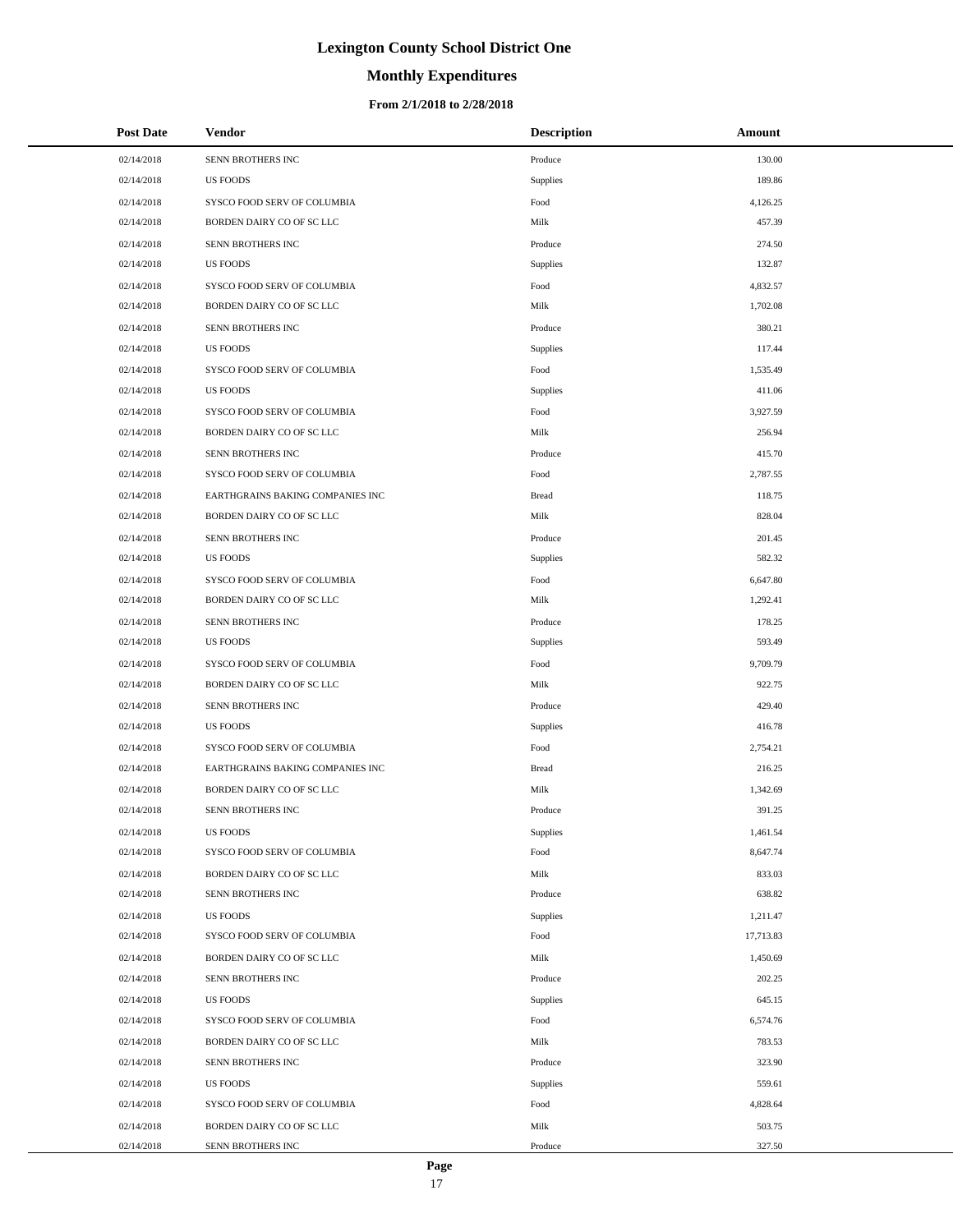# **Monthly Expenditures**

| <b>Post Date</b> | Vendor                           | <b>Description</b> | Amount    |
|------------------|----------------------------------|--------------------|-----------|
| 02/14/2018       | SENN BROTHERS INC                | Produce            | 130.00    |
| 02/14/2018       | <b>US FOODS</b>                  | Supplies           | 189.86    |
| 02/14/2018       | SYSCO FOOD SERV OF COLUMBIA      | Food               | 4,126.25  |
| 02/14/2018       | BORDEN DAIRY CO OF SC LLC        | Milk               | 457.39    |
| 02/14/2018       | SENN BROTHERS INC                | Produce            | 274.50    |
| 02/14/2018       | <b>US FOODS</b>                  | Supplies           | 132.87    |
| 02/14/2018       | SYSCO FOOD SERV OF COLUMBIA      | Food               | 4,832.57  |
| 02/14/2018       | BORDEN DAIRY CO OF SC LLC        | Milk               | 1,702.08  |
| 02/14/2018       | SENN BROTHERS INC                | Produce            | 380.21    |
| 02/14/2018       | <b>US FOODS</b>                  | Supplies           | 117.44    |
| 02/14/2018       | SYSCO FOOD SERV OF COLUMBIA      | Food               | 1,535.49  |
| 02/14/2018       | <b>US FOODS</b>                  | Supplies           | 411.06    |
| 02/14/2018       | SYSCO FOOD SERV OF COLUMBIA      | Food               | 3,927.59  |
| 02/14/2018       | BORDEN DAIRY CO OF SC LLC        | Milk               | 256.94    |
| 02/14/2018       | SENN BROTHERS INC                | Produce            | 415.70    |
| 02/14/2018       | SYSCO FOOD SERV OF COLUMBIA      | Food               | 2,787.55  |
| 02/14/2018       | EARTHGRAINS BAKING COMPANIES INC | <b>Bread</b>       | 118.75    |
| 02/14/2018       | BORDEN DAIRY CO OF SC LLC        | Milk               | 828.04    |
| 02/14/2018       | SENN BROTHERS INC                | Produce            | 201.45    |
| 02/14/2018       | <b>US FOODS</b>                  | Supplies           | 582.32    |
| 02/14/2018       | SYSCO FOOD SERV OF COLUMBIA      | Food               | 6,647.80  |
| 02/14/2018       | BORDEN DAIRY CO OF SC LLC        | Milk               | 1,292.41  |
| 02/14/2018       | SENN BROTHERS INC                | Produce            | 178.25    |
| 02/14/2018       | <b>US FOODS</b>                  | Supplies           | 593.49    |
| 02/14/2018       | SYSCO FOOD SERV OF COLUMBIA      | Food               | 9,709.79  |
| 02/14/2018       | BORDEN DAIRY CO OF SC LLC        | Milk               | 922.75    |
| 02/14/2018       | SENN BROTHERS INC                | Produce            | 429.40    |
| 02/14/2018       | <b>US FOODS</b>                  | Supplies           | 416.78    |
| 02/14/2018       | SYSCO FOOD SERV OF COLUMBIA      | Food               | 2,754.21  |
| 02/14/2018       | EARTHGRAINS BAKING COMPANIES INC | <b>Bread</b>       | 216.25    |
| 02/14/2018       | BORDEN DAIRY CO OF SC LLC        | Milk               | 1,342.69  |
| 02/14/2018       | SENN BROTHERS INC                | Produce            | 391.25    |
| 02/14/2018       | <b>US FOODS</b>                  | <b>Supplies</b>    | 1,461.54  |
| 02/14/2018       | SYSCO FOOD SERV OF COLUMBIA      | Food               | 8,647.74  |
| 02/14/2018       | BORDEN DAIRY CO OF SC LLC        | Milk               | 833.03    |
| 02/14/2018       | SENN BROTHERS INC                | Produce            | 638.82    |
| 02/14/2018       | <b>US FOODS</b>                  | <b>Supplies</b>    | 1,211.47  |
| 02/14/2018       | SYSCO FOOD SERV OF COLUMBIA      | Food               | 17,713.83 |
| 02/14/2018       | BORDEN DAIRY CO OF SC LLC        | Milk               | 1,450.69  |
| 02/14/2018       | SENN BROTHERS INC                | Produce            | 202.25    |
| 02/14/2018       | <b>US FOODS</b>                  | <b>Supplies</b>    | 645.15    |
| 02/14/2018       | SYSCO FOOD SERV OF COLUMBIA      | Food               | 6,574.76  |
| 02/14/2018       | BORDEN DAIRY CO OF SC LLC        | Milk               | 783.53    |
| 02/14/2018       | SENN BROTHERS INC                | Produce            | 323.90    |
| 02/14/2018       | <b>US FOODS</b>                  | <b>Supplies</b>    | 559.61    |
| 02/14/2018       | SYSCO FOOD SERV OF COLUMBIA      | Food               | 4,828.64  |
| 02/14/2018       | BORDEN DAIRY CO OF SC LLC        | Milk               | 503.75    |
| 02/14/2018       | SENN BROTHERS INC                | Produce            | 327.50    |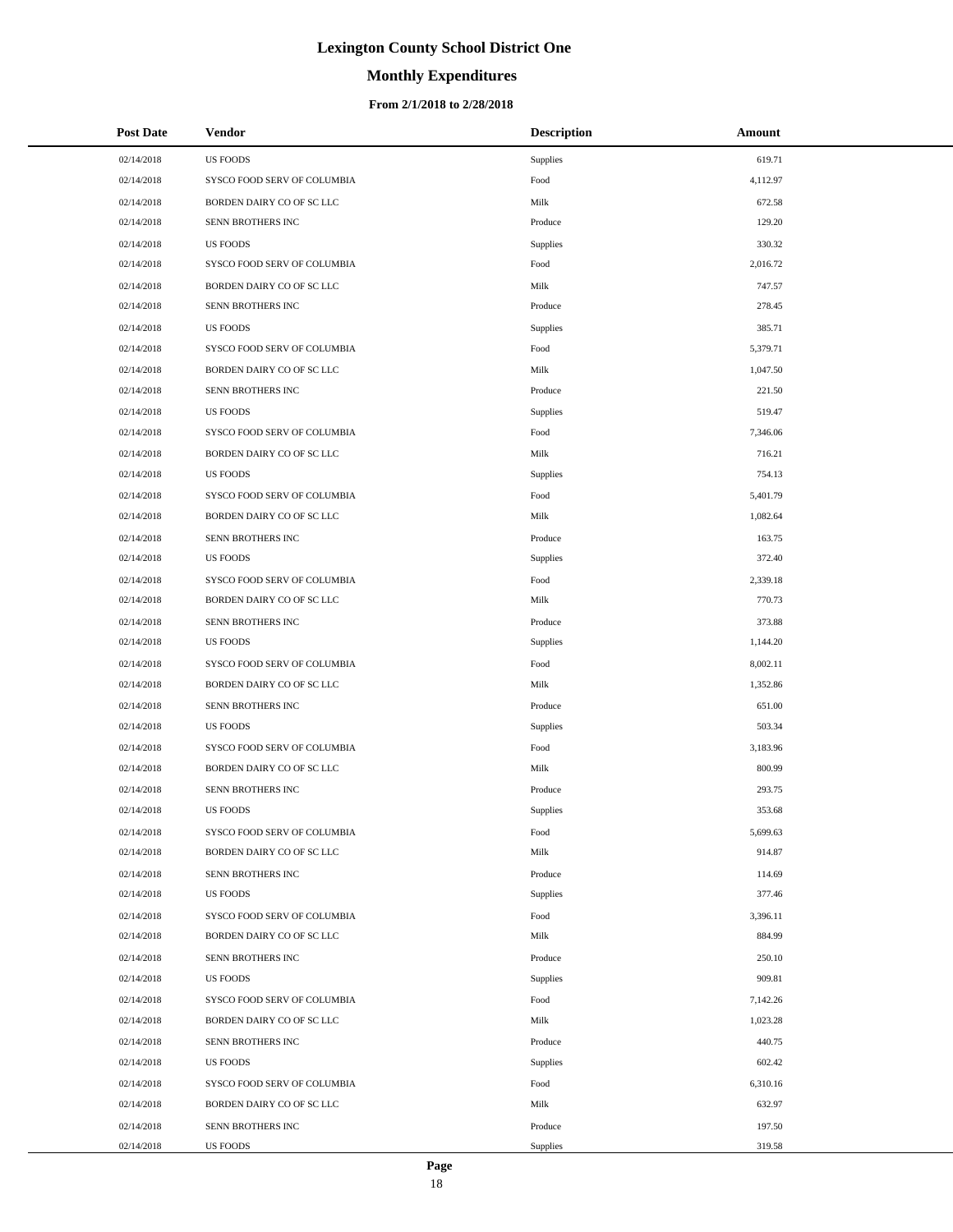# **Monthly Expenditures**

| <b>Post Date</b> | Vendor                      | <b>Description</b> | Amount   |
|------------------|-----------------------------|--------------------|----------|
| 02/14/2018       | <b>US FOODS</b>             | Supplies           | 619.71   |
| 02/14/2018       | SYSCO FOOD SERV OF COLUMBIA | Food               | 4,112.97 |
| 02/14/2018       | BORDEN DAIRY CO OF SC LLC   | Milk               | 672.58   |
| 02/14/2018       | SENN BROTHERS INC           | Produce            | 129.20   |
| 02/14/2018       | <b>US FOODS</b>             | Supplies           | 330.32   |
| 02/14/2018       | SYSCO FOOD SERV OF COLUMBIA | Food               | 2,016.72 |
| 02/14/2018       | BORDEN DAIRY CO OF SC LLC   | Milk               | 747.57   |
| 02/14/2018       | SENN BROTHERS INC           | Produce            | 278.45   |
| 02/14/2018       | <b>US FOODS</b>             | Supplies           | 385.71   |
| 02/14/2018       | SYSCO FOOD SERV OF COLUMBIA | Food               | 5,379.71 |
| 02/14/2018       | BORDEN DAIRY CO OF SC LLC   | Milk               | 1,047.50 |
| 02/14/2018       | SENN BROTHERS INC           | Produce            | 221.50   |
| 02/14/2018       | <b>US FOODS</b>             | Supplies           | 519.47   |
| 02/14/2018       | SYSCO FOOD SERV OF COLUMBIA | Food               | 7,346.06 |
| 02/14/2018       | BORDEN DAIRY CO OF SC LLC   | Milk               | 716.21   |
| 02/14/2018       | <b>US FOODS</b>             | Supplies           | 754.13   |
| 02/14/2018       | SYSCO FOOD SERV OF COLUMBIA | Food               | 5,401.79 |
| 02/14/2018       | BORDEN DAIRY CO OF SC LLC   | Milk               | 1,082.64 |
| 02/14/2018       | SENN BROTHERS INC           | Produce            | 163.75   |
| 02/14/2018       | <b>US FOODS</b>             | Supplies           | 372.40   |
| 02/14/2018       | SYSCO FOOD SERV OF COLUMBIA | Food               | 2,339.18 |
| 02/14/2018       | BORDEN DAIRY CO OF SC LLC   | Milk               | 770.73   |
| 02/14/2018       | SENN BROTHERS INC           | Produce            | 373.88   |
| 02/14/2018       | <b>US FOODS</b>             | Supplies           | 1,144.20 |
| 02/14/2018       | SYSCO FOOD SERV OF COLUMBIA | Food               | 8,002.11 |
| 02/14/2018       | BORDEN DAIRY CO OF SC LLC   | Milk               | 1,352.86 |
| 02/14/2018       | SENN BROTHERS INC           | Produce            | 651.00   |
| 02/14/2018       | <b>US FOODS</b>             | Supplies           | 503.34   |
| 02/14/2018       | SYSCO FOOD SERV OF COLUMBIA | Food               | 3,183.96 |
| 02/14/2018       | BORDEN DAIRY CO OF SC LLC   | Milk               | 800.99   |
| 02/14/2018       | SENN BROTHERS INC           | Produce            | 293.75   |
| 02/14/2018       | <b>US FOODS</b>             | Supplies           | 353.68   |
| 02/14/2018       | SYSCO FOOD SERV OF COLUMBIA | Food               | 5,699.63 |
| 02/14/2018       | BORDEN DAIRY CO OF SC LLC   | Milk               | 914.87   |
| 02/14/2018       | SENN BROTHERS INC           | Produce            | 114.69   |
| 02/14/2018       | <b>US FOODS</b>             | Supplies           | 377.46   |
| 02/14/2018       | SYSCO FOOD SERV OF COLUMBIA | Food               | 3,396.11 |
| 02/14/2018       | BORDEN DAIRY CO OF SC LLC   | Milk               | 884.99   |
| 02/14/2018       | SENN BROTHERS INC           | Produce            | 250.10   |
| 02/14/2018       | <b>US FOODS</b>             | Supplies           | 909.81   |
| 02/14/2018       | SYSCO FOOD SERV OF COLUMBIA | Food               | 7,142.26 |
| 02/14/2018       | BORDEN DAIRY CO OF SC LLC   | Milk               | 1,023.28 |
| 02/14/2018       | SENN BROTHERS INC           | Produce            | 440.75   |
| 02/14/2018       | <b>US FOODS</b>             | Supplies           | 602.42   |
| 02/14/2018       | SYSCO FOOD SERV OF COLUMBIA | Food               | 6,310.16 |
| 02/14/2018       | BORDEN DAIRY CO OF SC LLC   | Milk               | 632.97   |
| 02/14/2018       | SENN BROTHERS INC           | Produce            | 197.50   |
| 02/14/2018       | US FOODS                    | Supplies           | 319.58   |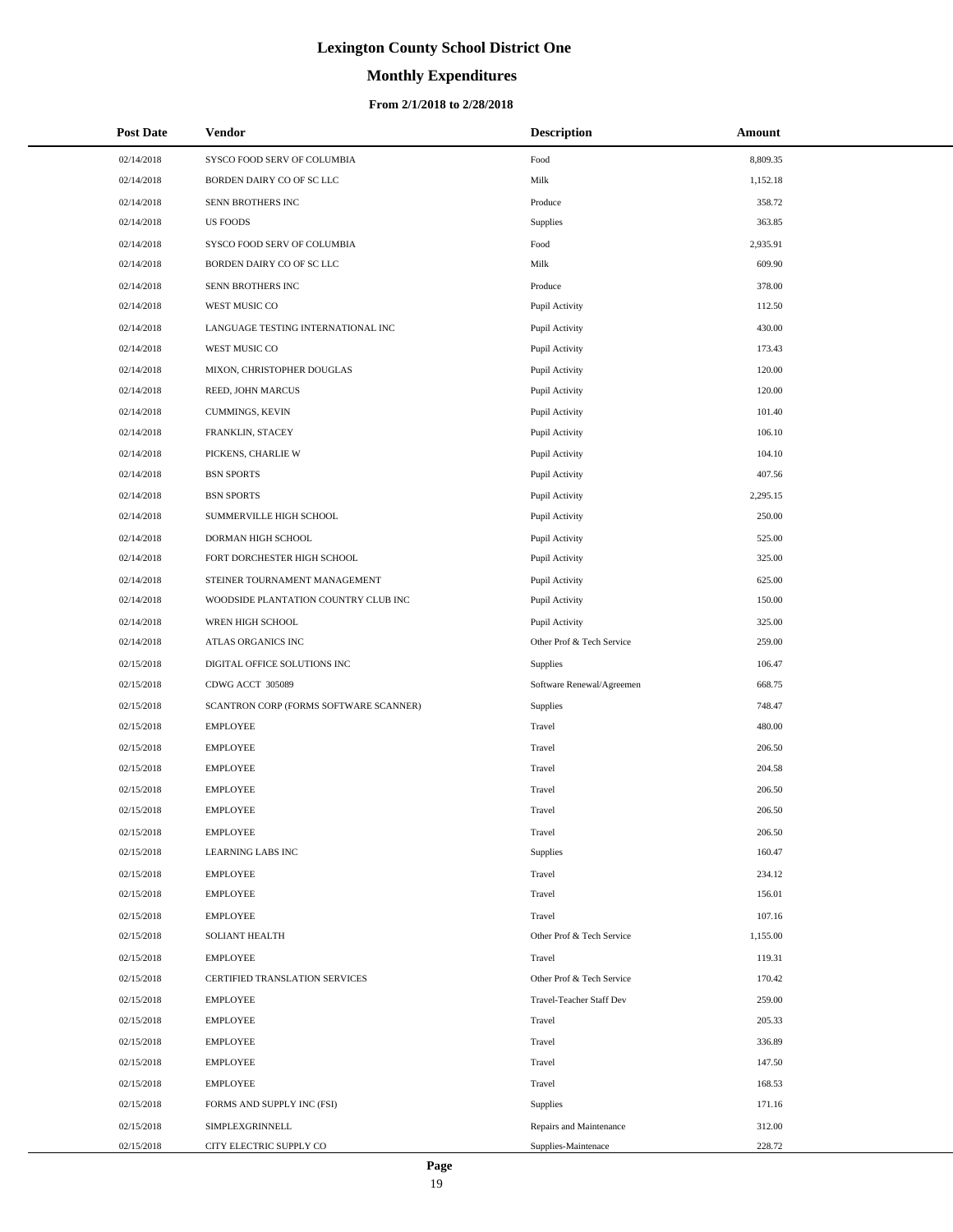# **Monthly Expenditures**

| <b>Post Date</b> | Vendor                                 | <b>Description</b>        | Amount   |
|------------------|----------------------------------------|---------------------------|----------|
| 02/14/2018       | SYSCO FOOD SERV OF COLUMBIA            | Food                      | 8,809.35 |
| 02/14/2018       | BORDEN DAIRY CO OF SC LLC              | Milk                      | 1,152.18 |
| 02/14/2018       | SENN BROTHERS INC                      | Produce                   | 358.72   |
| 02/14/2018       | <b>US FOODS</b>                        | Supplies                  | 363.85   |
| 02/14/2018       | SYSCO FOOD SERV OF COLUMBIA            | Food                      | 2,935.91 |
| 02/14/2018       | BORDEN DAIRY CO OF SC LLC              | Milk                      | 609.90   |
| 02/14/2018       | SENN BROTHERS INC                      | Produce                   | 378.00   |
| 02/14/2018       | WEST MUSIC CO                          | Pupil Activity            | 112.50   |
| 02/14/2018       | LANGUAGE TESTING INTERNATIONAL INC     | Pupil Activity            | 430.00   |
| 02/14/2018       | WEST MUSIC CO                          | Pupil Activity            | 173.43   |
| 02/14/2018       | MIXON, CHRISTOPHER DOUGLAS             | Pupil Activity            | 120.00   |
| 02/14/2018       | REED, JOHN MARCUS                      | Pupil Activity            | 120.00   |
| 02/14/2018       | CUMMINGS, KEVIN                        | Pupil Activity            | 101.40   |
| 02/14/2018       | FRANKLIN, STACEY                       | Pupil Activity            | 106.10   |
| 02/14/2018       | PICKENS, CHARLIE W                     | Pupil Activity            | 104.10   |
| 02/14/2018       | <b>BSN SPORTS</b>                      | Pupil Activity            | 407.56   |
| 02/14/2018       | <b>BSN SPORTS</b>                      | Pupil Activity            | 2,295.15 |
| 02/14/2018       | SUMMERVILLE HIGH SCHOOL                | Pupil Activity            | 250.00   |
| 02/14/2018       | DORMAN HIGH SCHOOL                     | Pupil Activity            | 525.00   |
| 02/14/2018       | FORT DORCHESTER HIGH SCHOOL            | Pupil Activity            | 325.00   |
| 02/14/2018       | STEINER TOURNAMENT MANAGEMENT          | Pupil Activity            | 625.00   |
| 02/14/2018       | WOODSIDE PLANTATION COUNTRY CLUB INC   | Pupil Activity            | 150.00   |
| 02/14/2018       | WREN HIGH SCHOOL                       | Pupil Activity            | 325.00   |
| 02/14/2018       | ATLAS ORGANICS INC                     | Other Prof & Tech Service | 259.00   |
| 02/15/2018       | DIGITAL OFFICE SOLUTIONS INC           | Supplies                  | 106.47   |
| 02/15/2018       | CDWG ACCT 305089                       | Software Renewal/Agreemen | 668.75   |
| 02/15/2018       | SCANTRON CORP (FORMS SOFTWARE SCANNER) | Supplies                  | 748.47   |
| 02/15/2018       | <b>EMPLOYEE</b>                        | Travel                    | 480.00   |
| 02/15/2018       | <b>EMPLOYEE</b>                        | Travel                    | 206.50   |
| 02/15/2018       | <b>EMPLOYEE</b>                        | Travel                    | 204.58   |
| 02/15/2018       | <b>EMPLOYEE</b>                        | Travel                    | 206.50   |
| 02/15/2018       | <b>EMPLOYEE</b>                        | Travel                    | 206.50   |
| 02/15/2018       | <b>EMPLOYEE</b>                        | Travel                    | 206.50   |
| 02/15/2018       | <b>LEARNING LABS INC</b>               | Supplies                  | 160.47   |
| 02/15/2018       | <b>EMPLOYEE</b>                        | Travel                    | 234.12   |
| 02/15/2018       | <b>EMPLOYEE</b>                        | Travel                    | 156.01   |
| 02/15/2018       | <b>EMPLOYEE</b>                        | Travel                    | 107.16   |
| 02/15/2018       | <b>SOLIANT HEALTH</b>                  | Other Prof & Tech Service | 1,155.00 |
| 02/15/2018       | <b>EMPLOYEE</b>                        | Travel                    | 119.31   |
| 02/15/2018       | CERTIFIED TRANSLATION SERVICES         | Other Prof & Tech Service | 170.42   |
| 02/15/2018       | <b>EMPLOYEE</b>                        | Travel-Teacher Staff Dev  | 259.00   |
| 02/15/2018       | <b>EMPLOYEE</b>                        | Travel                    | 205.33   |
| 02/15/2018       | <b>EMPLOYEE</b>                        | Travel                    | 336.89   |
| 02/15/2018       | <b>EMPLOYEE</b>                        | Travel                    | 147.50   |
| 02/15/2018       | <b>EMPLOYEE</b>                        | Travel                    | 168.53   |
| 02/15/2018       | FORMS AND SUPPLY INC (FSI)             | Supplies                  | 171.16   |
| 02/15/2018       | SIMPLEXGRINNELL                        | Repairs and Maintenance   | 312.00   |
| 02/15/2018       | CITY ELECTRIC SUPPLY CO                | Supplies-Maintenace       | 228.72   |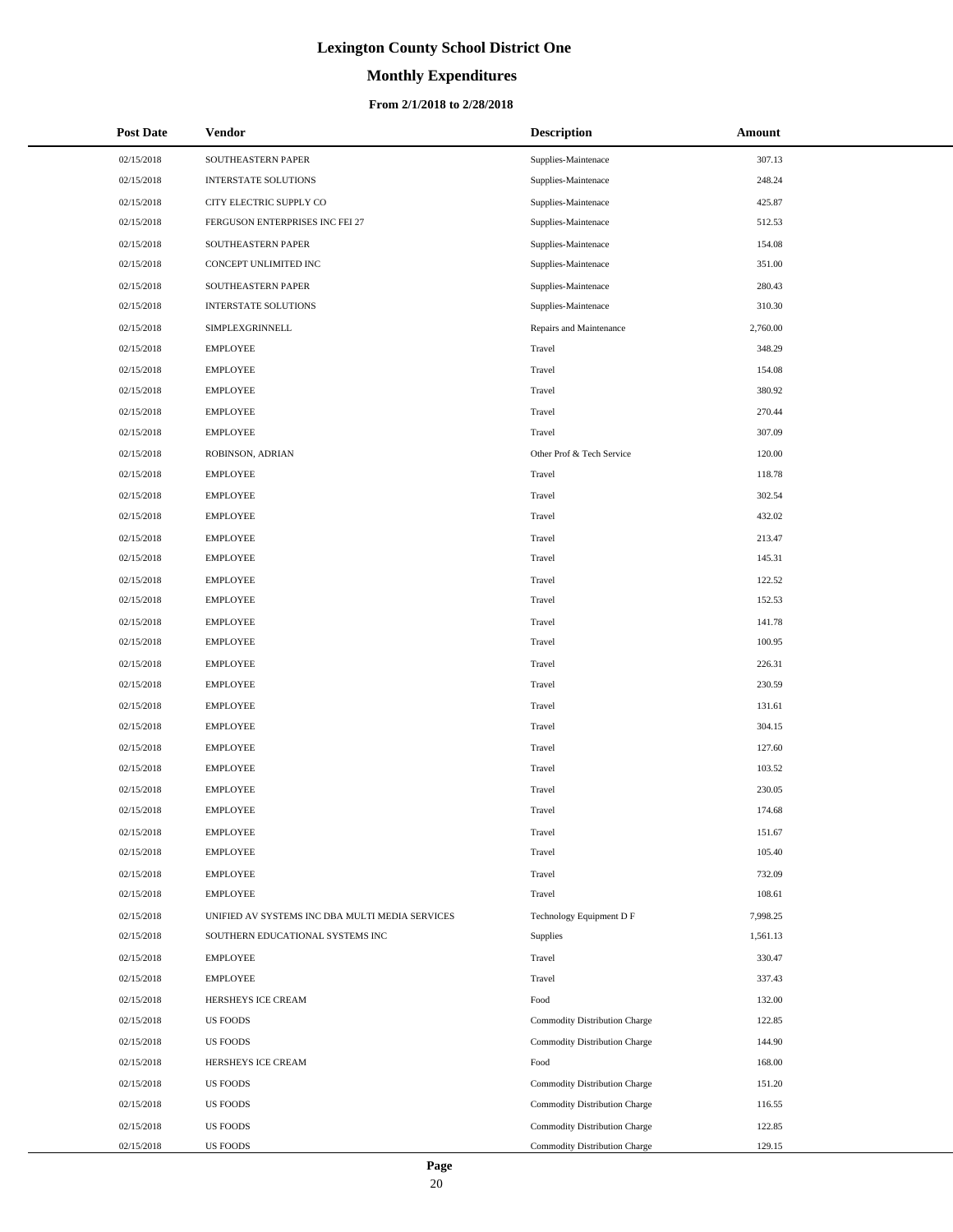# **Monthly Expenditures**

#### **From 2/1/2018 to 2/28/2018**

| <b>Post Date</b> | Vendor                                          | <b>Description</b>            | Amount   |
|------------------|-------------------------------------------------|-------------------------------|----------|
| 02/15/2018       | SOUTHEASTERN PAPER                              | Supplies-Maintenace           | 307.13   |
| 02/15/2018       | INTERSTATE SOLUTIONS                            | Supplies-Maintenace           | 248.24   |
| 02/15/2018       | CITY ELECTRIC SUPPLY CO                         | Supplies-Maintenace           | 425.87   |
| 02/15/2018       | FERGUSON ENTERPRISES INC FEI 27                 | Supplies-Maintenace           | 512.53   |
| 02/15/2018       | SOUTHEASTERN PAPER                              | Supplies-Maintenace           | 154.08   |
| 02/15/2018       | CONCEPT UNLIMITED INC                           | Supplies-Maintenace           | 351.00   |
| 02/15/2018       | SOUTHEASTERN PAPER                              | Supplies-Maintenace           | 280.43   |
| 02/15/2018       | <b>INTERSTATE SOLUTIONS</b>                     | Supplies-Maintenace           | 310.30   |
| 02/15/2018       | SIMPLEXGRINNELL                                 | Repairs and Maintenance       | 2,760.00 |
| 02/15/2018       | <b>EMPLOYEE</b>                                 | Travel                        | 348.29   |
| 02/15/2018       | <b>EMPLOYEE</b>                                 | Travel                        | 154.08   |
| 02/15/2018       | <b>EMPLOYEE</b>                                 | Travel                        | 380.92   |
| 02/15/2018       | <b>EMPLOYEE</b>                                 | Travel                        | 270.44   |
| 02/15/2018       | <b>EMPLOYEE</b>                                 | Travel                        | 307.09   |
| 02/15/2018       | ROBINSON, ADRIAN                                | Other Prof & Tech Service     | 120.00   |
| 02/15/2018       | <b>EMPLOYEE</b>                                 | Travel                        | 118.78   |
| 02/15/2018       | <b>EMPLOYEE</b>                                 | Travel                        | 302.54   |
| 02/15/2018       | <b>EMPLOYEE</b>                                 | Travel                        | 432.02   |
| 02/15/2018       | <b>EMPLOYEE</b>                                 | Travel                        | 213.47   |
| 02/15/2018       | <b>EMPLOYEE</b>                                 | Travel                        | 145.31   |
| 02/15/2018       | <b>EMPLOYEE</b>                                 | Travel                        | 122.52   |
| 02/15/2018       | <b>EMPLOYEE</b>                                 | Travel                        | 152.53   |
| 02/15/2018       | <b>EMPLOYEE</b>                                 | Travel                        | 141.78   |
| 02/15/2018       | <b>EMPLOYEE</b>                                 | Travel                        | 100.95   |
| 02/15/2018       | <b>EMPLOYEE</b>                                 | Travel                        | 226.31   |
| 02/15/2018       | <b>EMPLOYEE</b>                                 | Travel                        | 230.59   |
| 02/15/2018       | <b>EMPLOYEE</b>                                 | Travel                        | 131.61   |
| 02/15/2018       | <b>EMPLOYEE</b>                                 | Travel                        | 304.15   |
| 02/15/2018       | <b>EMPLOYEE</b>                                 | Travel                        | 127.60   |
| 02/15/2018       | <b>EMPLOYEE</b>                                 | Travel                        | 103.52   |
| 02/15/2018       | <b>EMPLOYEE</b>                                 | Travel                        | 230.05   |
| 02/15/2018       | <b>EMPLOYEE</b>                                 | Travel                        | 174.68   |
| 02/15/2018       | <b>EMPLOYEE</b>                                 | Travel                        | 151.67   |
| 02/15/2018       | <b>EMPLOYEE</b>                                 | Travel                        | 105.40   |
| 02/15/2018       | <b>EMPLOYEE</b>                                 | Travel                        | 732.09   |
| 02/15/2018       | <b>EMPLOYEE</b>                                 | Travel                        | 108.61   |
| 02/15/2018       | UNIFIED AV SYSTEMS INC DBA MULTI MEDIA SERVICES | Technology Equipment D F      | 7,998.25 |
| 02/15/2018       | SOUTHERN EDUCATIONAL SYSTEMS INC                | Supplies                      | 1,561.13 |
| 02/15/2018       | <b>EMPLOYEE</b>                                 | Travel                        | 330.47   |
| 02/15/2018       | <b>EMPLOYEE</b>                                 | Travel                        | 337.43   |
| 02/15/2018       | HERSHEYS ICE CREAM                              | Food                          | 132.00   |
| 02/15/2018       | <b>US FOODS</b>                                 | Commodity Distribution Charge | 122.85   |
| 02/15/2018       | <b>US FOODS</b>                                 | Commodity Distribution Charge | 144.90   |
| 02/15/2018       | HERSHEYS ICE CREAM                              | Food                          | 168.00   |
| 02/15/2018       | <b>US FOODS</b>                                 | Commodity Distribution Charge | 151.20   |
| 02/15/2018       | <b>US FOODS</b>                                 | Commodity Distribution Charge | 116.55   |
| 02/15/2018       | <b>US FOODS</b>                                 | Commodity Distribution Charge | 122.85   |
| 02/15/2018       | US FOODS                                        | Commodity Distribution Charge | 129.15   |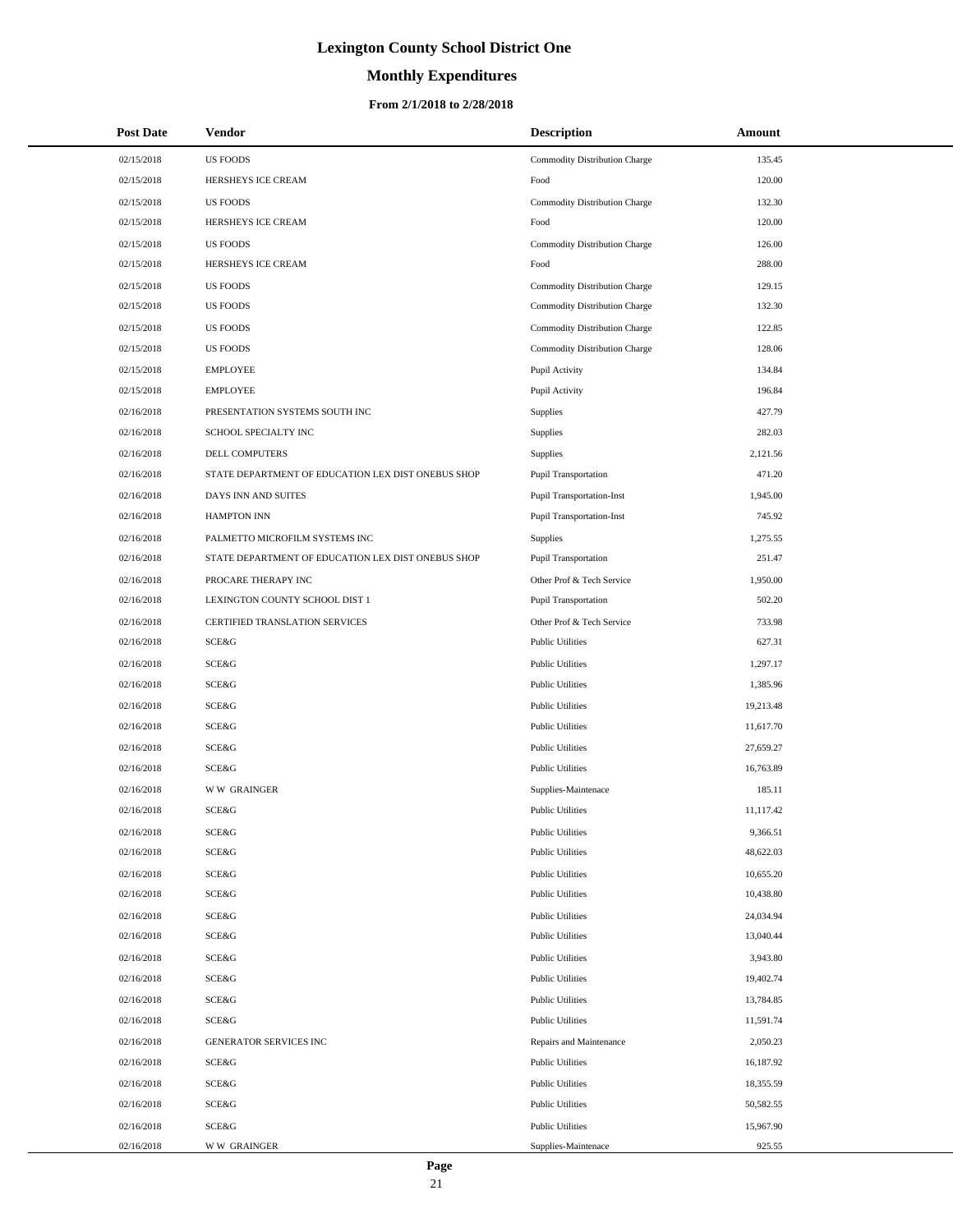# **Monthly Expenditures**

#### **From 2/1/2018 to 2/28/2018**

| <b>Post Date</b> | Vendor                                             | <b>Description</b>               | Amount    |
|------------------|----------------------------------------------------|----------------------------------|-----------|
| 02/15/2018       | <b>US FOODS</b>                                    | Commodity Distribution Charge    | 135.45    |
| 02/15/2018       | HERSHEYS ICE CREAM                                 | Food                             | 120.00    |
| 02/15/2018       | <b>US FOODS</b>                                    | Commodity Distribution Charge    | 132.30    |
| 02/15/2018       | HERSHEYS ICE CREAM                                 | Food                             | 120.00    |
| 02/15/2018       | <b>US FOODS</b>                                    | Commodity Distribution Charge    | 126.00    |
| 02/15/2018       | HERSHEYS ICE CREAM                                 | Food                             | 288.00    |
| 02/15/2018       | <b>US FOODS</b>                                    | Commodity Distribution Charge    | 129.15    |
| 02/15/2018       | <b>US FOODS</b>                                    | Commodity Distribution Charge    | 132.30    |
| 02/15/2018       | <b>US FOODS</b>                                    | Commodity Distribution Charge    | 122.85    |
| 02/15/2018       | <b>US FOODS</b>                                    | Commodity Distribution Charge    | 128.06    |
| 02/15/2018       | <b>EMPLOYEE</b>                                    | Pupil Activity                   | 134.84    |
| 02/15/2018       | <b>EMPLOYEE</b>                                    | Pupil Activity                   | 196.84    |
| 02/16/2018       | PRESENTATION SYSTEMS SOUTH INC                     | Supplies                         | 427.79    |
| 02/16/2018       | SCHOOL SPECIALTY INC                               | Supplies                         | 282.03    |
| 02/16/2018       | DELL COMPUTERS                                     | Supplies                         | 2,121.56  |
| 02/16/2018       | STATE DEPARTMENT OF EDUCATION LEX DIST ONEBUS SHOP | Pupil Transportation             | 471.20    |
| 02/16/2018       | DAYS INN AND SUITES                                | <b>Pupil Transportation-Inst</b> | 1,945.00  |
| 02/16/2018       | <b>HAMPTON INN</b>                                 | <b>Pupil Transportation-Inst</b> | 745.92    |
| 02/16/2018       | PALMETTO MICROFILM SYSTEMS INC                     | <b>Supplies</b>                  | 1,275.55  |
| 02/16/2018       | STATE DEPARTMENT OF EDUCATION LEX DIST ONEBUS SHOP | <b>Pupil Transportation</b>      | 251.47    |
| 02/16/2018       | PROCARE THERAPY INC                                | Other Prof & Tech Service        | 1,950.00  |
| 02/16/2018       | LEXINGTON COUNTY SCHOOL DIST 1                     | Pupil Transportation             | 502.20    |
| 02/16/2018       | CERTIFIED TRANSLATION SERVICES                     | Other Prof & Tech Service        | 733.98    |
| 02/16/2018       | SCE&G                                              | <b>Public Utilities</b>          | 627.31    |
| 02/16/2018       | SCE&G                                              | <b>Public Utilities</b>          | 1,297.17  |
| 02/16/2018       | SCE&G                                              | <b>Public Utilities</b>          | 1,385.96  |
| 02/16/2018       | SCE&G                                              | <b>Public Utilities</b>          | 19,213.48 |
| 02/16/2018       | SCE&G                                              | <b>Public Utilities</b>          | 11,617.70 |
| 02/16/2018       | SCE&G                                              | <b>Public Utilities</b>          | 27,659.27 |
| 02/16/2018       | SCE&G                                              | Public Utilities                 | 16,763.89 |
| 02/16/2018       | <b>WW GRAINGER</b>                                 | Supplies-Maintenace              | 185.11    |
| 02/16/2018       | SCE&G                                              | <b>Public Utilities</b>          | 11,117.42 |
| 02/16/2018       | SCE&G                                              | <b>Public Utilities</b>          | 9,366.51  |
| 02/16/2018       | SCE&G                                              | <b>Public Utilities</b>          | 48,622.03 |
| 02/16/2018       | SCE&G                                              | <b>Public Utilities</b>          | 10,655.20 |
| 02/16/2018       | SCE&G                                              | <b>Public Utilities</b>          | 10,438.80 |
| 02/16/2018       | SCE&G                                              | <b>Public Utilities</b>          | 24,034.94 |
| 02/16/2018       | SCE&G                                              | <b>Public Utilities</b>          | 13,040.44 |
| 02/16/2018       | SCE&G                                              | <b>Public Utilities</b>          | 3,943.80  |
| 02/16/2018       | SCE&G                                              | <b>Public Utilities</b>          | 19,402.74 |
| 02/16/2018       | SCE&G                                              | <b>Public Utilities</b>          | 13,784.85 |
| 02/16/2018       | <b>SCE&amp;G</b>                                   | <b>Public Utilities</b>          | 11,591.74 |
| 02/16/2018       | GENERATOR SERVICES INC                             | Repairs and Maintenance          | 2,050.23  |
| 02/16/2018       | SCE&G                                              | <b>Public Utilities</b>          | 16,187.92 |
| 02/16/2018       | SCE&G                                              | <b>Public Utilities</b>          | 18,355.59 |
| 02/16/2018       | SCE&G                                              | <b>Public Utilities</b>          | 50,582.55 |
| 02/16/2018       | SCE&G                                              | <b>Public Utilities</b>          | 15,967.90 |
| 02/16/2018       | <b>WW GRAINGER</b>                                 | Supplies-Maintenace              | 925.55    |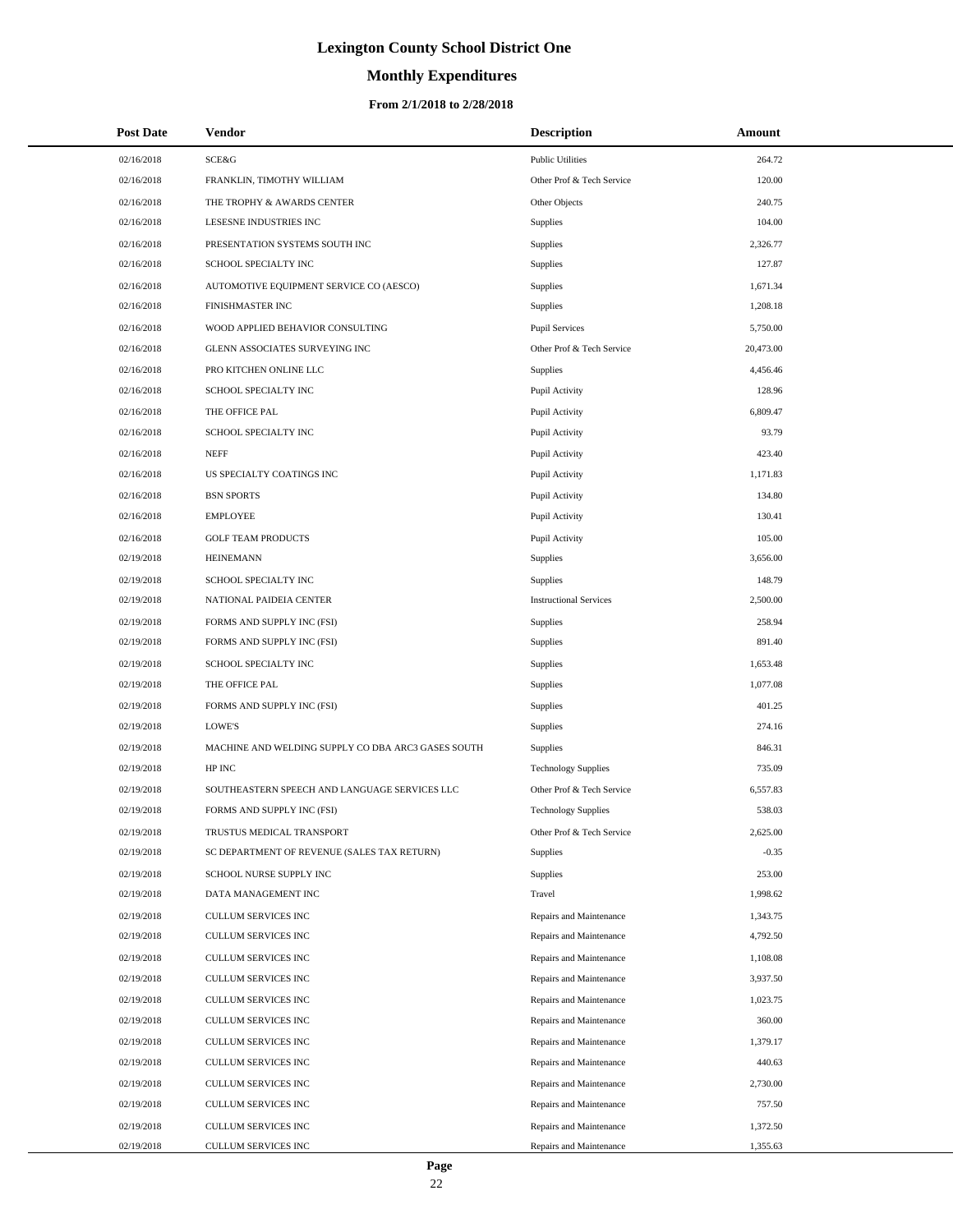# **Monthly Expenditures**

| <b>Post Date</b> | <b>Vendor</b>                                      | <b>Description</b>            | Amount    |
|------------------|----------------------------------------------------|-------------------------------|-----------|
| 02/16/2018       | <b>SCE&amp;G</b>                                   | <b>Public Utilities</b>       | 264.72    |
| 02/16/2018       | FRANKLIN, TIMOTHY WILLIAM                          | Other Prof & Tech Service     | 120.00    |
| 02/16/2018       | THE TROPHY & AWARDS CENTER                         | Other Objects                 | 240.75    |
| 02/16/2018       | LESESNE INDUSTRIES INC                             | Supplies                      | 104.00    |
| 02/16/2018       | PRESENTATION SYSTEMS SOUTH INC                     | Supplies                      | 2,326.77  |
| 02/16/2018       | SCHOOL SPECIALTY INC                               | Supplies                      | 127.87    |
| 02/16/2018       | AUTOMOTIVE EQUIPMENT SERVICE CO (AESCO)            | Supplies                      | 1,671.34  |
| 02/16/2018       | FINISHMASTER INC                                   | Supplies                      | 1,208.18  |
| 02/16/2018       | WOOD APPLIED BEHAVIOR CONSULTING                   | <b>Pupil Services</b>         | 5,750.00  |
| 02/16/2018       | GLENN ASSOCIATES SURVEYING INC                     | Other Prof & Tech Service     | 20,473.00 |
| 02/16/2018       | PRO KITCHEN ONLINE LLC                             | <b>Supplies</b>               | 4,456.46  |
| 02/16/2018       | SCHOOL SPECIALTY INC                               | Pupil Activity                | 128.96    |
| 02/16/2018       | THE OFFICE PAL                                     | Pupil Activity                | 6,809.47  |
| 02/16/2018       | SCHOOL SPECIALTY INC                               | Pupil Activity                | 93.79     |
| 02/16/2018       | <b>NEFF</b>                                        | Pupil Activity                | 423.40    |
| 02/16/2018       | US SPECIALTY COATINGS INC                          | Pupil Activity                | 1,171.83  |
| 02/16/2018       | <b>BSN SPORTS</b>                                  | Pupil Activity                | 134.80    |
| 02/16/2018       | <b>EMPLOYEE</b>                                    | Pupil Activity                | 130.41    |
| 02/16/2018       | <b>GOLF TEAM PRODUCTS</b>                          | Pupil Activity                | 105.00    |
| 02/19/2018       | <b>HEINEMANN</b>                                   | Supplies                      | 3,656.00  |
| 02/19/2018       | SCHOOL SPECIALTY INC                               | Supplies                      | 148.79    |
| 02/19/2018       | NATIONAL PAIDEIA CENTER                            | <b>Instructional Services</b> | 2,500.00  |
| 02/19/2018       | FORMS AND SUPPLY INC (FSI)                         | Supplies                      | 258.94    |
| 02/19/2018       | FORMS AND SUPPLY INC (FSI)                         | Supplies                      | 891.40    |
| 02/19/2018       | SCHOOL SPECIALTY INC                               | Supplies                      | 1,653.48  |
| 02/19/2018       | THE OFFICE PAL                                     | Supplies                      | 1,077.08  |
| 02/19/2018       | FORMS AND SUPPLY INC (FSI)                         | Supplies                      | 401.25    |
| 02/19/2018       | <b>LOWE'S</b>                                      | Supplies                      | 274.16    |
| 02/19/2018       | MACHINE AND WELDING SUPPLY CO DBA ARC3 GASES SOUTH | Supplies                      | 846.31    |
| 02/19/2018       | HP INC                                             | <b>Technology Supplies</b>    | 735.09    |
| 02/19/2018       | SOUTHEASTERN SPEECH AND LANGUAGE SERVICES LLC      | Other Prof & Tech Service     | 6,557.83  |
| 02/19/2018       | FORMS AND SUPPLY INC (FSI)                         | <b>Technology Supplies</b>    | 538.03    |
| 02/19/2018       | TRUSTUS MEDICAL TRANSPORT                          | Other Prof & Tech Service     | 2,625.00  |
| 02/19/2018       | SC DEPARTMENT OF REVENUE (SALES TAX RETURN)        | <b>Supplies</b>               | $-0.35$   |
| 02/19/2018       | SCHOOL NURSE SUPPLY INC                            | Supplies                      | 253.00    |
| 02/19/2018       | DATA MANAGEMENT INC                                | Travel                        | 1,998.62  |
| 02/19/2018       | CULLUM SERVICES INC                                | Repairs and Maintenance       | 1,343.75  |
| 02/19/2018       | CULLUM SERVICES INC                                | Repairs and Maintenance       | 4,792.50  |
| 02/19/2018       | <b>CULLUM SERVICES INC</b>                         | Repairs and Maintenance       | 1,108.08  |
| 02/19/2018       | CULLUM SERVICES INC                                | Repairs and Maintenance       | 3,937.50  |
| 02/19/2018       | CULLUM SERVICES INC                                | Repairs and Maintenance       | 1,023.75  |
| 02/19/2018       | CULLUM SERVICES INC                                | Repairs and Maintenance       | 360.00    |
| 02/19/2018       | CULLUM SERVICES INC                                | Repairs and Maintenance       | 1,379.17  |
| 02/19/2018       | CULLUM SERVICES INC                                | Repairs and Maintenance       | 440.63    |
| 02/19/2018       | CULLUM SERVICES INC                                | Repairs and Maintenance       | 2,730.00  |
| 02/19/2018       | CULLUM SERVICES INC                                | Repairs and Maintenance       | 757.50    |
| 02/19/2018       | CULLUM SERVICES INC                                | Repairs and Maintenance       | 1,372.50  |
| 02/19/2018       | CULLUM SERVICES INC                                | Repairs and Maintenance       | 1,355.63  |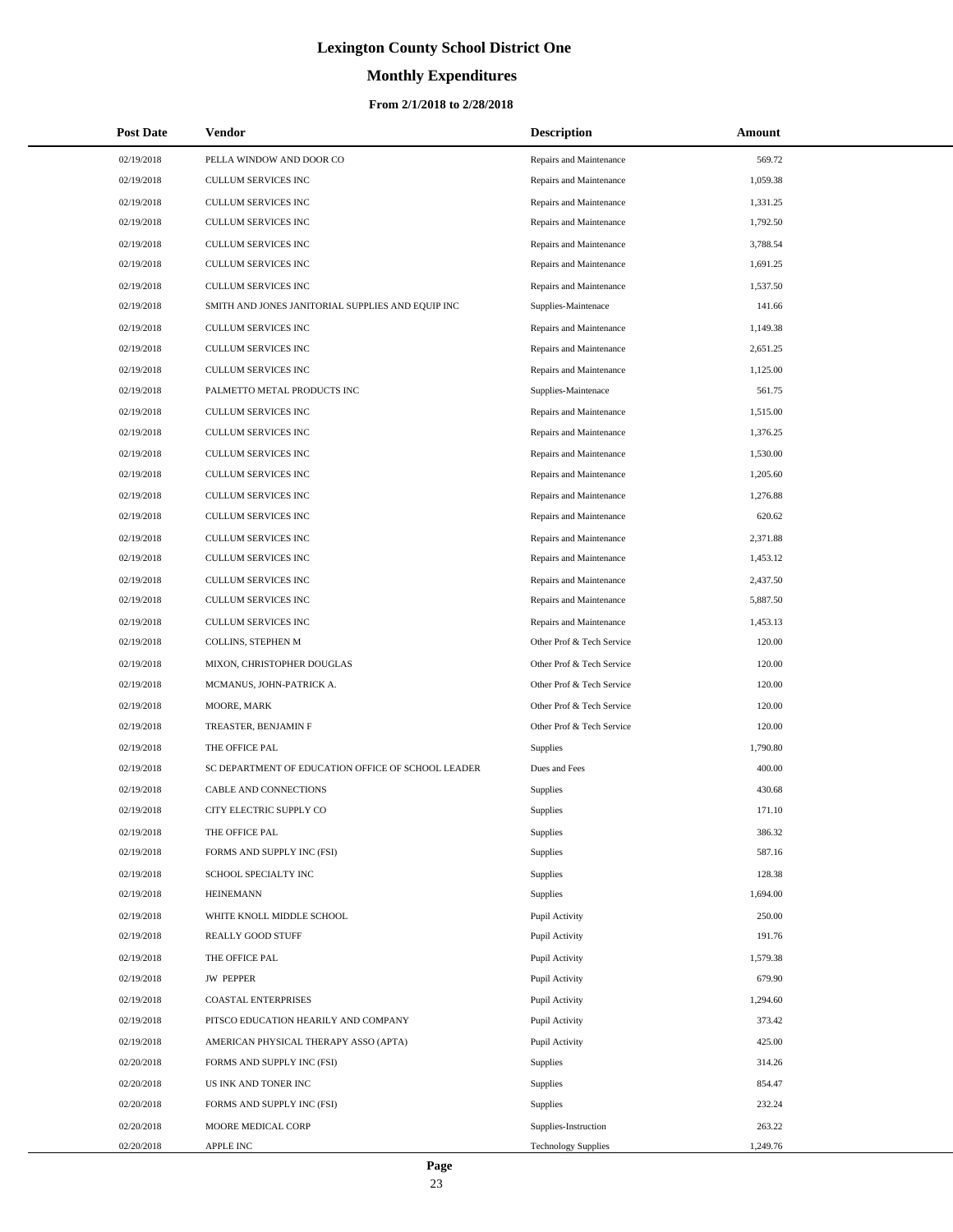# **Monthly Expenditures**

#### **From 2/1/2018 to 2/28/2018**

| <b>Post Date</b> | Vendor                                             | <b>Description</b>         | Amount   |
|------------------|----------------------------------------------------|----------------------------|----------|
| 02/19/2018       | PELLA WINDOW AND DOOR CO                           | Repairs and Maintenance    | 569.72   |
| 02/19/2018       | CULLUM SERVICES INC                                | Repairs and Maintenance    | 1,059.38 |
| 02/19/2018       | <b>CULLUM SERVICES INC</b>                         | Repairs and Maintenance    | 1,331.25 |
| 02/19/2018       | CULLUM SERVICES INC                                | Repairs and Maintenance    | 1,792.50 |
| 02/19/2018       | CULLUM SERVICES INC                                | Repairs and Maintenance    | 3,788.54 |
| 02/19/2018       | CULLUM SERVICES INC                                | Repairs and Maintenance    | 1,691.25 |
| 02/19/2018       | CULLUM SERVICES INC                                | Repairs and Maintenance    | 1,537.50 |
| 02/19/2018       | SMITH AND JONES JANITORIAL SUPPLIES AND EQUIP INC  | Supplies-Maintenace        | 141.66   |
| 02/19/2018       | CULLUM SERVICES INC                                | Repairs and Maintenance    | 1,149.38 |
| 02/19/2018       | CULLUM SERVICES INC                                | Repairs and Maintenance    | 2,651.25 |
| 02/19/2018       | CULLUM SERVICES INC                                | Repairs and Maintenance    | 1,125.00 |
| 02/19/2018       | PALMETTO METAL PRODUCTS INC                        | Supplies-Maintenace        | 561.75   |
| 02/19/2018       | CULLUM SERVICES INC                                | Repairs and Maintenance    | 1,515.00 |
| 02/19/2018       | CULLUM SERVICES INC                                | Repairs and Maintenance    | 1,376.25 |
| 02/19/2018       | <b>CULLUM SERVICES INC</b>                         | Repairs and Maintenance    | 1,530.00 |
| 02/19/2018       | <b>CULLUM SERVICES INC</b>                         | Repairs and Maintenance    | 1,205.60 |
| 02/19/2018       | CULLUM SERVICES INC                                | Repairs and Maintenance    | 1,276.88 |
| 02/19/2018       | CULLUM SERVICES INC                                | Repairs and Maintenance    | 620.62   |
| 02/19/2018       | <b>CULLUM SERVICES INC</b>                         | Repairs and Maintenance    | 2,371.88 |
| 02/19/2018       | CULLUM SERVICES INC                                | Repairs and Maintenance    | 1,453.12 |
| 02/19/2018       | CULLUM SERVICES INC                                | Repairs and Maintenance    | 2,437.50 |
| 02/19/2018       | CULLUM SERVICES INC                                | Repairs and Maintenance    | 5,887.50 |
| 02/19/2018       | CULLUM SERVICES INC                                | Repairs and Maintenance    | 1,453.13 |
| 02/19/2018       | COLLINS, STEPHEN M                                 | Other Prof & Tech Service  | 120.00   |
| 02/19/2018       | MIXON, CHRISTOPHER DOUGLAS                         | Other Prof & Tech Service  | 120.00   |
| 02/19/2018       | MCMANUS, JOHN-PATRICK A.                           | Other Prof & Tech Service  | 120.00   |
| 02/19/2018       | MOORE, MARK                                        | Other Prof & Tech Service  | 120.00   |
| 02/19/2018       | TREASTER, BENJAMIN F                               | Other Prof & Tech Service  | 120.00   |
| 02/19/2018       | THE OFFICE PAL                                     | Supplies                   | 1,790.80 |
| 02/19/2018       | SC DEPARTMENT OF EDUCATION OFFICE OF SCHOOL LEADER | Dues and Fees              | 400.00   |
| 02/19/2018       | CABLE AND CONNECTIONS                              | Supplies                   | 430.68   |
| 02/19/2018       | CITY ELECTRIC SUPPLY CO                            | Supplies                   | 171.10   |
| 02/19/2018       | THE OFFICE PAL                                     | Supplies                   | 386.32   |
| 02/19/2018       | FORMS AND SUPPLY INC (FSI)                         | Supplies                   | 587.16   |
| 02/19/2018       | SCHOOL SPECIALTY INC                               | Supplies                   | 128.38   |
| 02/19/2018       | <b>HEINEMANN</b>                                   | Supplies                   | 1,694.00 |
| 02/19/2018       | WHITE KNOLL MIDDLE SCHOOL                          | Pupil Activity             | 250.00   |
| 02/19/2018       | REALLY GOOD STUFF                                  | Pupil Activity             | 191.76   |
| 02/19/2018       | THE OFFICE PAL                                     | Pupil Activity             | 1,579.38 |
| 02/19/2018       | <b>JW PEPPER</b>                                   | Pupil Activity             | 679.90   |
| 02/19/2018       | <b>COASTAL ENTERPRISES</b>                         | Pupil Activity             | 1,294.60 |
| 02/19/2018       | PITSCO EDUCATION HEARILY AND COMPANY               | Pupil Activity             | 373.42   |
| 02/19/2018       | AMERICAN PHYSICAL THERAPY ASSO (APTA)              | Pupil Activity             | 425.00   |
| 02/20/2018       | FORMS AND SUPPLY INC (FSI)                         | Supplies                   | 314.26   |
| 02/20/2018       | US INK AND TONER INC                               | Supplies                   | 854.47   |
| 02/20/2018       | FORMS AND SUPPLY INC (FSI)                         | Supplies                   | 232.24   |
| 02/20/2018       | MOORE MEDICAL CORP                                 | Supplies-Instruction       | 263.22   |
| 02/20/2018       | APPLE INC                                          | <b>Technology Supplies</b> | 1,249.76 |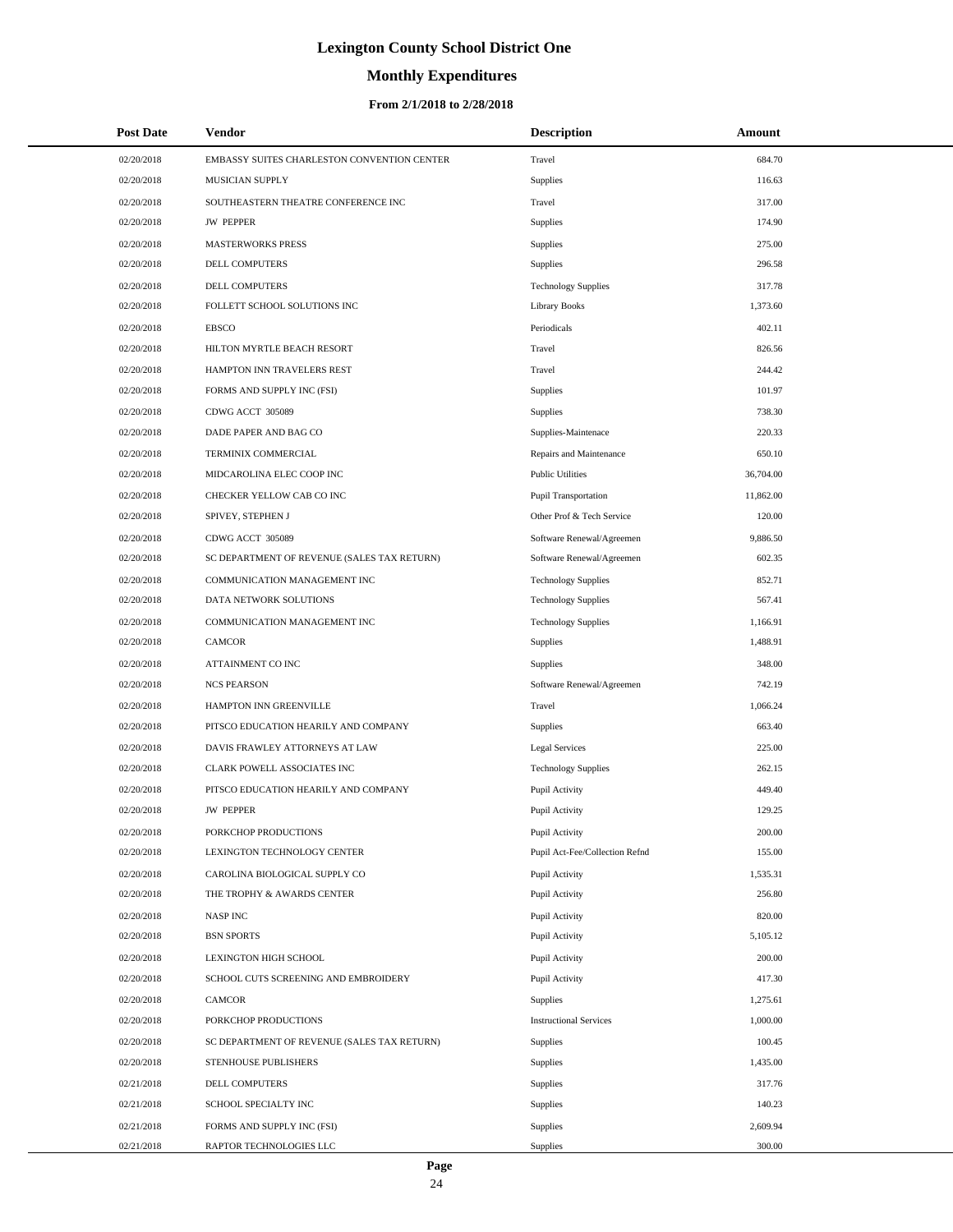# **Monthly Expenditures**

#### **From 2/1/2018 to 2/28/2018**

| <b>Post Date</b> | Vendor                                      | <b>Description</b>             | Amount    |
|------------------|---------------------------------------------|--------------------------------|-----------|
| 02/20/2018       | EMBASSY SUITES CHARLESTON CONVENTION CENTER | Travel                         | 684.70    |
| 02/20/2018       | MUSICIAN SUPPLY                             | Supplies                       | 116.63    |
| 02/20/2018       | SOUTHEASTERN THEATRE CONFERENCE INC         | Travel                         | 317.00    |
| 02/20/2018       | <b>JW PEPPER</b>                            | Supplies                       | 174.90    |
| 02/20/2018       | <b>MASTERWORKS PRESS</b>                    | Supplies                       | 275.00    |
| 02/20/2018       | DELL COMPUTERS                              | Supplies                       | 296.58    |
| 02/20/2018       | DELL COMPUTERS                              | <b>Technology Supplies</b>     | 317.78    |
| 02/20/2018       | FOLLETT SCHOOL SOLUTIONS INC                | <b>Library Books</b>           | 1,373.60  |
| 02/20/2018       | <b>EBSCO</b>                                | Periodicals                    | 402.11    |
| 02/20/2018       | HILTON MYRTLE BEACH RESORT                  | Travel                         | 826.56    |
| 02/20/2018       | HAMPTON INN TRAVELERS REST                  | Travel                         | 244.42    |
| 02/20/2018       | FORMS AND SUPPLY INC (FSI)                  | Supplies                       | 101.97    |
| 02/20/2018       | CDWG ACCT 305089                            | Supplies                       | 738.30    |
| 02/20/2018       | DADE PAPER AND BAG CO                       | Supplies-Maintenace            | 220.33    |
| 02/20/2018       | TERMINIX COMMERCIAL                         | Repairs and Maintenance        | 650.10    |
| 02/20/2018       | MIDCAROLINA ELEC COOP INC                   | <b>Public Utilities</b>        | 36,704.00 |
| 02/20/2018       | CHECKER YELLOW CAB CO INC                   | <b>Pupil Transportation</b>    | 11,862.00 |
| 02/20/2018       | SPIVEY, STEPHEN J                           | Other Prof & Tech Service      | 120.00    |
| 02/20/2018       | CDWG ACCT 305089                            | Software Renewal/Agreemen      | 9,886.50  |
| 02/20/2018       | SC DEPARTMENT OF REVENUE (SALES TAX RETURN) | Software Renewal/Agreemen      | 602.35    |
| 02/20/2018       | COMMUNICATION MANAGEMENT INC                | <b>Technology Supplies</b>     | 852.71    |
| 02/20/2018       | DATA NETWORK SOLUTIONS                      | <b>Technology Supplies</b>     | 567.41    |
| 02/20/2018       | COMMUNICATION MANAGEMENT INC                | <b>Technology Supplies</b>     | 1,166.91  |
| 02/20/2018       | <b>CAMCOR</b>                               | Supplies                       | 1,488.91  |
| 02/20/2018       | ATTAINMENT CO INC                           | Supplies                       | 348.00    |
| 02/20/2018       | <b>NCS PEARSON</b>                          | Software Renewal/Agreemen      | 742.19    |
| 02/20/2018       | HAMPTON INN GREENVILLE                      | Travel                         | 1,066.24  |
| 02/20/2018       | PITSCO EDUCATION HEARILY AND COMPANY        | Supplies                       | 663.40    |
| 02/20/2018       | DAVIS FRAWLEY ATTORNEYS AT LAW              | <b>Legal Services</b>          | 225.00    |
| 02/20/2018       | CLARK POWELL ASSOCIATES INC                 | <b>Technology Supplies</b>     | 262.15    |
| 02/20/2018       | PITSCO EDUCATION HEARILY AND COMPANY        | Pupil Activity                 | 449.40    |
| 02/20/2018       | <b>JW PEPPER</b>                            | Pupil Activity                 | 129.25    |
| 02/20/2018       | PORKCHOP PRODUCTIONS                        | Pupil Activity                 | 200.00    |
| 02/20/2018       | LEXINGTON TECHNOLOGY CENTER                 | Pupil Act-Fee/Collection Refnd | 155.00    |
| 02/20/2018       | CAROLINA BIOLOGICAL SUPPLY CO               | Pupil Activity                 | 1,535.31  |
| 02/20/2018       | THE TROPHY & AWARDS CENTER                  | Pupil Activity                 | 256.80    |
| 02/20/2018       | <b>NASPINC</b>                              | Pupil Activity                 | 820.00    |
| 02/20/2018       | <b>BSN SPORTS</b>                           | Pupil Activity                 | 5,105.12  |
| 02/20/2018       | LEXINGTON HIGH SCHOOL                       | Pupil Activity                 | 200.00    |
| 02/20/2018       | SCHOOL CUTS SCREENING AND EMBROIDERY        | Pupil Activity                 | 417.30    |
| 02/20/2018       | <b>CAMCOR</b>                               | Supplies                       | 1,275.61  |
| 02/20/2018       | PORKCHOP PRODUCTIONS                        | <b>Instructional Services</b>  | 1,000.00  |
| 02/20/2018       | SC DEPARTMENT OF REVENUE (SALES TAX RETURN) | Supplies                       | 100.45    |
| 02/20/2018       | STENHOUSE PUBLISHERS                        | Supplies                       | 1,435.00  |
| 02/21/2018       | DELL COMPUTERS                              | Supplies                       | 317.76    |
| 02/21/2018       | SCHOOL SPECIALTY INC                        | Supplies                       | 140.23    |
| 02/21/2018       | FORMS AND SUPPLY INC (FSI)                  | Supplies                       | 2,609.94  |
| 02/21/2018       | RAPTOR TECHNOLOGIES LLC                     | Supplies                       | 300.00    |

 $\overline{a}$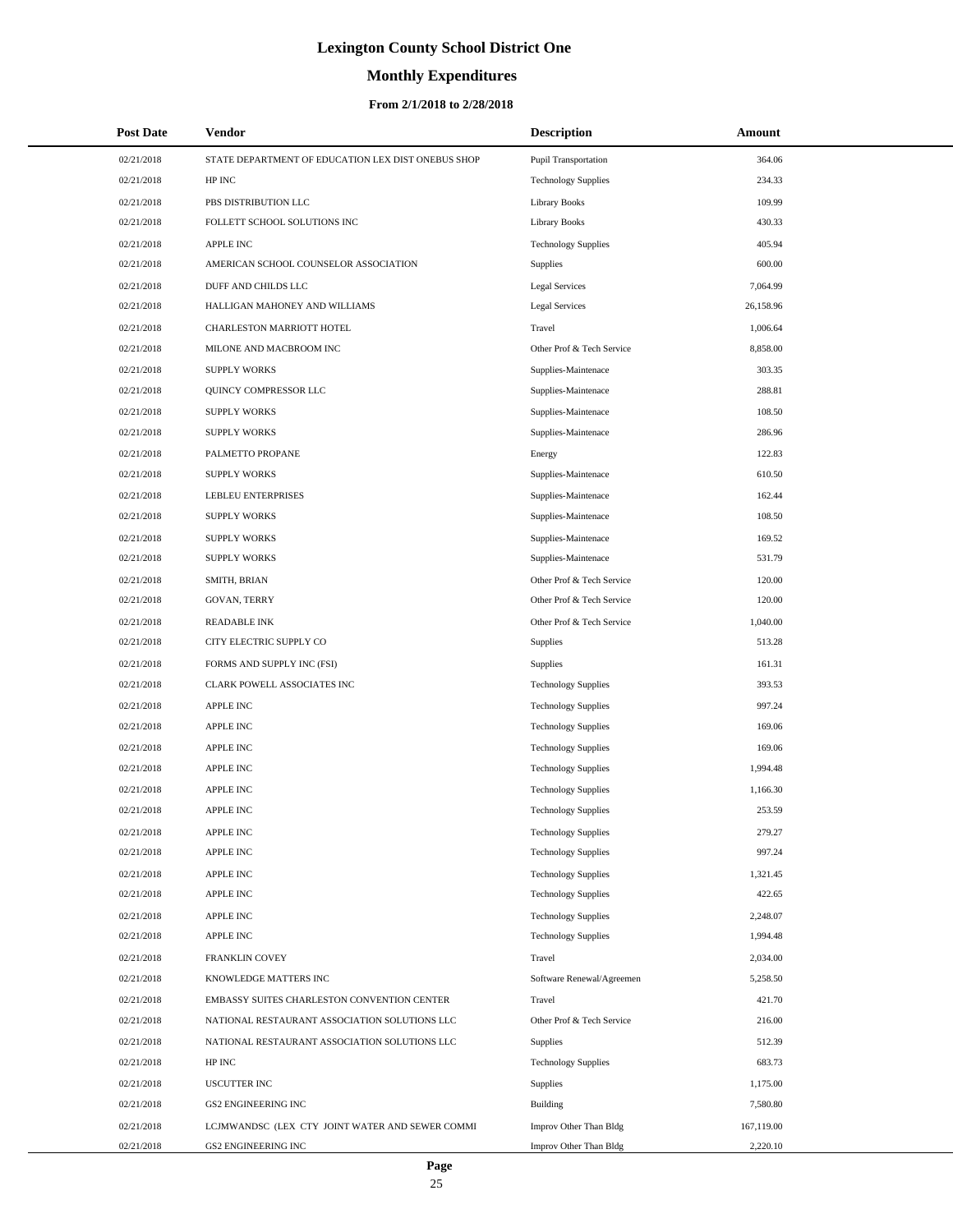# **Monthly Expenditures**

#### **From 2/1/2018 to 2/28/2018**

| <b>Post Date</b> | Vendor                                             | <b>Description</b>         | Amount     |
|------------------|----------------------------------------------------|----------------------------|------------|
| 02/21/2018       | STATE DEPARTMENT OF EDUCATION LEX DIST ONEBUS SHOP | Pupil Transportation       | 364.06     |
| 02/21/2018       | HP INC                                             | <b>Technology Supplies</b> | 234.33     |
| 02/21/2018       | PBS DISTRIBUTION LLC                               | <b>Library Books</b>       | 109.99     |
| 02/21/2018       | FOLLETT SCHOOL SOLUTIONS INC                       | Library Books              | 430.33     |
| 02/21/2018       | <b>APPLE INC</b>                                   | <b>Technology Supplies</b> | 405.94     |
| 02/21/2018       | AMERICAN SCHOOL COUNSELOR ASSOCIATION              | Supplies                   | 600.00     |
| 02/21/2018       | DUFF AND CHILDS LLC                                | <b>Legal Services</b>      | 7,064.99   |
| 02/21/2018       | HALLIGAN MAHONEY AND WILLIAMS                      | <b>Legal Services</b>      | 26,158.96  |
| 02/21/2018       | CHARLESTON MARRIOTT HOTEL                          | Travel                     | 1,006.64   |
| 02/21/2018       | MILONE AND MACBROOM INC                            | Other Prof & Tech Service  | 8,858.00   |
| 02/21/2018       | <b>SUPPLY WORKS</b>                                | Supplies-Maintenace        | 303.35     |
| 02/21/2018       | QUINCY COMPRESSOR LLC                              | Supplies-Maintenace        | 288.81     |
| 02/21/2018       | <b>SUPPLY WORKS</b>                                | Supplies-Maintenace        | 108.50     |
| 02/21/2018       | <b>SUPPLY WORKS</b>                                | Supplies-Maintenace        | 286.96     |
| 02/21/2018       | PALMETTO PROPANE                                   | Energy                     | 122.83     |
| 02/21/2018       | <b>SUPPLY WORKS</b>                                | Supplies-Maintenace        | 610.50     |
| 02/21/2018       | <b>LEBLEU ENTERPRISES</b>                          | Supplies-Maintenace        | 162.44     |
| 02/21/2018       | <b>SUPPLY WORKS</b>                                | Supplies-Maintenace        | 108.50     |
| 02/21/2018       | <b>SUPPLY WORKS</b>                                | Supplies-Maintenace        | 169.52     |
| 02/21/2018       | <b>SUPPLY WORKS</b>                                | Supplies-Maintenace        | 531.79     |
| 02/21/2018       | SMITH, BRIAN                                       | Other Prof & Tech Service  | 120.00     |
| 02/21/2018       | GOVAN, TERRY                                       | Other Prof & Tech Service  | 120.00     |
| 02/21/2018       | <b>READABLE INK</b>                                | Other Prof & Tech Service  | 1,040.00   |
| 02/21/2018       | CITY ELECTRIC SUPPLY CO                            | Supplies                   | 513.28     |
| 02/21/2018       | FORMS AND SUPPLY INC (FSI)                         | Supplies                   | 161.31     |
| 02/21/2018       | CLARK POWELL ASSOCIATES INC                        | <b>Technology Supplies</b> | 393.53     |
| 02/21/2018       | <b>APPLE INC</b>                                   | <b>Technology Supplies</b> | 997.24     |
| 02/21/2018       | <b>APPLE INC</b>                                   | <b>Technology Supplies</b> | 169.06     |
| 02/21/2018       | <b>APPLE INC</b>                                   | <b>Technology Supplies</b> | 169.06     |
| 02/21/2018       | <b>APPLE INC</b>                                   | <b>Technology Supplies</b> | 1,994.48   |
| 02/21/2018       | APPLE INC                                          | <b>Technology Supplies</b> | 1,166.30   |
| 02/21/2018       | APPLE INC                                          | <b>Technology Supplies</b> | 253.59     |
| 02/21/2018       | <b>APPLE INC</b>                                   | <b>Technology Supplies</b> | 279.27     |
| 02/21/2018       | APPLE INC                                          | <b>Technology Supplies</b> | 997.24     |
| 02/21/2018       | APPLE INC                                          | <b>Technology Supplies</b> | 1,321.45   |
| 02/21/2018       | <b>APPLE INC</b>                                   | <b>Technology Supplies</b> | 422.65     |
| 02/21/2018       | <b>APPLE INC</b>                                   | <b>Technology Supplies</b> | 2,248.07   |
| 02/21/2018       | <b>APPLE INC</b>                                   | <b>Technology Supplies</b> | 1,994.48   |
| 02/21/2018       | FRANKLIN COVEY                                     | Travel                     | 2,034.00   |
| 02/21/2018       | KNOWLEDGE MATTERS INC                              | Software Renewal/Agreemen  | 5,258.50   |
| 02/21/2018       | EMBASSY SUITES CHARLESTON CONVENTION CENTER        | Travel                     | 421.70     |
| 02/21/2018       | NATIONAL RESTAURANT ASSOCIATION SOLUTIONS LLC      | Other Prof & Tech Service  | 216.00     |
| 02/21/2018       | NATIONAL RESTAURANT ASSOCIATION SOLUTIONS LLC      | <b>Supplies</b>            | 512.39     |
| 02/21/2018       | HP INC                                             | <b>Technology Supplies</b> | 683.73     |
| 02/21/2018       | <b>USCUTTER INC</b>                                | <b>Supplies</b>            | 1,175.00   |
| 02/21/2018       | <b>GS2 ENGINEERING INC</b>                         | Building                   | 7,580.80   |
| 02/21/2018       | LCJMWANDSC (LEX CTY JOINT WATER AND SEWER COMMI    | Improv Other Than Bldg     | 167,119.00 |
| 02/21/2018       | <b>GS2 ENGINEERING INC</b>                         | Improv Other Than Bldg     | 2,220.10   |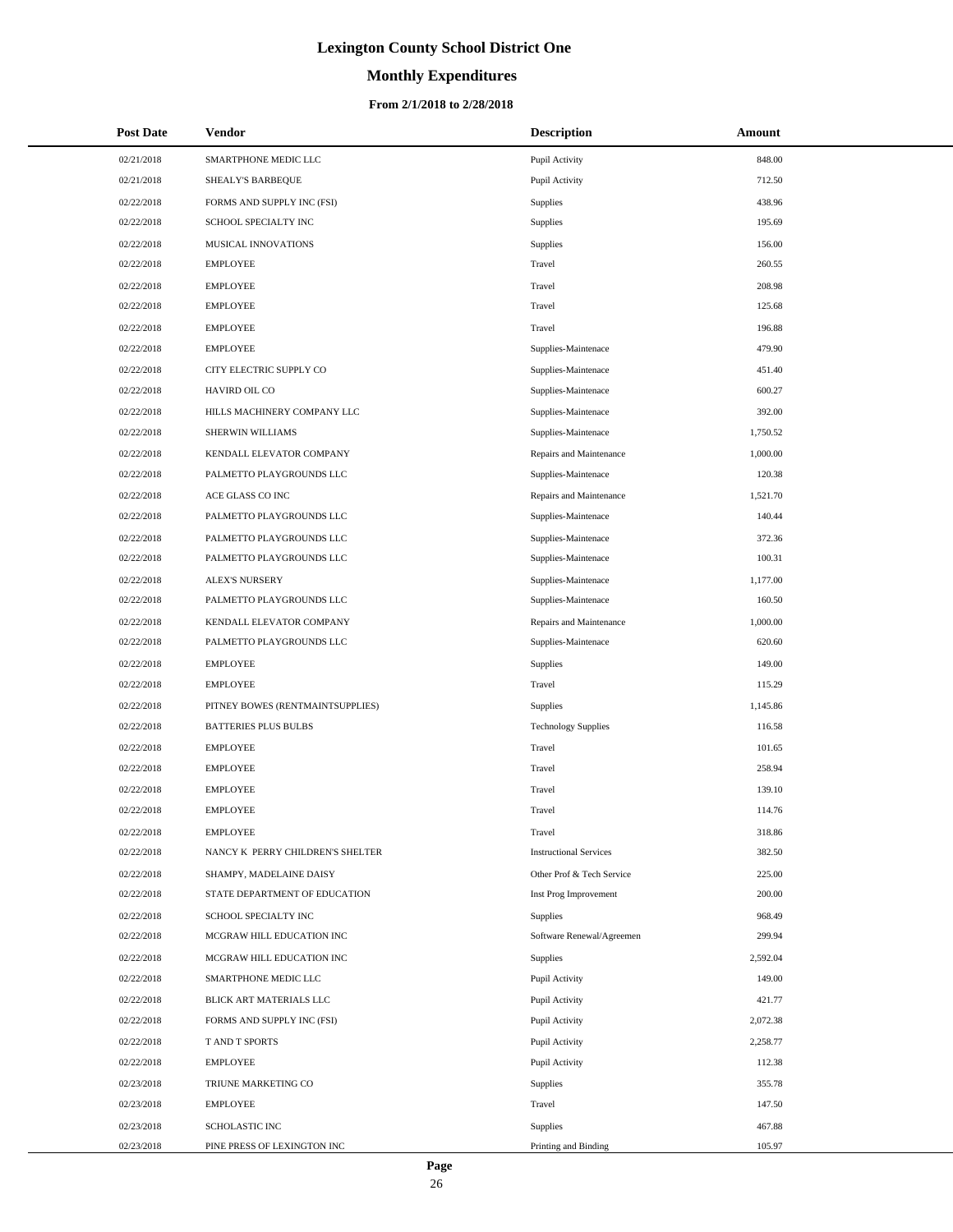# **Monthly Expenditures**

| <b>Post Date</b> | <b>Vendor</b>                    | <b>Description</b>            | Amount   |
|------------------|----------------------------------|-------------------------------|----------|
| 02/21/2018       | SMARTPHONE MEDIC LLC             | Pupil Activity                | 848.00   |
| 02/21/2018       | SHEALY'S BARBEQUE                | Pupil Activity                | 712.50   |
| 02/22/2018       | FORMS AND SUPPLY INC (FSI)       | <b>Supplies</b>               | 438.96   |
| 02/22/2018       | SCHOOL SPECIALTY INC             | <b>Supplies</b>               | 195.69   |
| 02/22/2018       | MUSICAL INNOVATIONS              | Supplies                      | 156.00   |
| 02/22/2018       | <b>EMPLOYEE</b>                  | Travel                        | 260.55   |
| 02/22/2018       | <b>EMPLOYEE</b>                  | Travel                        | 208.98   |
| 02/22/2018       | <b>EMPLOYEE</b>                  | Travel                        | 125.68   |
| 02/22/2018       | <b>EMPLOYEE</b>                  | Travel                        | 196.88   |
| 02/22/2018       | <b>EMPLOYEE</b>                  | Supplies-Maintenace           | 479.90   |
| 02/22/2018       | CITY ELECTRIC SUPPLY CO          | Supplies-Maintenace           | 451.40   |
| 02/22/2018       | HAVIRD OIL CO                    | Supplies-Maintenace           | 600.27   |
| 02/22/2018       | HILLS MACHINERY COMPANY LLC      | Supplies-Maintenace           | 392.00   |
| 02/22/2018       | SHERWIN WILLIAMS                 | Supplies-Maintenace           | 1,750.52 |
| 02/22/2018       | KENDALL ELEVATOR COMPANY         | Repairs and Maintenance       | 1,000.00 |
| 02/22/2018       | PALMETTO PLAYGROUNDS LLC         | Supplies-Maintenace           | 120.38   |
| 02/22/2018       | ACE GLASS CO INC                 | Repairs and Maintenance       | 1,521.70 |
| 02/22/2018       | PALMETTO PLAYGROUNDS LLC         | Supplies-Maintenace           | 140.44   |
| 02/22/2018       | PALMETTO PLAYGROUNDS LLC         | Supplies-Maintenace           | 372.36   |
| 02/22/2018       | PALMETTO PLAYGROUNDS LLC         | Supplies-Maintenace           | 100.31   |
| 02/22/2018       | <b>ALEX'S NURSERY</b>            | Supplies-Maintenace           | 1,177.00 |
| 02/22/2018       | PALMETTO PLAYGROUNDS LLC         | Supplies-Maintenace           | 160.50   |
| 02/22/2018       | KENDALL ELEVATOR COMPANY         | Repairs and Maintenance       | 1,000.00 |
| 02/22/2018       | PALMETTO PLAYGROUNDS LLC         | Supplies-Maintenace           | 620.60   |
| 02/22/2018       | <b>EMPLOYEE</b>                  | <b>Supplies</b>               | 149.00   |
| 02/22/2018       | <b>EMPLOYEE</b>                  | Travel                        | 115.29   |
| 02/22/2018       | PITNEY BOWES (RENTMAINTSUPPLIES) | <b>Supplies</b>               | 1,145.86 |
| 02/22/2018       | <b>BATTERIES PLUS BULBS</b>      | <b>Technology Supplies</b>    | 116.58   |
| 02/22/2018       | <b>EMPLOYEE</b>                  | Travel                        | 101.65   |
| 02/22/2018       | <b>EMPLOYEE</b>                  | Travel                        | 258.94   |
| 02/22/2018       | <b>EMPLOYEE</b>                  | Travel                        | 139.10   |
| 02/22/2018       | <b>EMPLOYEE</b>                  | Travel                        | 114.76   |
| 02/22/2018       | <b>EMPLOYEE</b>                  | Travel                        | 318.86   |
| 02/22/2018       | NANCY K PERRY CHILDREN'S SHELTER | <b>Instructional Services</b> | 382.50   |
| 02/22/2018       | SHAMPY, MADELAINE DAISY          | Other Prof & Tech Service     | 225.00   |
| 02/22/2018       | STATE DEPARTMENT OF EDUCATION    | Inst Prog Improvement         | 200.00   |
| 02/22/2018       | SCHOOL SPECIALTY INC             | Supplies                      | 968.49   |
| 02/22/2018       | MCGRAW HILL EDUCATION INC        | Software Renewal/Agreemen     | 299.94   |
| 02/22/2018       | MCGRAW HILL EDUCATION INC        | <b>Supplies</b>               | 2,592.04 |
| 02/22/2018       | SMARTPHONE MEDIC LLC             | Pupil Activity                | 149.00   |
| 02/22/2018       | BLICK ART MATERIALS LLC          | Pupil Activity                | 421.77   |
| 02/22/2018       | FORMS AND SUPPLY INC (FSI)       | Pupil Activity                | 2,072.38 |
| 02/22/2018       | T AND T SPORTS                   | Pupil Activity                | 2,258.77 |
| 02/22/2018       | <b>EMPLOYEE</b>                  | Pupil Activity                | 112.38   |
| 02/23/2018       | TRIUNE MARKETING CO              | Supplies                      | 355.78   |
| 02/23/2018       | <b>EMPLOYEE</b>                  | Travel                        | 147.50   |
| 02/23/2018       | <b>SCHOLASTIC INC</b>            | <b>Supplies</b>               | 467.88   |
| 02/23/2018       | PINE PRESS OF LEXINGTON INC      | Printing and Binding          | 105.97   |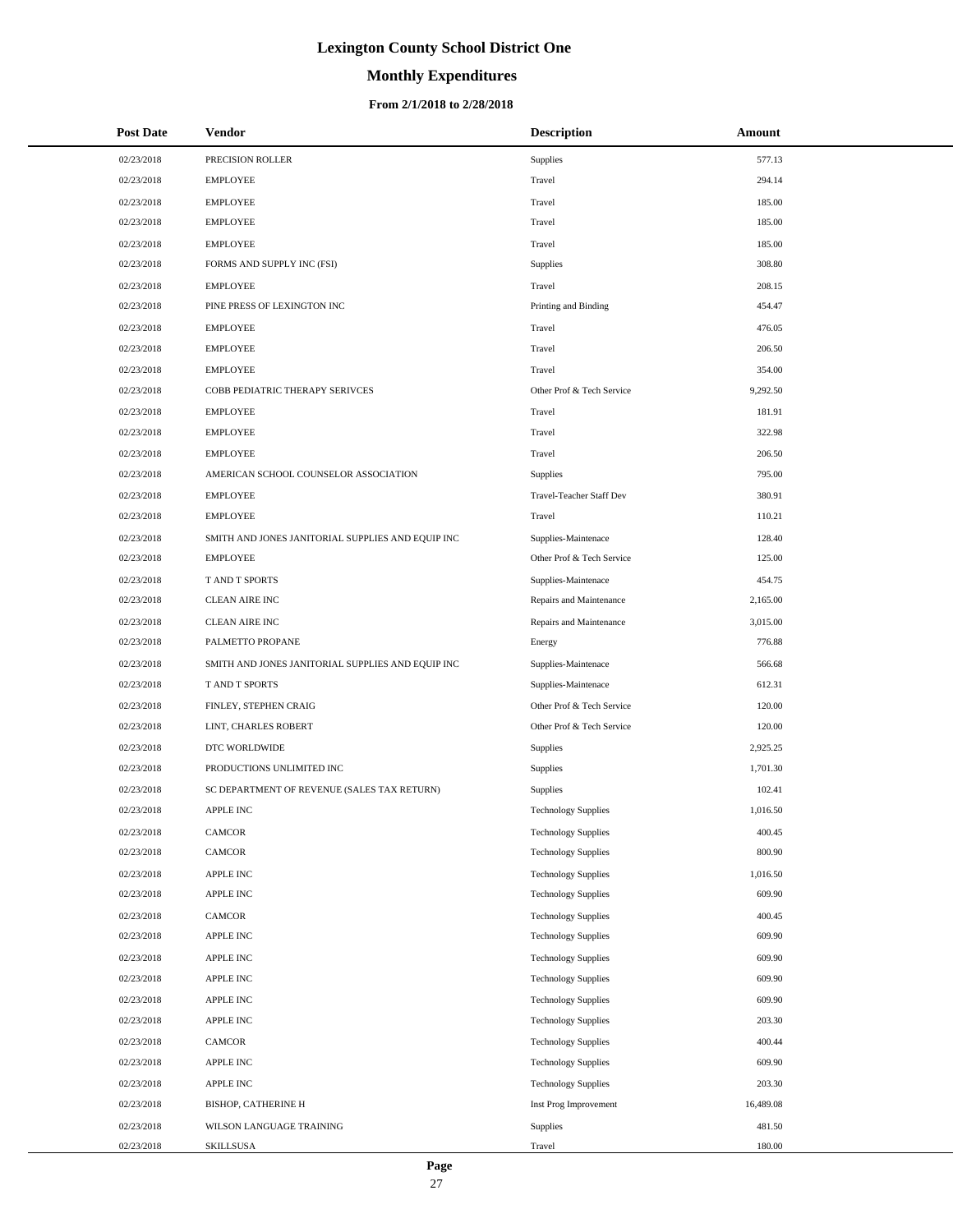# **Monthly Expenditures**

#### **From 2/1/2018 to 2/28/2018**

| <b>Post Date</b> | <b>Vendor</b>                                     | <b>Description</b>         | Amount    |
|------------------|---------------------------------------------------|----------------------------|-----------|
| 02/23/2018       | PRECISION ROLLER                                  | Supplies                   | 577.13    |
| 02/23/2018       | <b>EMPLOYEE</b>                                   | Travel                     | 294.14    |
| 02/23/2018       | <b>EMPLOYEE</b>                                   | Travel                     | 185.00    |
| 02/23/2018       | <b>EMPLOYEE</b>                                   | Travel                     | 185.00    |
| 02/23/2018       | <b>EMPLOYEE</b>                                   | Travel                     | 185.00    |
| 02/23/2018       | FORMS AND SUPPLY INC (FSI)                        | Supplies                   | 308.80    |
| 02/23/2018       | <b>EMPLOYEE</b>                                   | Travel                     | 208.15    |
| 02/23/2018       | PINE PRESS OF LEXINGTON INC                       | Printing and Binding       | 454.47    |
| 02/23/2018       | <b>EMPLOYEE</b>                                   | Travel                     | 476.05    |
| 02/23/2018       | <b>EMPLOYEE</b>                                   | Travel                     | 206.50    |
| 02/23/2018       | <b>EMPLOYEE</b>                                   | Travel                     | 354.00    |
| 02/23/2018       | COBB PEDIATRIC THERAPY SERIVCES                   | Other Prof & Tech Service  | 9,292.50  |
| 02/23/2018       | <b>EMPLOYEE</b>                                   | Travel                     | 181.91    |
| 02/23/2018       | <b>EMPLOYEE</b>                                   | Travel                     | 322.98    |
| 02/23/2018       | <b>EMPLOYEE</b>                                   | Travel                     | 206.50    |
| 02/23/2018       | AMERICAN SCHOOL COUNSELOR ASSOCIATION             | Supplies                   | 795.00    |
| 02/23/2018       | <b>EMPLOYEE</b>                                   | Travel-Teacher Staff Dev   | 380.91    |
| 02/23/2018       | <b>EMPLOYEE</b>                                   | Travel                     | 110.21    |
| 02/23/2018       | SMITH AND JONES JANITORIAL SUPPLIES AND EQUIP INC | Supplies-Maintenace        | 128.40    |
| 02/23/2018       | <b>EMPLOYEE</b>                                   | Other Prof & Tech Service  | 125.00    |
| 02/23/2018       | T AND T SPORTS                                    | Supplies-Maintenace        | 454.75    |
| 02/23/2018       | <b>CLEAN AIRE INC</b>                             | Repairs and Maintenance    | 2,165.00  |
| 02/23/2018       | <b>CLEAN AIRE INC</b>                             | Repairs and Maintenance    | 3,015.00  |
| 02/23/2018       | PALMETTO PROPANE                                  | Energy                     | 776.88    |
| 02/23/2018       | SMITH AND JONES JANITORIAL SUPPLIES AND EQUIP INC | Supplies-Maintenace        | 566.68    |
| 02/23/2018       | <b>TAND T SPORTS</b>                              | Supplies-Maintenace        | 612.31    |
| 02/23/2018       | FINLEY, STEPHEN CRAIG                             | Other Prof & Tech Service  | 120.00    |
| 02/23/2018       | LINT, CHARLES ROBERT                              | Other Prof & Tech Service  | 120.00    |
| 02/23/2018       | DTC WORLDWIDE                                     | Supplies                   | 2,925.25  |
| 02/23/2018       | PRODUCTIONS UNLIMITED INC                         | Supplies                   | 1,701.30  |
| 02/23/2018       | SC DEPARTMENT OF REVENUE (SALES TAX RETURN)       | <b>Supplies</b>            | 102.41    |
| 02/23/2018       | <b>APPLE INC</b>                                  | <b>Technology Supplies</b> | 1,016.50  |
| 02/23/2018       | CAMCOR                                            | <b>Technology Supplies</b> | 400.45    |
| 02/23/2018       | CAMCOR                                            | <b>Technology Supplies</b> | 800.90    |
| 02/23/2018       | APPLE INC                                         | <b>Technology Supplies</b> | 1,016.50  |
| 02/23/2018       | <b>APPLE INC</b>                                  | <b>Technology Supplies</b> | 609.90    |
| 02/23/2018       | CAMCOR                                            | <b>Technology Supplies</b> | 400.45    |
| 02/23/2018       | APPLE INC                                         | <b>Technology Supplies</b> | 609.90    |
| 02/23/2018       | APPLE INC                                         | <b>Technology Supplies</b> | 609.90    |
| 02/23/2018       | APPLE INC                                         | <b>Technology Supplies</b> | 609.90    |
| 02/23/2018       | <b>APPLE INC</b>                                  | <b>Technology Supplies</b> | 609.90    |
| 02/23/2018       | <b>APPLE INC</b>                                  | <b>Technology Supplies</b> | 203.30    |
| 02/23/2018       | CAMCOR                                            | <b>Technology Supplies</b> | 400.44    |
| 02/23/2018       | <b>APPLE INC</b>                                  | <b>Technology Supplies</b> | 609.90    |
| 02/23/2018       | <b>APPLE INC</b>                                  | <b>Technology Supplies</b> | 203.30    |
| 02/23/2018       | BISHOP, CATHERINE H                               | Inst Prog Improvement      | 16,489.08 |
| 02/23/2018       | WILSON LANGUAGE TRAINING                          | Supplies                   | 481.50    |
| 02/23/2018       | SKILLSUSA                                         | Travel                     | 180.00    |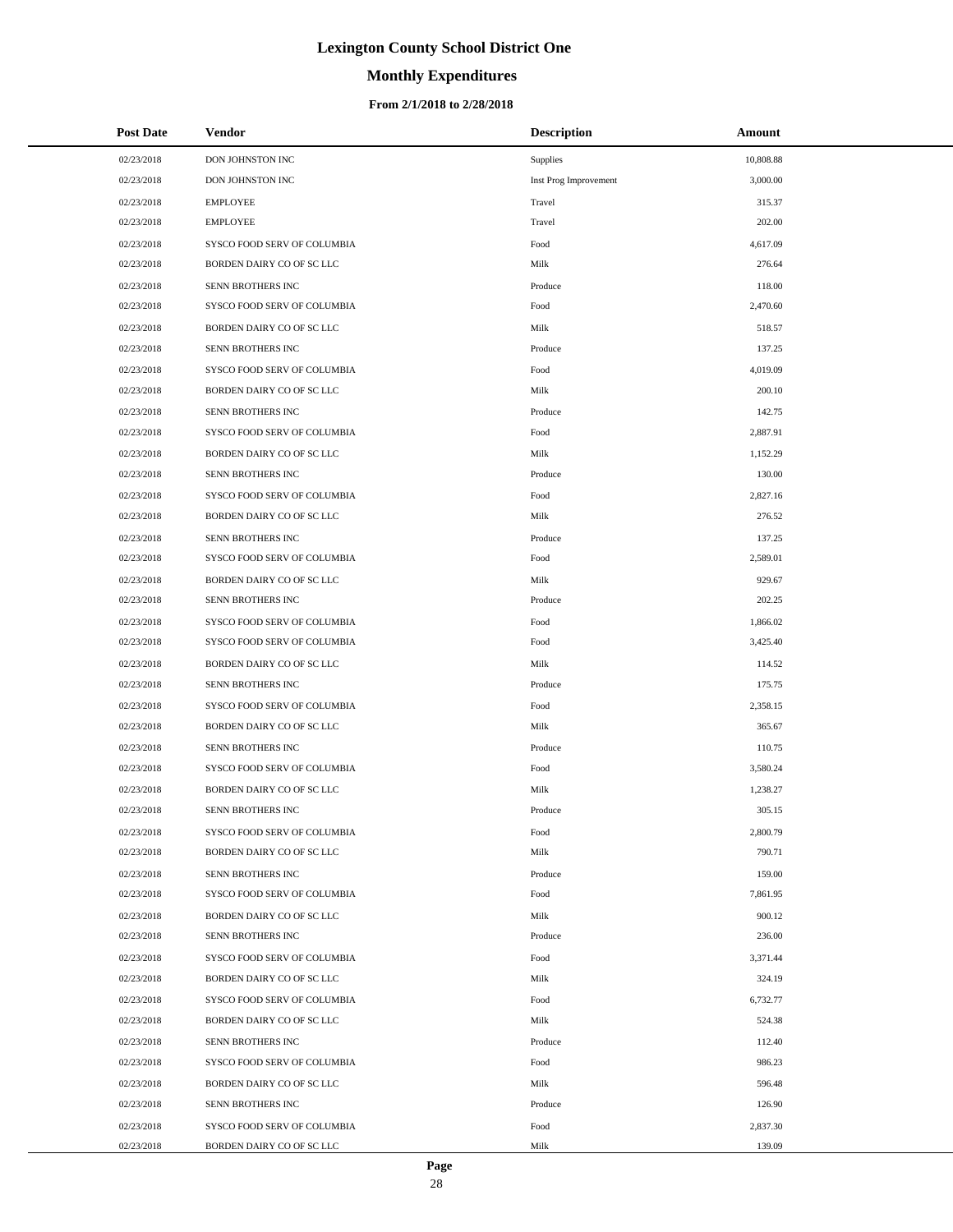# **Monthly Expenditures**

#### **From 2/1/2018 to 2/28/2018**

| <b>Post Date</b> | Vendor                      | <b>Description</b>    | Amount    |
|------------------|-----------------------------|-----------------------|-----------|
| 02/23/2018       | DON JOHNSTON INC            | Supplies              | 10,808.88 |
| 02/23/2018       | DON JOHNSTON INC            | Inst Prog Improvement | 3,000.00  |
| 02/23/2018       | <b>EMPLOYEE</b>             | Travel                | 315.37    |
| 02/23/2018       | <b>EMPLOYEE</b>             | Travel                | 202.00    |
| 02/23/2018       | SYSCO FOOD SERV OF COLUMBIA | Food                  | 4,617.09  |
| 02/23/2018       | BORDEN DAIRY CO OF SC LLC   | Milk                  | 276.64    |
| 02/23/2018       | SENN BROTHERS INC           | Produce               | 118.00    |
| 02/23/2018       | SYSCO FOOD SERV OF COLUMBIA | Food                  | 2,470.60  |
| 02/23/2018       | BORDEN DAIRY CO OF SC LLC   | Milk                  | 518.57    |
| 02/23/2018       | SENN BROTHERS INC           | Produce               | 137.25    |
| 02/23/2018       | SYSCO FOOD SERV OF COLUMBIA | Food                  | 4,019.09  |
| 02/23/2018       | BORDEN DAIRY CO OF SC LLC   | Milk                  | 200.10    |
| 02/23/2018       | SENN BROTHERS INC           | Produce               | 142.75    |
| 02/23/2018       | SYSCO FOOD SERV OF COLUMBIA | Food                  | 2,887.91  |
| 02/23/2018       | BORDEN DAIRY CO OF SC LLC   | Milk                  | 1,152.29  |
| 02/23/2018       | SENN BROTHERS INC           | Produce               | 130.00    |
| 02/23/2018       | SYSCO FOOD SERV OF COLUMBIA | Food                  | 2,827.16  |
| 02/23/2018       | BORDEN DAIRY CO OF SC LLC   | Milk                  | 276.52    |
| 02/23/2018       | SENN BROTHERS INC           | Produce               | 137.25    |
| 02/23/2018       | SYSCO FOOD SERV OF COLUMBIA | Food                  | 2,589.01  |
| 02/23/2018       | BORDEN DAIRY CO OF SC LLC   | Milk                  | 929.67    |
| 02/23/2018       | SENN BROTHERS INC           | Produce               | 202.25    |
| 02/23/2018       | SYSCO FOOD SERV OF COLUMBIA | Food                  | 1,866.02  |
| 02/23/2018       | SYSCO FOOD SERV OF COLUMBIA | Food                  | 3,425.40  |
| 02/23/2018       | BORDEN DAIRY CO OF SC LLC   | Milk                  | 114.52    |
| 02/23/2018       | SENN BROTHERS INC           | Produce               | 175.75    |
| 02/23/2018       | SYSCO FOOD SERV OF COLUMBIA | Food                  | 2,358.15  |
| 02/23/2018       | BORDEN DAIRY CO OF SC LLC   | Milk                  | 365.67    |
| 02/23/2018       | SENN BROTHERS INC           | Produce               | 110.75    |
| 02/23/2018       | SYSCO FOOD SERV OF COLUMBIA | Food                  | 3,580.24  |
| 02/23/2018       | BORDEN DAIRY CO OF SC LLC   | Milk                  | 1,238.27  |
| 02/23/2018       | SENN BROTHERS INC           | Produce               | 305.15    |
| 02/23/2018       | SYSCO FOOD SERV OF COLUMBIA | Food                  | 2,800.79  |
| 02/23/2018       | BORDEN DAIRY CO OF SC LLC   | Milk                  | 790.71    |
| 02/23/2018       | SENN BROTHERS INC           | Produce               | 159.00    |
| 02/23/2018       | SYSCO FOOD SERV OF COLUMBIA | Food                  | 7,861.95  |
| 02/23/2018       | BORDEN DAIRY CO OF SC LLC   | Milk                  | 900.12    |
| 02/23/2018       | SENN BROTHERS INC           | Produce               | 236.00    |
| 02/23/2018       | SYSCO FOOD SERV OF COLUMBIA | Food                  | 3,371.44  |
| 02/23/2018       | BORDEN DAIRY CO OF SC LLC   | Milk                  | 324.19    |
| 02/23/2018       | SYSCO FOOD SERV OF COLUMBIA | Food                  | 6,732.77  |
| 02/23/2018       | BORDEN DAIRY CO OF SC LLC   | Milk                  | 524.38    |
| 02/23/2018       | SENN BROTHERS INC           | Produce               | 112.40    |
| 02/23/2018       | SYSCO FOOD SERV OF COLUMBIA | Food                  | 986.23    |
| 02/23/2018       | BORDEN DAIRY CO OF SC LLC   | Milk                  | 596.48    |
| 02/23/2018       | SENN BROTHERS INC           | Produce               | 126.90    |
| 02/23/2018       | SYSCO FOOD SERV OF COLUMBIA | Food                  | 2,837.30  |
| 02/23/2018       | BORDEN DAIRY CO OF SC LLC   | Milk                  | 139.09    |

 $\overline{a}$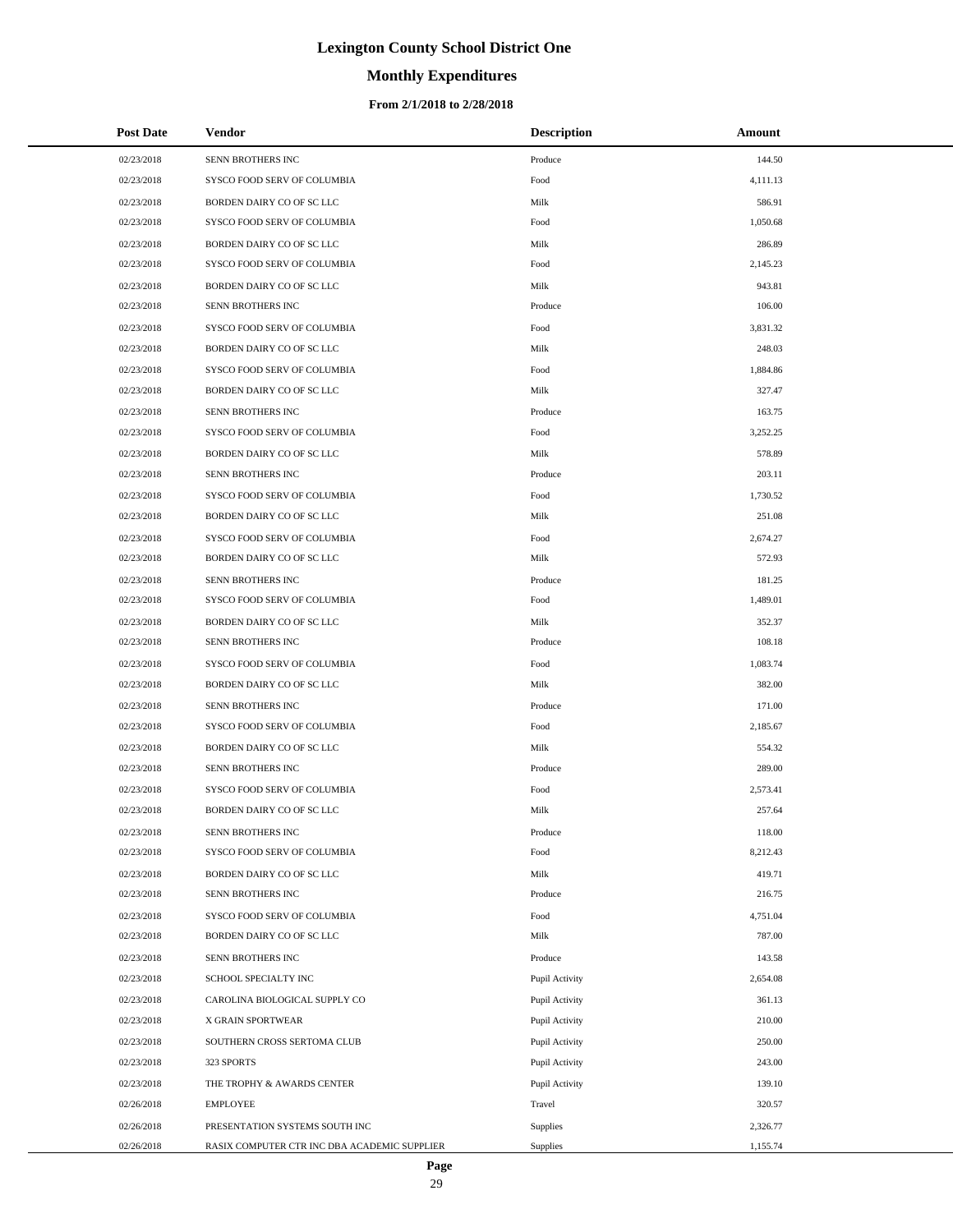# **Monthly Expenditures**

#### **From 2/1/2018 to 2/28/2018**

| <b>Post Date</b> | Vendor                                       | <b>Description</b> | Amount   |
|------------------|----------------------------------------------|--------------------|----------|
| 02/23/2018       | SENN BROTHERS INC                            | Produce            | 144.50   |
| 02/23/2018       | SYSCO FOOD SERV OF COLUMBIA                  | Food               | 4,111.13 |
| 02/23/2018       | BORDEN DAIRY CO OF SC LLC                    | Milk               | 586.91   |
| 02/23/2018       | SYSCO FOOD SERV OF COLUMBIA                  | Food               | 1,050.68 |
| 02/23/2018       | BORDEN DAIRY CO OF SC LLC                    | Milk               | 286.89   |
| 02/23/2018       | SYSCO FOOD SERV OF COLUMBIA                  | Food               | 2,145.23 |
| 02/23/2018       | BORDEN DAIRY CO OF SC LLC                    | Milk               | 943.81   |
| 02/23/2018       | SENN BROTHERS INC                            | Produce            | 106.00   |
| 02/23/2018       | SYSCO FOOD SERV OF COLUMBIA                  | Food               | 3.831.32 |
| 02/23/2018       | BORDEN DAIRY CO OF SC LLC                    | Milk               | 248.03   |
| 02/23/2018       | SYSCO FOOD SERV OF COLUMBIA                  | Food               | 1,884.86 |
| 02/23/2018       | BORDEN DAIRY CO OF SC LLC                    | Milk               | 327.47   |
| 02/23/2018       | SENN BROTHERS INC                            | Produce            | 163.75   |
| 02/23/2018       | SYSCO FOOD SERV OF COLUMBIA                  | Food               | 3,252.25 |
| 02/23/2018       | BORDEN DAIRY CO OF SC LLC                    | Milk               | 578.89   |
| 02/23/2018       | SENN BROTHERS INC                            | Produce            | 203.11   |
| 02/23/2018       | SYSCO FOOD SERV OF COLUMBIA                  | Food               | 1,730.52 |
| 02/23/2018       | BORDEN DAIRY CO OF SC LLC                    | Milk               | 251.08   |
| 02/23/2018       | SYSCO FOOD SERV OF COLUMBIA                  | Food               | 2,674.27 |
| 02/23/2018       | BORDEN DAIRY CO OF SC LLC                    | Milk               | 572.93   |
| 02/23/2018       | SENN BROTHERS INC                            | Produce            | 181.25   |
| 02/23/2018       | SYSCO FOOD SERV OF COLUMBIA                  | Food               | 1,489.01 |
| 02/23/2018       | BORDEN DAIRY CO OF SC LLC                    | Milk               | 352.37   |
| 02/23/2018       | SENN BROTHERS INC                            | Produce            | 108.18   |
| 02/23/2018       | SYSCO FOOD SERV OF COLUMBIA                  | Food               | 1,083.74 |
| 02/23/2018       | BORDEN DAIRY CO OF SC LLC                    | Milk               | 382.00   |
| 02/23/2018       | SENN BROTHERS INC                            | Produce            | 171.00   |
| 02/23/2018       | SYSCO FOOD SERV OF COLUMBIA                  | Food               | 2,185.67 |
| 02/23/2018       | BORDEN DAIRY CO OF SC LLC                    | Milk               | 554.32   |
| 02/23/2018       | SENN BROTHERS INC                            | Produce            | 289.00   |
| 02/23/2018       | SYSCO FOOD SERV OF COLUMBIA                  | Food               | 2,573.41 |
| 02/23/2018       | BORDEN DAIRY CO OF SC LLC                    | Milk               | 257.64   |
| 02/23/2018       | SENN BROTHERS INC                            | Produce            | 118.00   |
| 02/23/2018       | SYSCO FOOD SERV OF COLUMBIA                  | Food               | 8,212.43 |
| 02/23/2018       | BORDEN DAIRY CO OF SC LLC                    | Milk               | 419.71   |
| 02/23/2018       | SENN BROTHERS INC                            | Produce            | 216.75   |
| 02/23/2018       | SYSCO FOOD SERV OF COLUMBIA                  | Food               | 4,751.04 |
| 02/23/2018       | BORDEN DAIRY CO OF SC LLC                    | Milk               | 787.00   |
| 02/23/2018       | SENN BROTHERS INC                            | Produce            | 143.58   |
| 02/23/2018       | SCHOOL SPECIALTY INC                         | Pupil Activity     | 2,654.08 |
| 02/23/2018       | CAROLINA BIOLOGICAL SUPPLY CO                | Pupil Activity     | 361.13   |
| 02/23/2018       | X GRAIN SPORTWEAR                            | Pupil Activity     | 210.00   |
| 02/23/2018       | SOUTHERN CROSS SERTOMA CLUB                  | Pupil Activity     | 250.00   |
| 02/23/2018       | 323 SPORTS                                   | Pupil Activity     | 243.00   |
| 02/23/2018       | THE TROPHY & AWARDS CENTER                   | Pupil Activity     | 139.10   |
| 02/26/2018       | <b>EMPLOYEE</b>                              | Travel             | 320.57   |
| 02/26/2018       | PRESENTATION SYSTEMS SOUTH INC               | Supplies           | 2,326.77 |
| 02/26/2018       | RASIX COMPUTER CTR INC DBA ACADEMIC SUPPLIER | Supplies           | 1,155.74 |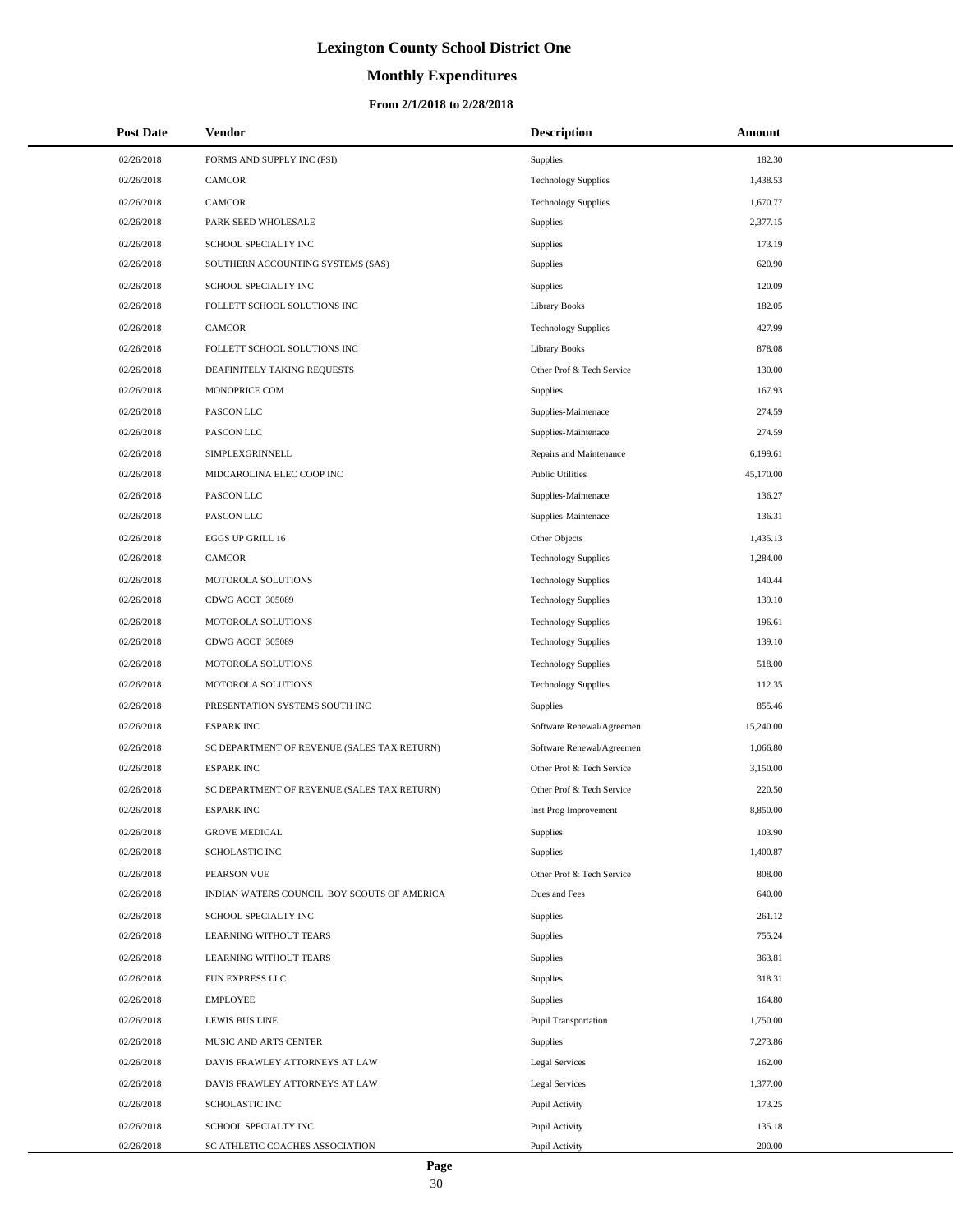# **Monthly Expenditures**

| <b>Post Date</b>         | Vendor                                                  | <b>Description</b>                      | Amount             |
|--------------------------|---------------------------------------------------------|-----------------------------------------|--------------------|
| 02/26/2018               | FORMS AND SUPPLY INC (FSI)                              | Supplies                                | 182.30             |
| 02/26/2018               | CAMCOR                                                  | <b>Technology Supplies</b>              | 1,438.53           |
| 02/26/2018               | CAMCOR                                                  | <b>Technology Supplies</b>              | 1,670.77           |
| 02/26/2018               | PARK SEED WHOLESALE                                     | Supplies                                | 2.377.15           |
| 02/26/2018               | SCHOOL SPECIALTY INC                                    | Supplies                                | 173.19             |
| 02/26/2018               | SOUTHERN ACCOUNTING SYSTEMS (SAS)                       | Supplies                                | 620.90             |
| 02/26/2018               | SCHOOL SPECIALTY INC                                    | Supplies                                | 120.09             |
| 02/26/2018               | FOLLETT SCHOOL SOLUTIONS INC                            | <b>Library Books</b>                    | 182.05             |
| 02/26/2018               | CAMCOR                                                  | <b>Technology Supplies</b>              | 427.99             |
| 02/26/2018               | FOLLETT SCHOOL SOLUTIONS INC                            | <b>Library Books</b>                    | 878.08             |
| 02/26/2018               | DEAFINITELY TAKING REQUESTS                             | Other Prof & Tech Service               | 130.00             |
| 02/26/2018               | MONOPRICE.COM                                           | Supplies                                | 167.93             |
| 02/26/2018               | PASCON LLC                                              | Supplies-Maintenace                     | 274.59             |
| 02/26/2018               | PASCON LLC                                              | Supplies-Maintenace                     | 274.59             |
| 02/26/2018               | SIMPLEXGRINNELL                                         | Repairs and Maintenance                 | 6,199.61           |
| 02/26/2018               | MIDCAROLINA ELEC COOP INC                               | <b>Public Utilities</b>                 | 45,170.00          |
| 02/26/2018               | PASCON LLC                                              | Supplies-Maintenace                     | 136.27             |
| 02/26/2018               | PASCON LLC                                              | Supplies-Maintenace                     | 136.31             |
| 02/26/2018               | EGGS UP GRILL 16                                        | Other Objects                           | 1,435.13           |
| 02/26/2018               | <b>CAMCOR</b>                                           | <b>Technology Supplies</b>              | 1,284.00           |
| 02/26/2018               | MOTOROLA SOLUTIONS                                      | <b>Technology Supplies</b>              | 140.44             |
| 02/26/2018               | CDWG ACCT 305089                                        | <b>Technology Supplies</b>              | 139.10             |
| 02/26/2018               | MOTOROLA SOLUTIONS                                      | <b>Technology Supplies</b>              | 196.61             |
| 02/26/2018               | CDWG ACCT 305089                                        | <b>Technology Supplies</b>              | 139.10             |
| 02/26/2018               | MOTOROLA SOLUTIONS                                      | <b>Technology Supplies</b>              | 518.00             |
| 02/26/2018               | MOTOROLA SOLUTIONS                                      | <b>Technology Supplies</b>              | 112.35             |
| 02/26/2018               | PRESENTATION SYSTEMS SOUTH INC                          | Supplies                                | 855.46             |
| 02/26/2018               | <b>ESPARK INC</b>                                       | Software Renewal/Agreemen               | 15,240.00          |
| 02/26/2018               | SC DEPARTMENT OF REVENUE (SALES TAX RETURN)             | Software Renewal/Agreemen               | 1,066.80           |
| 02/26/2018               | <b>ESPARK INC</b>                                       | Other Prof & Tech Service               | 3,150.00           |
| 02/26/2018               | SC DEPARTMENT OF REVENUE (SALES TAX RETURN)             | Other Prof & Tech Service               | 220.50             |
| 02/26/2018               | <b>ESPARK INC</b>                                       | Inst Prog Improvement                   | 8,850.00           |
| 02/26/2018               | <b>GROVE MEDICAL</b>                                    | Supplies                                | 103.90             |
| 02/26/2018               | <b>SCHOLASTIC INC</b>                                   | Supplies                                | 1,400.87           |
| 02/26/2018               | PEARSON VUE                                             | Other Prof & Tech Service               | 808.00             |
| 02/26/2018               | INDIAN WATERS COUNCIL BOY SCOUTS OF AMERICA             | Dues and Fees                           | 640.00             |
| 02/26/2018               | SCHOOL SPECIALTY INC                                    | Supplies                                | 261.12             |
| 02/26/2018               | LEARNING WITHOUT TEARS                                  | Supplies                                | 755.24             |
| 02/26/2018               | LEARNING WITHOUT TEARS                                  | Supplies                                | 363.81             |
| 02/26/2018               | FUN EXPRESS LLC                                         | Supplies                                | 318.31             |
| 02/26/2018               | <b>EMPLOYEE</b>                                         | Supplies                                | 164.80             |
| 02/26/2018               | LEWIS BUS LINE                                          | Pupil Transportation                    | 1,750.00           |
| 02/26/2018<br>02/26/2018 | MUSIC AND ARTS CENTER<br>DAVIS FRAWLEY ATTORNEYS AT LAW | Supplies<br><b>Legal Services</b>       | 7,273.86<br>162.00 |
|                          |                                                         |                                         | 1,377.00           |
| 02/26/2018<br>02/26/2018 | DAVIS FRAWLEY ATTORNEYS AT LAW<br><b>SCHOLASTIC INC</b> | <b>Legal Services</b><br>Pupil Activity | 173.25             |
| 02/26/2018               | SCHOOL SPECIALTY INC                                    |                                         | 135.18             |
| 02/26/2018               | SC ATHLETIC COACHES ASSOCIATION                         | Pupil Activity<br>Pupil Activity        | 200.00             |
|                          |                                                         |                                         |                    |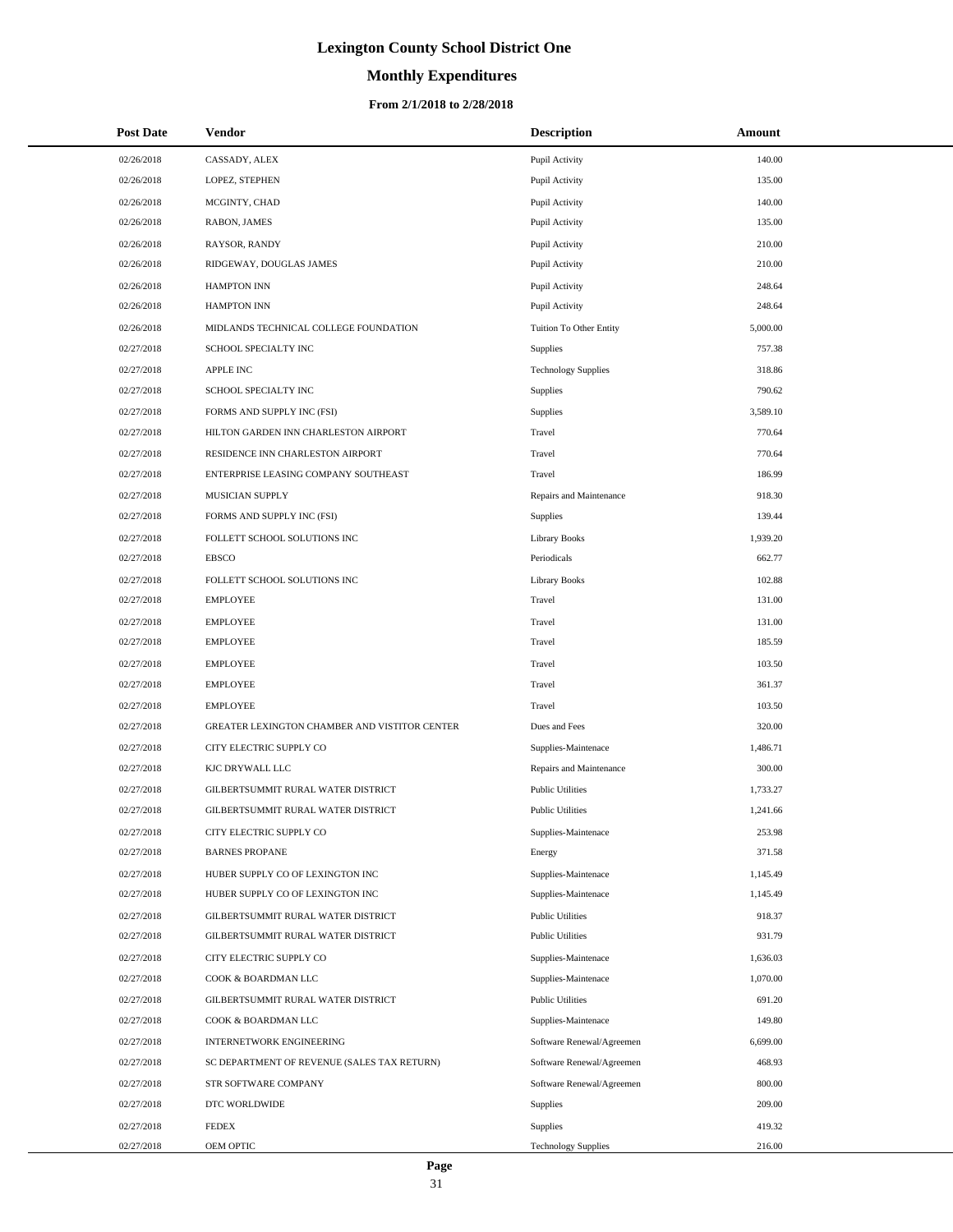# **Monthly Expenditures**

#### **From 2/1/2018 to 2/28/2018**

| <b>Post Date</b> | Vendor                                        | <b>Description</b>         | Amount   |
|------------------|-----------------------------------------------|----------------------------|----------|
| 02/26/2018       | CASSADY, ALEX                                 | Pupil Activity             | 140.00   |
| 02/26/2018       | LOPEZ, STEPHEN                                | Pupil Activity             | 135.00   |
| 02/26/2018       | MCGINTY, CHAD                                 | Pupil Activity             | 140.00   |
| 02/26/2018       | RABON, JAMES                                  | Pupil Activity             | 135.00   |
| 02/26/2018       | RAYSOR, RANDY                                 | Pupil Activity             | 210.00   |
| 02/26/2018       | RIDGEWAY, DOUGLAS JAMES                       | Pupil Activity             | 210.00   |
| 02/26/2018       | <b>HAMPTON INN</b>                            | Pupil Activity             | 248.64   |
| 02/26/2018       | <b>HAMPTON INN</b>                            | Pupil Activity             | 248.64   |
| 02/26/2018       | MIDLANDS TECHNICAL COLLEGE FOUNDATION         | Tuition To Other Entity    | 5,000.00 |
| 02/27/2018       | SCHOOL SPECIALTY INC                          | Supplies                   | 757.38   |
| 02/27/2018       | <b>APPLE INC</b>                              | <b>Technology Supplies</b> | 318.86   |
| 02/27/2018       | SCHOOL SPECIALTY INC                          | Supplies                   | 790.62   |
| 02/27/2018       | FORMS AND SUPPLY INC (FSI)                    | Supplies                   | 3,589.10 |
| 02/27/2018       | HILTON GARDEN INN CHARLESTON AIRPORT          | Travel                     | 770.64   |
| 02/27/2018       | RESIDENCE INN CHARLESTON AIRPORT              | Travel                     | 770.64   |
| 02/27/2018       | ENTERPRISE LEASING COMPANY SOUTHEAST          | Travel                     | 186.99   |
| 02/27/2018       | MUSICIAN SUPPLY                               | Repairs and Maintenance    | 918.30   |
| 02/27/2018       | FORMS AND SUPPLY INC (FSI)                    | Supplies                   | 139.44   |
| 02/27/2018       | FOLLETT SCHOOL SOLUTIONS INC                  | <b>Library Books</b>       | 1,939.20 |
| 02/27/2018       | <b>EBSCO</b>                                  | Periodicals                | 662.77   |
| 02/27/2018       | FOLLETT SCHOOL SOLUTIONS INC                  | <b>Library Books</b>       | 102.88   |
| 02/27/2018       | <b>EMPLOYEE</b>                               | Travel                     | 131.00   |
| 02/27/2018       | <b>EMPLOYEE</b>                               | Travel                     | 131.00   |
| 02/27/2018       | <b>EMPLOYEE</b>                               | Travel                     | 185.59   |
| 02/27/2018       | <b>EMPLOYEE</b>                               | Travel                     | 103.50   |
| 02/27/2018       | <b>EMPLOYEE</b>                               | Travel                     | 361.37   |
| 02/27/2018       | <b>EMPLOYEE</b>                               | Travel                     | 103.50   |
| 02/27/2018       | GREATER LEXINGTON CHAMBER AND VISTITOR CENTER | Dues and Fees              | 320.00   |
| 02/27/2018       | CITY ELECTRIC SUPPLY CO                       | Supplies-Maintenace        | 1,486.71 |
| 02/27/2018       | KJC DRYWALL LLC                               | Repairs and Maintenance    | 300.00   |
| 02/27/2018       | GILBERTSUMMIT RURAL WATER DISTRICT            | <b>Public Utilities</b>    | 1,733.27 |
| 02/27/2018       | GILBERTSUMMIT RURAL WATER DISTRICT            | <b>Public Utilities</b>    | 1,241.66 |
| 02/27/2018       | CITY ELECTRIC SUPPLY CO                       | Supplies-Maintenace        | 253.98   |
| 02/27/2018       | <b>BARNES PROPANE</b>                         | Energy                     | 371.58   |
| 02/27/2018       | HUBER SUPPLY CO OF LEXINGTON INC              | Supplies-Maintenace        | 1,145.49 |
| 02/27/2018       | HUBER SUPPLY CO OF LEXINGTON INC              | Supplies-Maintenace        | 1,145.49 |
| 02/27/2018       | GILBERTSUMMIT RURAL WATER DISTRICT            | <b>Public Utilities</b>    | 918.37   |
| 02/27/2018       | GILBERTSUMMIT RURAL WATER DISTRICT            | <b>Public Utilities</b>    | 931.79   |
| 02/27/2018       | CITY ELECTRIC SUPPLY CO                       | Supplies-Maintenace        | 1,636.03 |
| 02/27/2018       | COOK & BOARDMAN LLC                           | Supplies-Maintenace        | 1,070.00 |
| 02/27/2018       | GILBERTSUMMIT RURAL WATER DISTRICT            | <b>Public Utilities</b>    | 691.20   |
| 02/27/2018       | COOK & BOARDMAN LLC                           | Supplies-Maintenace        | 149.80   |
| 02/27/2018       | <b>INTERNETWORK ENGINEERING</b>               | Software Renewal/Agreemen  | 6,699.00 |
| 02/27/2018       | SC DEPARTMENT OF REVENUE (SALES TAX RETURN)   | Software Renewal/Agreemen  | 468.93   |
| 02/27/2018       | STR SOFTWARE COMPANY                          | Software Renewal/Agreemen  | 800.00   |
| 02/27/2018       | DTC WORLDWIDE                                 | Supplies                   | 209.00   |
| 02/27/2018       | <b>FEDEX</b>                                  | Supplies                   | 419.32   |
| 02/27/2018       | OEM OPTIC                                     | <b>Technology Supplies</b> | 216.00   |

 $\overline{a}$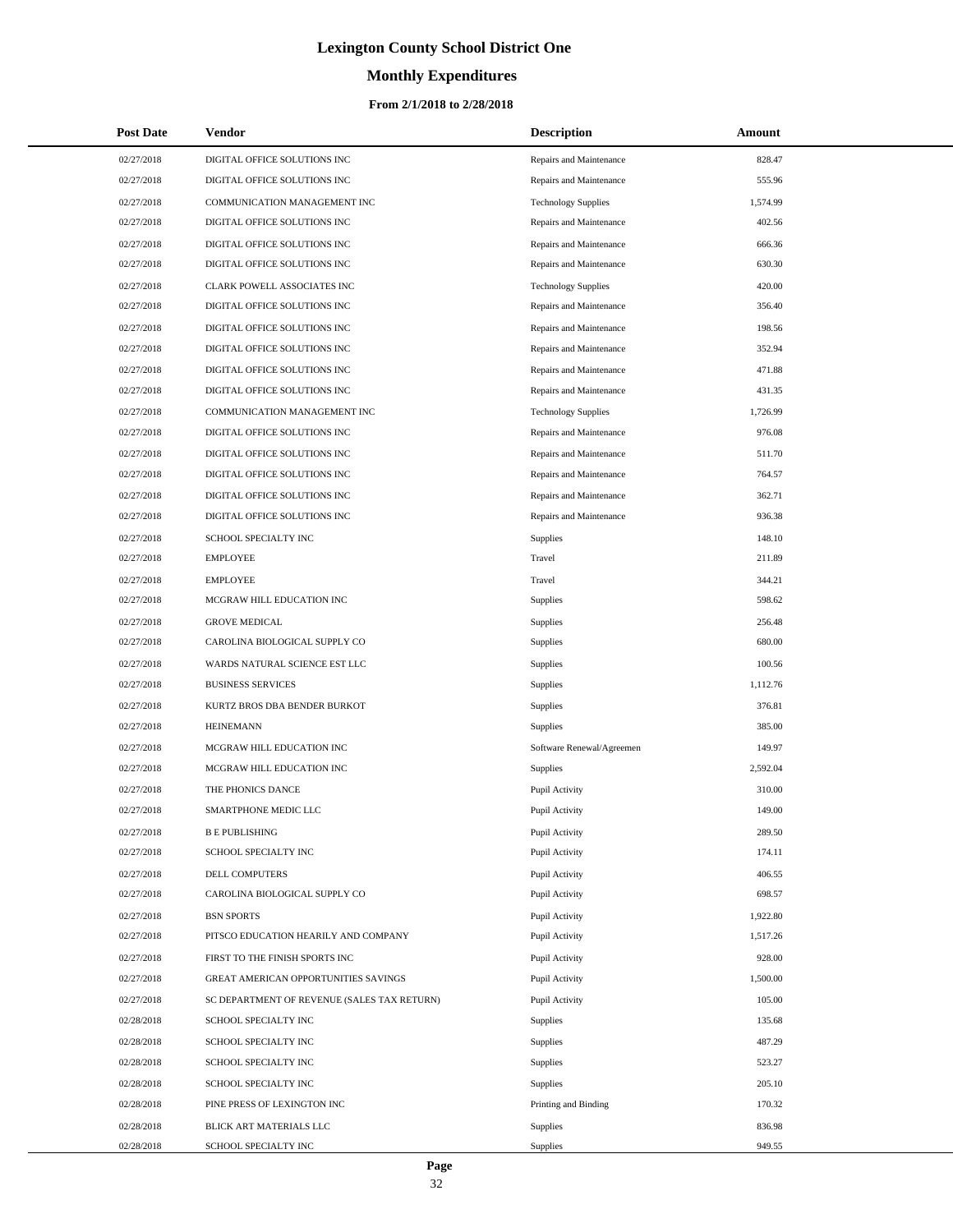# **Monthly Expenditures**

#### **From 2/1/2018 to 2/28/2018**

| <b>Post Date</b> | Vendor                                      | <b>Description</b>         | Amount   |
|------------------|---------------------------------------------|----------------------------|----------|
| 02/27/2018       | DIGITAL OFFICE SOLUTIONS INC                | Repairs and Maintenance    | 828.47   |
| 02/27/2018       | DIGITAL OFFICE SOLUTIONS INC                | Repairs and Maintenance    | 555.96   |
| 02/27/2018       | COMMUNICATION MANAGEMENT INC                | <b>Technology Supplies</b> | 1,574.99 |
| 02/27/2018       | DIGITAL OFFICE SOLUTIONS INC                | Repairs and Maintenance    | 402.56   |
| 02/27/2018       | DIGITAL OFFICE SOLUTIONS INC                | Repairs and Maintenance    | 666.36   |
| 02/27/2018       | DIGITAL OFFICE SOLUTIONS INC                | Repairs and Maintenance    | 630.30   |
| 02/27/2018       | CLARK POWELL ASSOCIATES INC                 | <b>Technology Supplies</b> | 420.00   |
| 02/27/2018       | DIGITAL OFFICE SOLUTIONS INC                | Repairs and Maintenance    | 356.40   |
| 02/27/2018       | DIGITAL OFFICE SOLUTIONS INC                | Repairs and Maintenance    | 198.56   |
| 02/27/2018       | DIGITAL OFFICE SOLUTIONS INC                | Repairs and Maintenance    | 352.94   |
| 02/27/2018       | DIGITAL OFFICE SOLUTIONS INC                | Repairs and Maintenance    | 471.88   |
| 02/27/2018       | DIGITAL OFFICE SOLUTIONS INC                | Repairs and Maintenance    | 431.35   |
| 02/27/2018       | COMMUNICATION MANAGEMENT INC                | <b>Technology Supplies</b> | 1,726.99 |
| 02/27/2018       | DIGITAL OFFICE SOLUTIONS INC                | Repairs and Maintenance    | 976.08   |
| 02/27/2018       | DIGITAL OFFICE SOLUTIONS INC                | Repairs and Maintenance    | 511.70   |
| 02/27/2018       | DIGITAL OFFICE SOLUTIONS INC                | Repairs and Maintenance    | 764.57   |
| 02/27/2018       | DIGITAL OFFICE SOLUTIONS INC                | Repairs and Maintenance    | 362.71   |
| 02/27/2018       | DIGITAL OFFICE SOLUTIONS INC                | Repairs and Maintenance    | 936.38   |
| 02/27/2018       | SCHOOL SPECIALTY INC                        | <b>Supplies</b>            | 148.10   |
| 02/27/2018       | <b>EMPLOYEE</b>                             | Travel                     | 211.89   |
| 02/27/2018       | <b>EMPLOYEE</b>                             | Travel                     | 344.21   |
| 02/27/2018       | MCGRAW HILL EDUCATION INC                   | <b>Supplies</b>            | 598.62   |
| 02/27/2018       | <b>GROVE MEDICAL</b>                        | Supplies                   | 256.48   |
| 02/27/2018       | CAROLINA BIOLOGICAL SUPPLY CO               | Supplies                   | 680.00   |
| 02/27/2018       | WARDS NATURAL SCIENCE EST LLC               | Supplies                   | 100.56   |
| 02/27/2018       | <b>BUSINESS SERVICES</b>                    | Supplies                   | 1,112.76 |
| 02/27/2018       | KURTZ BROS DBA BENDER BURKOT                | Supplies                   | 376.81   |
| 02/27/2018       | <b>HEINEMANN</b>                            | <b>Supplies</b>            | 385.00   |
| 02/27/2018       | MCGRAW HILL EDUCATION INC                   | Software Renewal/Agreemen  | 149.97   |
| 02/27/2018       | MCGRAW HILL EDUCATION INC                   | Supplies                   | 2,592.04 |
| 02/27/2018       | THE PHONICS DANCE                           | Pupil Activity             | 310.00   |
| 02/27/2018       | <b>SMARTPHONE MEDIC LLC</b>                 | Pupil Activity             | 149.00   |
| 02/27/2018       | <b>B E PUBLISHING</b>                       | Pupil Activity             | 289.50   |
| 02/27/2018       | SCHOOL SPECIALTY INC                        | Pupil Activity             | 174.11   |
| 02/27/2018       | DELL COMPUTERS                              | Pupil Activity             | 406.55   |
| 02/27/2018       | CAROLINA BIOLOGICAL SUPPLY CO               | Pupil Activity             | 698.57   |
| 02/27/2018       | <b>BSN SPORTS</b>                           | Pupil Activity             | 1,922.80 |
| 02/27/2018       | PITSCO EDUCATION HEARILY AND COMPANY        | Pupil Activity             | 1,517.26 |
| 02/27/2018       | FIRST TO THE FINISH SPORTS INC              | Pupil Activity             | 928.00   |
| 02/27/2018       | GREAT AMERICAN OPPORTUNITIES SAVINGS        | Pupil Activity             | 1,500.00 |
| 02/27/2018       | SC DEPARTMENT OF REVENUE (SALES TAX RETURN) | Pupil Activity             | 105.00   |
| 02/28/2018       | SCHOOL SPECIALTY INC                        | Supplies                   | 135.68   |
| 02/28/2018       | SCHOOL SPECIALTY INC                        | Supplies                   | 487.29   |
| 02/28/2018       | SCHOOL SPECIALTY INC                        | Supplies                   | 523.27   |
| 02/28/2018       | SCHOOL SPECIALTY INC                        | <b>Supplies</b>            | 205.10   |
| 02/28/2018       | PINE PRESS OF LEXINGTON INC                 | Printing and Binding       | 170.32   |
| 02/28/2018       | BLICK ART MATERIALS LLC                     | Supplies                   | 836.98   |
| 02/28/2018       | SCHOOL SPECIALTY INC                        | Supplies                   | 949.55   |